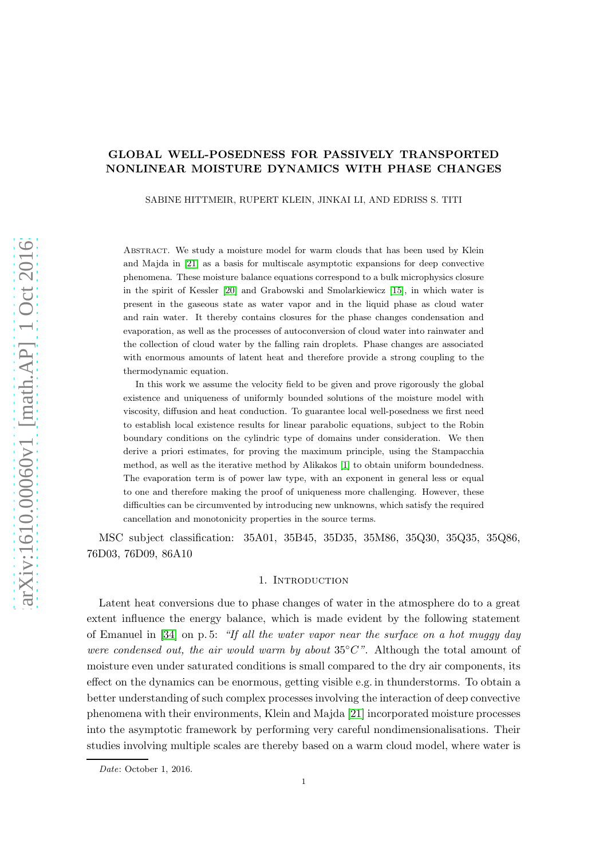# GLOBAL WELL-POSEDNESS FOR PASSIVELY TRANSPORTED NONLINEAR MOISTURE DYNAMICS WITH PHASE CHANGES

SABINE HITTMEIR, RUPERT KLEIN, JINKAI LI, AND EDRISS S. TITI

Abstract. We study a moisture model for warm clouds that has been used by Klein and Majda in [\[21\]](#page-40-0) as a basis for multiscale asymptotic expansions for deep convective phenomena. These moisture balance equations correspond to a bulk microphysics closure in the spirit of Kessler [\[20\]](#page-40-1) and Grabowski and Smolarkiewicz [\[15\]](#page-40-2), in which water is present in the gaseous state as water vapor and in the liquid phase as cloud water and rain water. It thereby contains closures for the phase changes condensation and evaporation, as well as the processes of autoconversion of cloud water into rainwater and the collection of cloud water by the falling rain droplets. Phase changes are associated with enormous amounts of latent heat and therefore provide a strong coupling to the thermodynamic equation.

In this work we assume the velocity field to be given and prove rigorously the global existence and uniqueness of uniformly bounded solutions of the moisture model with viscosity, diffusion and heat conduction. To guarantee local well-posedness we first need to establish local existence results for linear parabolic equations, subject to the Robin boundary conditions on the cylindric type of domains under consideration. We then derive a priori estimates, for proving the maximum principle, using the Stampacchia method, as well as the iterative method by Alikakos [\[1\]](#page-39-0) to obtain uniform boundedness. The evaporation term is of power law type, with an exponent in general less or equal to one and therefore making the proof of uniqueness more challenging. However, these difficulties can be circumvented by introducing new unknowns, which satisfy the required cancellation and monotonicity properties in the source terms.

MSC subject classification: 35A01, 35B45, 35D35, 35M86, 35Q30, 35Q35, 35Q86, 76D03, 76D09, 86A10

## 1. Introduction

Latent heat conversions due to phase changes of water in the atmosphere do to a great extent influence the energy balance, which is made evident by the following statement of Emanuel in  $[34]$  on p. 5: "If all the water vapor near the surface on a hot muggy day were condensed out, the air would warm by about  $35^{\circ}C$ ". Although the total amount of moisture even under saturated conditions is small compared to the dry air components, its effect on the dynamics can be enormous, getting visible e.g. in thunderstorms. To obtain a better understanding of such complex processes involving the interaction of deep convective phenomena with their environments, Klein and Majda [\[21\]](#page-40-0) incorporated moisture processes into the asymptotic framework by performing very careful nondimensionalisations. Their studies involving multiple scales are thereby based on a warm cloud model, where water is

Date: October 1, 2016.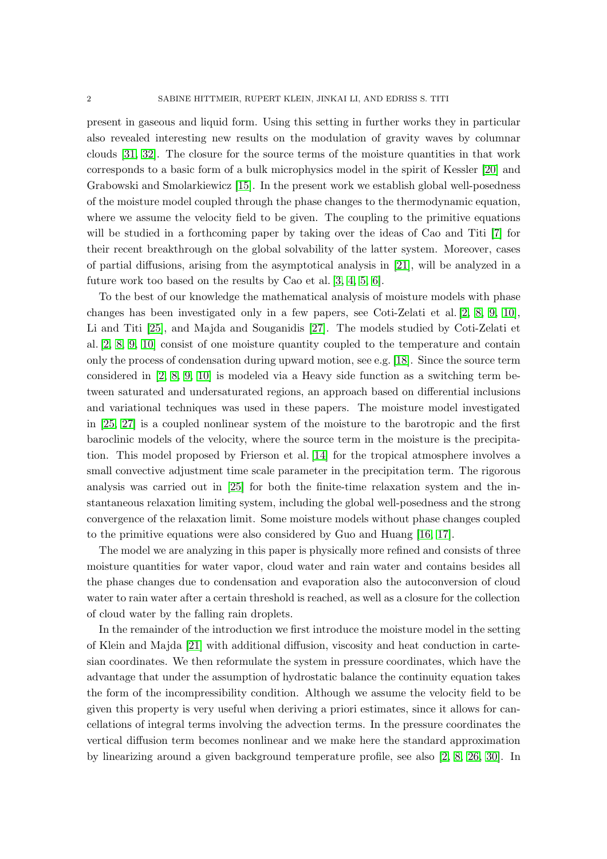present in gaseous and liquid form. Using this setting in further works they in particular also revealed interesting new results on the modulation of gravity waves by columnar clouds [\[31,](#page-41-1) [32\]](#page-41-2). The closure for the source terms of the moisture quantities in that work corresponds to a basic form of a bulk microphysics model in the spirit of Kessler [\[20\]](#page-40-1) and Grabowski and Smolarkiewicz [\[15\]](#page-40-2). In the present work we establish global well-posedness of the moisture model coupled through the phase changes to the thermodynamic equation, where we assume the velocity field to be given. The coupling to the primitive equations will be studied in a forthcoming paper by taking over the ideas of Cao and Titi [\[7\]](#page-40-3) for their recent breakthrough on the global solvability of the latter system. Moreover, cases of partial diffusions, arising from the asymptotical analysis in [\[21\]](#page-40-0), will be analyzed in a future work too based on the results by Cao et al. [\[3,](#page-40-4) [4,](#page-40-5) [5,](#page-40-6) [6\]](#page-40-7).

To the best of our knowledge the mathematical analysis of moisture models with phase changes has been investigated only in a few papers, see Coti-Zelati et al. [\[2,](#page-39-1) [8,](#page-40-8) [9,](#page-40-9) [10\]](#page-40-10), Li and Titi [\[25\]](#page-40-11), and Majda and Souganidis [\[27\]](#page-40-12). The models studied by Coti-Zelati et al. [\[2,](#page-39-1) [8,](#page-40-8) [9,](#page-40-9) [10\]](#page-40-10) consist of one moisture quantity coupled to the temperature and contain only the process of condensation during upward motion, see e.g. [\[18\]](#page-40-13). Since the source term considered in [\[2,](#page-39-1) [8,](#page-40-8) [9,](#page-40-9) [10\]](#page-40-10) is modeled via a Heavy side function as a switching term between saturated and undersaturated regions, an approach based on differential inclusions and variational techniques was used in these papers. The moisture model investigated in [\[25,](#page-40-11) [27\]](#page-40-12) is a coupled nonlinear system of the moisture to the barotropic and the first baroclinic models of the velocity, where the source term in the moisture is the precipitation. This model proposed by Frierson et al. [\[14\]](#page-40-14) for the tropical atmosphere involves a small convective adjustment time scale parameter in the precipitation term. The rigorous analysis was carried out in [\[25\]](#page-40-11) for both the finite-time relaxation system and the instantaneous relaxation limiting system, including the global well-posedness and the strong convergence of the relaxation limit. Some moisture models without phase changes coupled to the primitive equations were also considered by Guo and Huang [\[16,](#page-40-15) [17\]](#page-40-16).

The model we are analyzing in this paper is physically more refined and consists of three moisture quantities for water vapor, cloud water and rain water and contains besides all the phase changes due to condensation and evaporation also the autoconversion of cloud water to rain water after a certain threshold is reached, as well as a closure for the collection of cloud water by the falling rain droplets.

In the remainder of the introduction we first introduce the moisture model in the setting of Klein and Majda [\[21\]](#page-40-0) with additional diffusion, viscosity and heat conduction in cartesian coordinates. We then reformulate the system in pressure coordinates, which have the advantage that under the assumption of hydrostatic balance the continuity equation takes the form of the incompressibility condition. Although we assume the velocity field to be given this property is very useful when deriving a priori estimates, since it allows for cancellations of integral terms involving the advection terms. In the pressure coordinates the vertical diffusion term becomes nonlinear and we make here the standard approximation by linearizing around a given background temperature profile, see also [\[2,](#page-39-1) [8,](#page-40-8) [26,](#page-40-17) [30\]](#page-41-3). In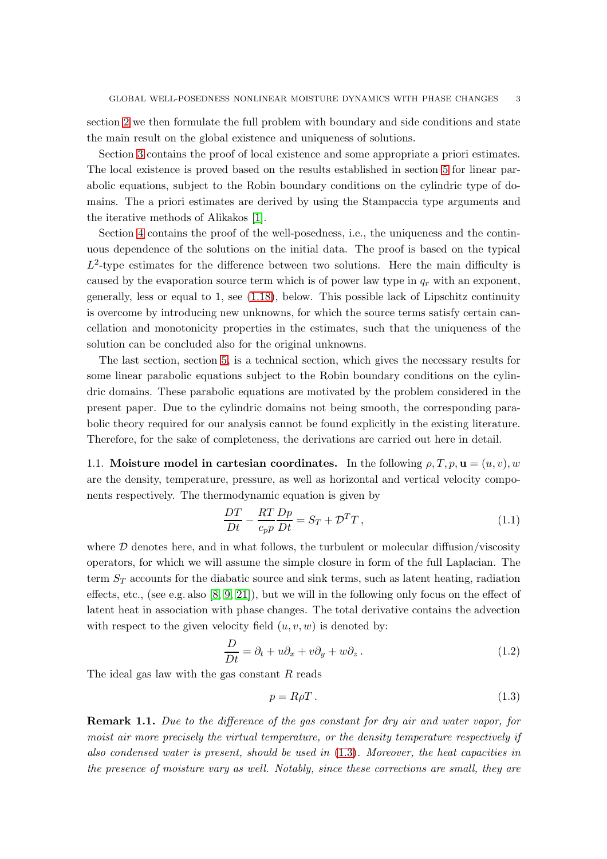section [2](#page-7-0) we then formulate the full problem with boundary and side conditions and state the main result on the global existence and uniqueness of solutions.

Section [3](#page-8-0) contains the proof of local existence and some appropriate a priori estimates. The local existence is proved based on the results established in section [5](#page-26-0) for linear parabolic equations, subject to the Robin boundary conditions on the cylindric type of domains. The a priori estimates are derived by using the Stampaccia type arguments and the iterative methods of Alikakos [\[1\]](#page-39-0).

Section [4](#page-20-0) contains the proof of the well-posedness, i.e., the uniqueness and the continuous dependence of the solutions on the initial data. The proof is based on the typical  $L^2$ -type estimates for the difference between two solutions. Here the main difficulty is caused by the evaporation source term which is of power law type in  $q_r$  with an exponent, generally, less or equal to 1, see [\(1.18\)](#page-5-0), below. This possible lack of Lipschitz continuity is overcome by introducing new unknowns, for which the source terms satisfy certain cancellation and monotonicity properties in the estimates, such that the uniqueness of the solution can be concluded also for the original unknowns.

The last section, section [5,](#page-26-0) is a technical section, which gives the necessary results for some linear parabolic equations subject to the Robin boundary conditions on the cylindric domains. These parabolic equations are motivated by the problem considered in the present paper. Due to the cylindric domains not being smooth, the corresponding parabolic theory required for our analysis cannot be found explicitly in the existing literature. Therefore, for the sake of completeness, the derivations are carried out here in detail.

1.1. Moisture model in cartesian coordinates. In the following  $\rho, T, p, \mathbf{u} = (u, v), w$ are the density, temperature, pressure, as well as horizontal and vertical velocity components respectively. The thermodynamic equation is given by

$$
\frac{DT}{Dt} - \frac{RT}{c_p p} \frac{Dp}{Dt} = S_T + \mathcal{D}^T T, \qquad (1.1)
$$

where  $D$  denotes here, and in what follows, the turbulent or molecular diffusion/viscosity operators, for which we will assume the simple closure in form of the full Laplacian. The term  $S_T$  accounts for the diabatic source and sink terms, such as latent heating, radiation effects, etc., (see e.g. also  $[8, 9, 21]$  $[8, 9, 21]$  $[8, 9, 21]$ ), but we will in the following only focus on the effect of latent heat in association with phase changes. The total derivative contains the advection with respect to the given velocity field  $(u, v, w)$  is denoted by:

$$
\frac{D}{Dt} = \partial_t + u\partial_x + v\partial_y + w\partial_z.
$$
 (1.2)

The ideal gas law with the gas constant  $R$  reads

<span id="page-2-0"></span>
$$
p = R\rho T. \tag{1.3}
$$

**Remark 1.1.** Due to the difference of the gas constant for dry air and water vapor, for moist air more precisely the virtual temperature, or the density temperature respectively if also condensed water is present, should be used in [\(1.3\)](#page-2-0). Moreover, the heat capacities in the presence of moisture vary as well. Notably, since these corrections are small, they are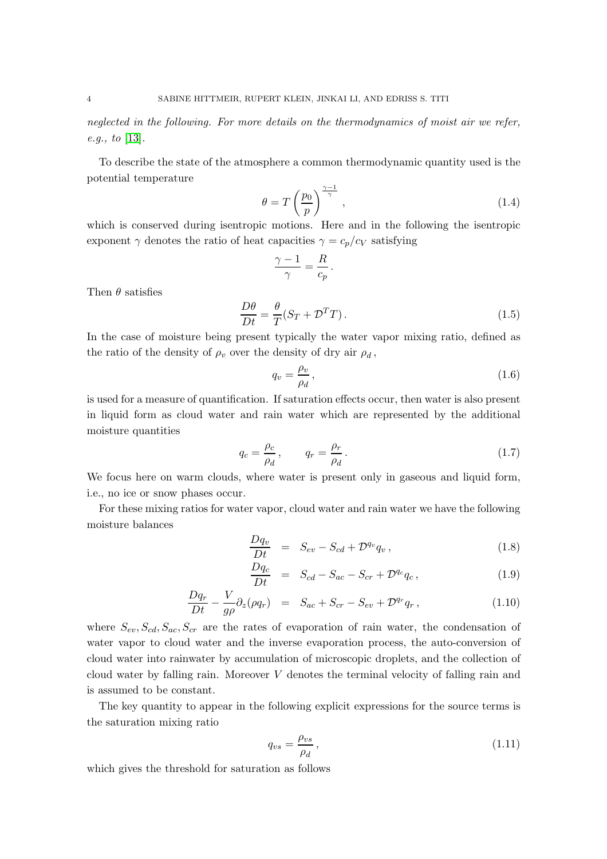neglected in the following. For more details on the thermodynamics of moist air we refer, e.g., to [\[13\]](#page-40-18).

To describe the state of the atmosphere a common thermodynamic quantity used is the potential temperature

<span id="page-3-0"></span>
$$
\theta = T \left(\frac{p_0}{p}\right)^{\frac{\gamma - 1}{\gamma}},\tag{1.4}
$$

which is conserved during isentropic motions. Here and in the following the isentropic exponent  $\gamma$  denotes the ratio of heat capacities  $\gamma = c_p/c_V$  satisfying

$$
\frac{\gamma - 1}{\gamma} = \frac{R}{c_p}.
$$

Then  $\theta$  satisfies

$$
\frac{D\theta}{Dt} = \frac{\theta}{T}(S_T + \mathcal{D}^T T). \tag{1.5}
$$

In the case of moisture being present typically the water vapor mixing ratio, defined as the ratio of the density of  $\rho_v$  over the density of dry air  $\rho_d$ ,

$$
q_v = \frac{\rho_v}{\rho_d},\tag{1.6}
$$

is used for a measure of quantification. If saturation effects occur, then water is also present in liquid form as cloud water and rain water which are represented by the additional moisture quantities

$$
q_c = \frac{\rho_c}{\rho_d}, \qquad q_r = \frac{\rho_r}{\rho_d}.
$$
\n(1.7)

We focus here on warm clouds, where water is present only in gaseous and liquid form, i.e., no ice or snow phases occur.

For these mixing ratios for water vapor, cloud water and rain water we have the following moisture balances

$$
\frac{Dq_v}{Dt} = S_{ev} - S_{cd} + \mathcal{D}^{q_v} q_v, \qquad (1.8)
$$

$$
\frac{Dq_c}{Dt} = S_{cd} - S_{ac} - S_{cr} + \mathcal{D}^{q_c} q_c, \qquad (1.9)
$$

$$
\frac{Dq_r}{Dt} - \frac{V}{g\rho}\partial_z(\rho q_r) = S_{ac} + S_{cr} - S_{ev} + \mathcal{D}^{q_r}q_r, \qquad (1.10)
$$

where  $S_{ev}, S_{cd}, S_{ac}, S_{cr}$  are the rates of evaporation of rain water, the condensation of water vapor to cloud water and the inverse evaporation process, the auto-conversion of cloud water into rainwater by accumulation of microscopic droplets, and the collection of cloud water by falling rain. Moreover V denotes the terminal velocity of falling rain and is assumed to be constant.

The key quantity to appear in the following explicit expressions for the source terms is the saturation mixing ratio

$$
q_{vs} = \frac{\rho_{vs}}{\rho_d},\tag{1.11}
$$

which gives the threshold for saturation as follows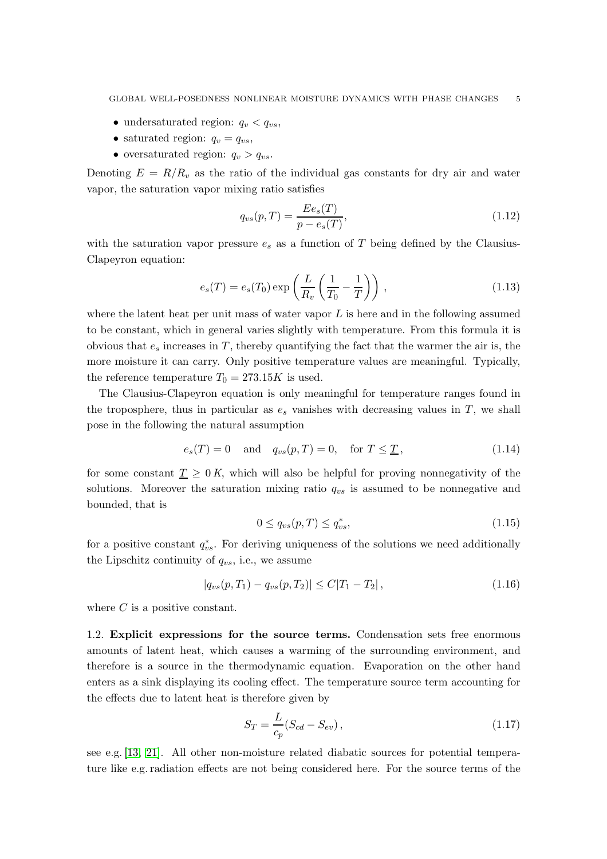- undersaturated region:  $q_v < q_{vs}$ ,
- saturated region:  $q_v = q_{vs}$ ,
- oversaturated region:  $q_v > q_{vs}$ .

Denoting  $E = R/R_v$  as the ratio of the individual gas constants for dry air and water vapor, the saturation vapor mixing ratio satisfies

$$
q_{vs}(p,T) = \frac{E e_s(T)}{p - e_s(T)},
$$
\n(1.12)

with the saturation vapor pressure  $e_s$  as a function of T being defined by the Clausius-Clapeyron equation:

$$
e_s(T) = e_s(T_0) \exp\left(\frac{L}{R_v}\left(\frac{1}{T_0} - \frac{1}{T}\right)\right),\tag{1.13}
$$

where the latent heat per unit mass of water vapor  $L$  is here and in the following assumed to be constant, which in general varies slightly with temperature. From this formula it is obvious that  $e_s$  increases in T, thereby quantifying the fact that the warmer the air is, the more moisture it can carry. Only positive temperature values are meaningful. Typically, the reference temperature  $T_0 = 273.15K$  is used.

The Clausius-Clapeyron equation is only meaningful for temperature ranges found in the troposphere, thus in particular as  $e_s$  vanishes with decreasing values in  $T$ , we shall pose in the following the natural assumption

<span id="page-4-1"></span>
$$
e_s(T) = 0 \quad \text{and} \quad q_{vs}(p,T) = 0, \quad \text{for } T \leq \underline{T}, \tag{1.14}
$$

for some constant  $\underline{T} \geq 0$  K, which will also be helpful for proving nonnegativity of the solutions. Moreover the saturation mixing ratio  $q_{vs}$  is assumed to be nonnegative and bounded, that is

<span id="page-4-0"></span>
$$
0 \le q_{vs}(p,T) \le q_{vs}^*,\tag{1.15}
$$

for a positive constant  $q_{vs}^*$ . For deriving uniqueness of the solutions we need additionally the Lipschitz continuity of  $q_{vs}$ , i.e., we assume

<span id="page-4-2"></span>
$$
|q_{vs}(p,T_1) - q_{vs}(p,T_2)| \le C|T_1 - T_2|,\tag{1.16}
$$

where  $C$  is a positive constant.

1.2. Explicit expressions for the source terms. Condensation sets free enormous amounts of latent heat, which causes a warming of the surrounding environment, and therefore is a source in the thermodynamic equation. Evaporation on the other hand enters as a sink displaying its cooling effect. The temperature source term accounting for the effects due to latent heat is therefore given by

$$
S_T = \frac{L}{c_p} (S_{cd} - S_{ev}), \qquad (1.17)
$$

see e.g. [\[13,](#page-40-18) [21\]](#page-40-0). All other non-moisture related diabatic sources for potential temperature like e.g. radiation effects are not being considered here. For the source terms of the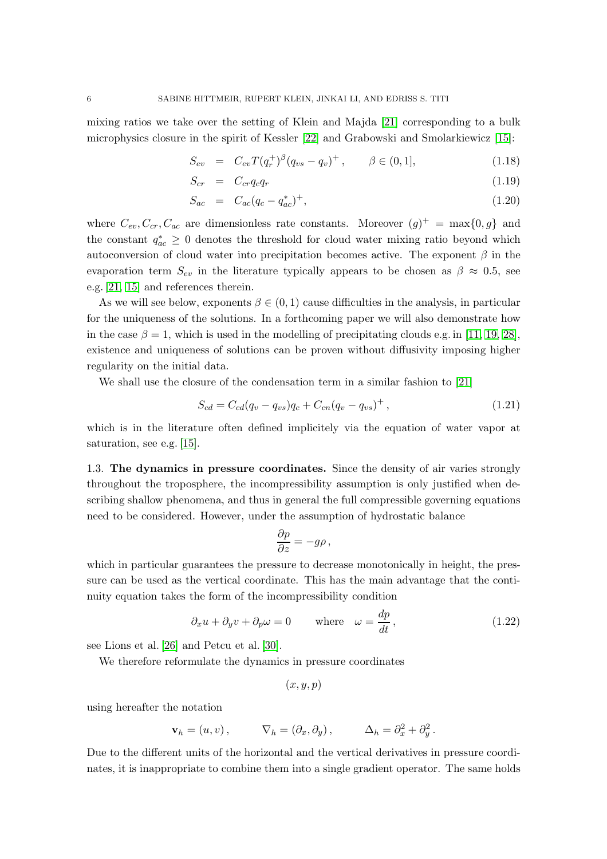mixing ratios we take over the setting of Klein and Majda [\[21\]](#page-40-0) corresponding to a bulk microphysics closure in the spirit of Kessler [\[22\]](#page-40-19) and Grabowski and Smolarkiewicz [\[15\]](#page-40-2):

<span id="page-5-0"></span>
$$
S_{ev} = C_{ev} T(q_r^{+})^{\beta} (q_{vs} - q_v)^{+}, \qquad \beta \in (0, 1], \tag{1.18}
$$

$$
S_{cr} = C_{cr}q_cq_r \tag{1.19}
$$

$$
S_{ac} = C_{ac}(q_c - q_{ac}^*)^+, \tag{1.20}
$$

where  $C_{ev}, C_{cr}, C_{ac}$  are dimensionless rate constants. Moreover  $(g)^+ = \max\{0, g\}$  and the constant  $q_{ac}^* \geq 0$  denotes the threshold for cloud water mixing ratio beyond which autoconversion of cloud water into precipitation becomes active. The exponent  $\beta$  in the evaporation term  $S_{ev}$  in the literature typically appears to be chosen as  $\beta \approx 0.5$ , see e.g. [\[21,](#page-40-0) [15\]](#page-40-2) and references therein.

As we will see below, exponents  $\beta \in (0,1)$  cause difficulties in the analysis, in particular for the uniqueness of the solutions. In a forthcoming paper we will also demonstrate how in the case  $\beta = 1$ , which is used in the modelling of precipitating clouds e.g. in [\[11,](#page-40-20) [19,](#page-40-21) [28\]](#page-41-4), existence and uniqueness of solutions can be proven without diffusivity imposing higher regularity on the initial data.

We shall use the closure of the condensation term in a similar fashion to [\[21\]](#page-40-0)

<span id="page-5-1"></span>
$$
S_{cd} = C_{cd}(q_v - q_{vs})q_c + C_{cn}(q_v - q_{vs})^+, \qquad (1.21)
$$

which is in the literature often defined implicitely via the equation of water vapor at saturation, see e.g. [\[15\]](#page-40-2).

1.3. The dynamics in pressure coordinates. Since the density of air varies strongly throughout the troposphere, the incompressibility assumption is only justified when describing shallow phenomena, and thus in general the full compressible governing equations need to be considered. However, under the assumption of hydrostatic balance

$$
\frac{\partial p}{\partial z} = -g\rho \,,
$$

which in particular guarantees the pressure to decrease monotonically in height, the pressure can be used as the vertical coordinate. This has the main advantage that the continuity equation takes the form of the incompressibility condition

$$
\partial_x u + \partial_y v + \partial_p \omega = 0 \quad \text{where} \quad \omega = \frac{dp}{dt}, \tag{1.22}
$$

see Lions et al. [\[26\]](#page-40-17) and Petcu et al. [\[30\]](#page-41-3).

We therefore reformulate the dynamics in pressure coordinates

$$
(x,y,p)
$$

using hereafter the notation

$$
\mathbf{v}_h = (u, v), \qquad \nabla_h = (\partial_x, \partial_y), \qquad \Delta_h = \partial_x^2 + \partial_y^2.
$$

Due to the different units of the horizontal and the vertical derivatives in pressure coordinates, it is inappropriate to combine them into a single gradient operator. The same holds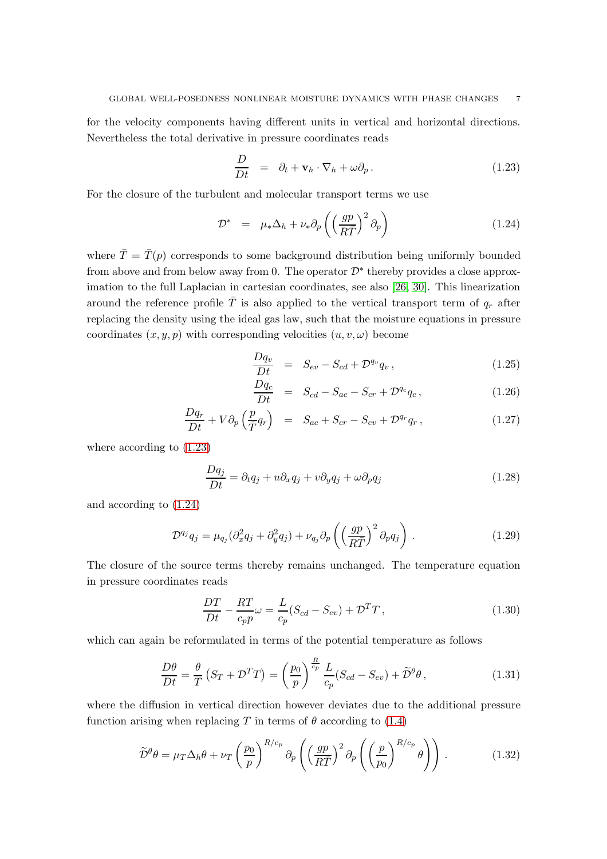for the velocity components having different units in vertical and horizontal directions. Nevertheless the total derivative in pressure coordinates reads

<span id="page-6-0"></span>
$$
\frac{D}{Dt} = \partial_t + \mathbf{v}_h \cdot \nabla_h + \omega \partial_p. \tag{1.23}
$$

For the closure of the turbulent and molecular transport terms we use

<span id="page-6-1"></span>
$$
\mathcal{D}^* = \mu_* \Delta_h + \nu_* \partial_p \left( \left( \frac{gp}{R\bar{T}} \right)^2 \partial_p \right) \tag{1.24}
$$

where  $\overline{T} = \overline{T}(p)$  corresponds to some background distribution being uniformly bounded from above and from below away from 0. The operator  $\mathcal{D}^*$  thereby provides a close approximation to the full Laplacian in cartesian coordinates, see also [\[26,](#page-40-17) [30\]](#page-41-3). This linearization around the reference profile  $\overline{T}$  is also applied to the vertical transport term of  $q_r$  after replacing the density using the ideal gas law, such that the moisture equations in pressure coordinates  $(x, y, p)$  with corresponding velocities  $(u, v, \omega)$  become

<span id="page-6-2"></span>
$$
\frac{Dq_v}{Dt} = S_{ev} - S_{cd} + \mathcal{D}^{q_v} q_v, \qquad (1.25)
$$

$$
\frac{Dq_c}{Dt} = S_{cd} - S_{ac} - S_{cr} + \mathcal{D}^{q_c} q_c, \qquad (1.26)
$$

$$
\frac{Dq_r}{Dt} + V\partial_p \left(\frac{p}{T}q_r\right) = S_{ac} + S_{cr} - S_{ev} + \mathcal{D}^{q_r}q_r, \qquad (1.27)
$$

where according to [\(1.23\)](#page-6-0)

$$
\frac{Dq_j}{Dt} = \partial_t q_j + u \partial_x q_j + v \partial_y q_j + \omega \partial_p q_j \tag{1.28}
$$

and according to [\(1.24\)](#page-6-1)

$$
\mathcal{D}^{q_j} q_j = \mu_{q_j} (\partial_x^2 q_j + \partial_y^2 q_j) + \nu_{q_j} \partial_p \left( \left( \frac{gp}{R\bar{T}} \right)^2 \partial_p q_j \right). \tag{1.29}
$$

The closure of the source terms thereby remains unchanged. The temperature equation in pressure coordinates reads

<span id="page-6-3"></span>
$$
\frac{DT}{Dt} - \frac{RT}{c_p p}\omega = \frac{L}{c_p} (S_{cd} - S_{ev}) + \mathcal{D}^T T,
$$
\n(1.30)

which can again be reformulated in terms of the potential temperature as follows

<span id="page-6-4"></span>
$$
\frac{D\theta}{Dt} = \frac{\theta}{T} \left( S_T + \mathcal{D}^T T \right) = \left( \frac{p_0}{p} \right)^{\frac{R}{c_p}} \frac{L}{c_p} (S_{cd} - S_{ev}) + \widetilde{\mathcal{D}}^{\theta} \theta, \qquad (1.31)
$$

where the diffusion in vertical direction however deviates due to the additional pressure function arising when replacing T in terms of  $\theta$  according to [\(1.4\)](#page-3-0)

$$
\widetilde{\mathcal{D}}^{\theta} \theta = \mu_T \Delta_h \theta + \nu_T \left(\frac{p_0}{p}\right)^{R/c_p} \partial_p \left(\left(\frac{gp}{R\overline{T}}\right)^2 \partial_p \left(\left(\frac{p}{p_0}\right)^{R/c_p} \theta\right)\right). \tag{1.32}
$$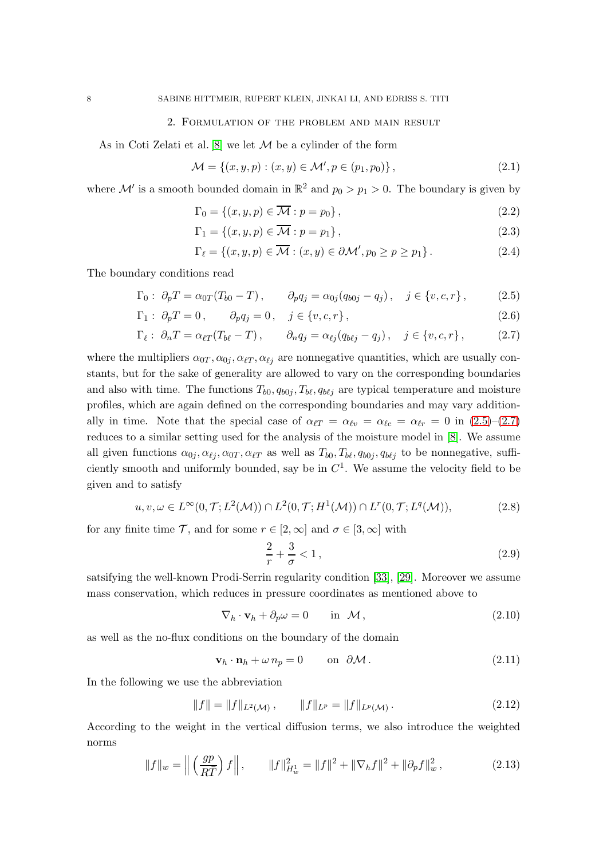### 2. Formulation of the problem and main result

<span id="page-7-0"></span>As in Coti Zelati et al.  $[8]$  we let  $M$  be a cylinder of the form

$$
\mathcal{M} = \{(x, y, p) : (x, y) \in \mathcal{M}', p \in (p_1, p_0)\},\tag{2.1}
$$

where  $\mathcal{M}'$  is a smooth bounded domain in  $\mathbb{R}^2$  and  $p_0 > p_1 > 0$ . The boundary is given by

$$
\Gamma_0 = \{(x, y, p) \in \overline{\mathcal{M}} : p = p_0\},\tag{2.2}
$$

$$
\Gamma_1 = \{(x, y, p) \in \overline{\mathcal{M}} : p = p_1\},\tag{2.3}
$$

$$
\Gamma_{\ell} = \left\{ (x, y, p) \in \overline{\mathcal{M}} : (x, y) \in \partial \mathcal{M}', p_0 \ge p \ge p_1 \right\}.
$$
\n(2.4)

The boundary conditions read

<span id="page-7-1"></span>
$$
\Gamma_0: \ \partial_p T = \alpha_{0T} (T_{b0} - T), \qquad \partial_p q_j = \alpha_{0j} (q_{b0j} - q_j), \quad j \in \{v, c, r\}, \tag{2.5}
$$

$$
\Gamma_1: \ \partial_p T = 0, \qquad \partial_p q_j = 0, \quad j \in \{v, c, r\},\tag{2.6}
$$

$$
\Gamma_{\ell}: \partial_n T = \alpha_{\ell T} (T_{b\ell} - T), \qquad \partial_n q_j = \alpha_{\ell j} (q_{b\ell j} - q_j), \quad j \in \{v, c, r\}, \tag{2.7}
$$

where the multipliers  $\alpha_{0T}, \alpha_{0j}, \alpha_{\ell T}, \alpha_{\ell j}$  are nonnegative quantities, which are usually constants, but for the sake of generality are allowed to vary on the corresponding boundaries and also with time. The functions  $T_{b0}$ ,  $q_{b0j}$ ,  $T_{b\ell}$ ,  $q_{b\ell j}$  are typical temperature and moisture profiles, which are again defined on the corresponding boundaries and may vary additionally in time. Note that the special case of  $\alpha_{\ell T} = \alpha_{\ell v} = \alpha_{\ell c} = \alpha_{\ell r} = 0$  in  $(2.5)-(2.7)$  $(2.5)-(2.7)$ reduces to a similar setting used for the analysis of the moisture model in [\[8\]](#page-40-8). We assume all given functions  $\alpha_{0j}, \alpha_{\ell j}, \alpha_{0T}, \alpha_{\ell T}$  as well as  $T_{b0}, T_{b\ell}, q_{b0j}, q_{b\ell j}$  to be nonnegative, sufficiently smooth and uniformly bounded, say be in  $C<sup>1</sup>$ . We assume the velocity field to be given and to satisfy

<span id="page-7-2"></span>
$$
u, v, \omega \in L^{\infty}(0, \mathcal{T}; L^2(\mathcal{M})) \cap L^2(0, \mathcal{T}; H^1(\mathcal{M})) \cap L^r(0, \mathcal{T}; L^q(\mathcal{M})),
$$
\n(2.8)

for any finite time  $\mathcal{T}$ , and for some  $r \in [2,\infty]$  and  $\sigma \in [3,\infty]$  with

$$
\frac{2}{r} + \frac{3}{\sigma} < 1\tag{2.9}
$$

satsifying the well-known Prodi-Serrin regularity condition [\[33\]](#page-41-5), [\[29\]](#page-41-6). Moreover we assume mass conservation, which reduces in pressure coordinates as mentioned above to

<span id="page-7-4"></span>
$$
\nabla_h \cdot \mathbf{v}_h + \partial_p \omega = 0 \quad \text{in } \mathcal{M}, \tag{2.10}
$$

as well as the no-flux conditions on the boundary of the domain

<span id="page-7-3"></span>
$$
\mathbf{v}_h \cdot \mathbf{n}_h + \omega n_p = 0 \qquad \text{on } \partial \mathcal{M}. \tag{2.11}
$$

In the following we use the abbreviation

$$
||f|| = ||f||_{L^{2}(\mathcal{M})}, \qquad ||f||_{L^{p}} = ||f||_{L^{p}(\mathcal{M})}. \qquad (2.12)
$$

According to the weight in the vertical diffusion terms, we also introduce the weighted norms

$$
||f||_{w} = \left\| \left(\frac{gp}{R\overline{T}}\right)f \right\|, \qquad ||f||_{H_{w}^{1}}^{2} = ||f||^{2} + \|\nabla_{h}f\|^{2} + \|\partial_{p}f\|_{w}^{2}, \tag{2.13}
$$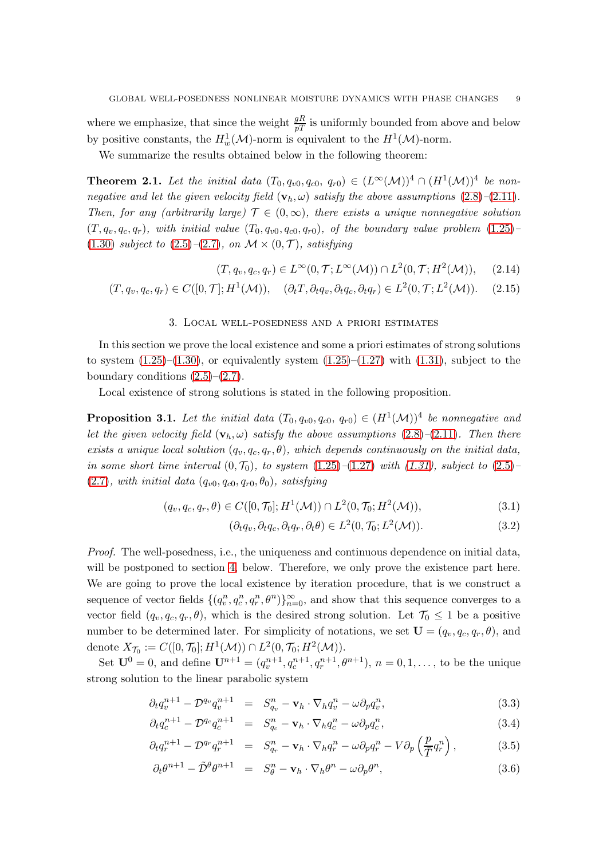where we emphasize, that since the weight  $\frac{gR}{pT}$  is uniformly bounded from above and below by positive constants, the  $H_w^1(\mathcal{M})$ -norm is equivalent to the  $H^1(\mathcal{M})$ -norm.

We summarize the results obtained below in the following theorem:

<span id="page-8-3"></span>**Theorem 2.1.** Let the initial data  $(T_0, q_{v0}, q_{c0}, q_{r0}) \in (L^{\infty}(\mathcal{M}))^4 \cap (H^1(\mathcal{M}))^4$  be nonnegative and let the given velocity field  $(\mathbf{v}_h, \omega)$  satisfy the above assumptions  $(2.8)$ – $(2.11)$ . Then, for any (arbitrarily large)  $\mathcal{T} \in (0,\infty)$ , there exists a unique nonnegative solution  $(T, q_v, q_c, q_r)$ , with initial value  $(T_0, q_{v0}, q_{c0}, q_{r0})$ , of the boundary value problem  $(1.25)$ [\(1.30\)](#page-6-3) subject to  $(2.5)$ – $(2.7)$ , on  $\mathcal{M} \times (0, \mathcal{T})$ , satisfying

$$
(T, q_v, q_c, q_r) \in L^{\infty}(0, \mathcal{T}; L^{\infty}(\mathcal{M})) \cap L^2(0, \mathcal{T}; H^2(\mathcal{M})), \quad (2.14)
$$

<span id="page-8-0"></span>
$$
(T, q_v, q_c, q_r) \in C([0, \mathcal{T}]; H^1(\mathcal{M})), \quad (\partial_t T, \partial_t q_v, \partial_t q_c, \partial_t q_r) \in L^2(0, \mathcal{T}; L^2(\mathcal{M})). \tag{2.15}
$$

#### 3. Local well-posedness and a priori estimates

In this section we prove the local existence and some a priori estimates of strong solutions to system  $(1.25)$ – $(1.30)$ , or equivalently system  $(1.25)$ – $(1.27)$  with  $(1.31)$ , subject to the boundary conditions  $(2.5)$ – $(2.7)$ .

Local existence of strong solutions is stated in the following proposition.

<span id="page-8-2"></span>**Proposition 3.1.** Let the initial data  $(T_0, q_{v0}, q_{c0}, q_{r0}) \in (H^1(\mathcal{M}))^4$  be nonnegative and let the given velocity field  $(\mathbf{v}_h, \omega)$  satisfy the above assumptions [\(2.8\)](#page-7-2)–[\(2.11\)](#page-7-3). Then there exists a unique local solution  $(q_v, q_c, q_r, \theta)$ , which depends continuously on the initial data, in some short time interval  $(0, \mathcal{T}_0)$ , to system  $(1.25)$ – $(1.27)$  with  $(1.31)$ , subject to  $(2.5)$ –  $(2.7)$ , with initial data  $(q_{v0}, q_{c0}, q_{r0}, \theta_0)$ , satisfying

$$
(q_v, q_c, q_r, \theta) \in C([0, \mathcal{T}_0]; H^1(\mathcal{M})) \cap L^2(0, \mathcal{T}_0; H^2(\mathcal{M})),
$$
\n(3.1)

$$
(\partial_t q_v, \partial_t q_c, \partial_t q_r, \partial_t \theta) \in L^2(0, \mathcal{T}_0; L^2(\mathcal{M})).
$$
\n(3.2)

Proof. The well-posedness, i.e., the uniqueness and continuous dependence on initial data, will be postponed to section [4,](#page-20-0) below. Therefore, we only prove the existence part here. We are going to prove the local existence by iteration procedure, that is we construct a sequence of vector fields  $\{(q_v^n, q_v^n, q_v^n, \theta^n)\}_{n=0}^{\infty}$ , and show that this sequence converges to a vector field  $(q_v, q_c, q_r, \theta)$ , which is the desired strong solution. Let  $\mathcal{T}_0 \leq 1$  be a positive number to be determined later. For simplicity of notations, we set  $\mathbf{U} = (q_v, q_c, q_r, \theta)$ , and denote  $X_{\mathcal{T}_0} := C([0, \mathcal{T}_0]; H^1(\mathcal{M})) \cap L^2(0, \mathcal{T}_0; H^2(\mathcal{M})).$ 

Set  $\mathbf{U}^0 = 0$ , and define  $\mathbf{U}^{n+1} = (q_v^{n+1}, q_v^{n+1}, q_r^{n+1}, \theta^{n+1})$ ,  $n = 0, 1, ...,$  to be the unique strong solution to the linear parabolic system

<span id="page-8-1"></span>
$$
\partial_t q_v^{n+1} - \mathcal{D}^{q_v} q_v^{n+1} = S_{q_v}^n - \mathbf{v}_h \cdot \nabla_h q_v^n - \omega \partial_p q_v^n, \tag{3.3}
$$

$$
\partial_t q_c^{n+1} - \mathcal{D}^{q_c} q_c^{n+1} = S_{q_c}^n - \mathbf{v}_h \cdot \nabla_h q_c^n - \omega \partial_p q_c^n, \tag{3.4}
$$

$$
\partial_t q_r^{n+1} - \mathcal{D}^{q_r} q_r^{n+1} = S_{q_r}^n - \mathbf{v}_h \cdot \nabla_h q_r^n - \omega \partial_p q_r^n - V \partial_p \left(\frac{p}{\overline{T}} q_r^n\right), \qquad (3.5)
$$

$$
\partial_t \theta^{n+1} - \tilde{\mathcal{D}}^{\theta} \theta^{n+1} = S_{\theta}^n - \mathbf{v}_h \cdot \nabla_h \theta^n - \omega \partial_p \theta^n, \tag{3.6}
$$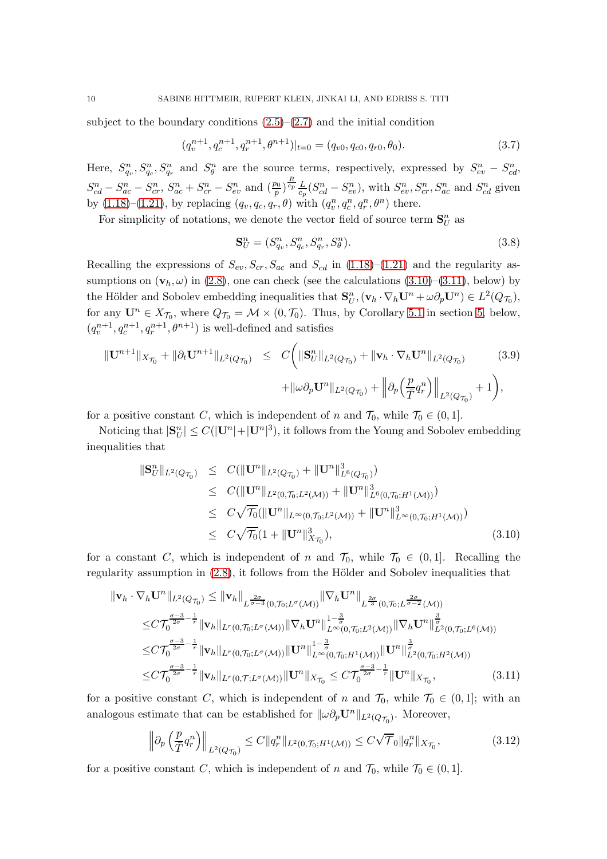subject to the boundary conditions  $(2.5)$ – $(2.7)$  and the initial condition

$$
(q_v^{n+1}, q_c^{n+1}, q_r^{n+1}, \theta^{n+1})|_{t=0} = (q_{v0}, q_{c0}, q_{r0}, \theta_0).
$$
\n(3.7)

Here,  $S_{q_v}^n$ ,  $S_{q_v}^n$ ,  $S_{q_r}^n$  and  $S_{\theta}^n$  are the source terms, respectively, expressed by  $S_{ev}^n - S_{cd}^n$ ,  $S_{cd}^{n} - S_{ac}^{n} - S_{cr}^{n}$ ,  $S_{ac}^{n} + S_{cr}^{n} - S_{ev}^{n}$  and  $(\frac{p_0}{p})^{\frac{R}{c_p}} \frac{L}{c_p} (S_{cd}^{n} - S_{ev}^{n})$ , with  $S_{ev}^{n}$ ,  $S_{cr}^{n}$ ,  $S_{ac}^{n}$  and  $S_{cd}^{n}$  given by  $(1.18)$ – $(1.21)$ , by replacing  $(q_v, q_c, q_r, \theta)$  with  $(q_v^n, q_c^n, q_r^n, \theta^n)$  there.

For simplicity of notations, we denote the vector field of source term  $\mathbf{S}_{U}^{n}$  as

$$
\mathbf{S}_{U}^{n} = (S_{q_{v}}^{n}, S_{q_{c}}^{n}, S_{q_{r}}^{n}, S_{\theta}^{n}).
$$
\n(3.8)

Recalling the expressions of  $S_{ev}$ ,  $S_{cr}$ ,  $S_{ac}$  and  $S_{cd}$  in [\(1.18\)](#page-5-0)–[\(1.21\)](#page-5-1) and the regularity assumptions on  $(\mathbf{v}_h, \omega)$  in [\(2.8\)](#page-7-2), one can check (see the calculations [\(3.10\)](#page-9-0)–[\(3.11\)](#page-9-1), below) by the Hölder and Sobolev embedding inequalities that  $\mathbf{S}_{U}^{n}, (\mathbf{v}_{h} \cdot \nabla_{h} \mathbf{U}^{n} + \omega \partial_{p} \mathbf{U}^{n}) \in L^{2}(Q_{\mathcal{T}_{0}})$ , for any  $\mathbf{U}^n \in X_{\mathcal{T}_0}$ , where  $Q_{\mathcal{T}_0} = \mathcal{M} \times (0, \mathcal{T}_0)$ . Thus, by Corollary [5.1](#page-39-2) in section [5,](#page-26-0) below,  $(q_v^{n+1}, q_c^{n+1}, q_r^{n+1}, \theta^{n+1})$  is well-defined and satisfies

$$
\|\mathbf{U}^{n+1}\|_{X_{\mathcal{T}_0}} + \|\partial_t \mathbf{U}^{n+1}\|_{L^2(Q_{\mathcal{T}_0})} \leq C \bigg(\|\mathbf{S}_U^n\|_{L^2(Q_{\mathcal{T}_0})} + \|\mathbf{v}_h \cdot \nabla_h \mathbf{U}^n\|_{L^2(Q_{\mathcal{T}_0})} \qquad (3.9)
$$

$$
+ \|\omega \partial_p \mathbf{U}^n\|_{L^2(Q_{\mathcal{T}_0})} + \left\|\partial_p \left(\frac{p}{\bar{T}} q_r^n\right)\right\|_{L^2(Q_{\mathcal{T}_0})} + 1\bigg),
$$

for a positive constant C, which is independent of n and  $\mathcal{T}_0$ , while  $\mathcal{T}_0 \in (0,1]$ .

Noticing that  $|\mathbf{S}_{U}^{n}| \leq C(|\mathbf{U}^{n}|+|\mathbf{U}^{n}|^{3}),$  it follows from the Young and Sobolev embedding inequalities that

<span id="page-9-0"></span>
$$
\|\mathbf{S}_{U}^{n}\|_{L^{2}(Q_{\mathcal{T}_{0}})} \leq C(\|\mathbf{U}^{n}\|_{L^{2}(Q_{\mathcal{T}_{0}})} + \|\mathbf{U}^{n}\|_{L^{6}(Q_{\mathcal{T}_{0}})}^{3})
$$
  
\n
$$
\leq C(\|\mathbf{U}^{n}\|_{L^{2}(0,\mathcal{T}_{0};L^{2}(\mathcal{M}))} + \|\mathbf{U}^{n}\|_{L^{6}(0,\mathcal{T}_{0};H^{1}(\mathcal{M}))}^{3})
$$
  
\n
$$
\leq C\sqrt{\mathcal{T}_{0}}(\|\mathbf{U}^{n}\|_{L^{\infty}(0,\mathcal{T}_{0};L^{2}(\mathcal{M}))} + \|\mathbf{U}^{n}\|_{L^{\infty}(0,\mathcal{T}_{0};H^{1}(\mathcal{M}))}^{3})
$$
  
\n
$$
\leq C\sqrt{\mathcal{T}_{0}}(1 + \|\mathbf{U}^{n}\|_{X_{\mathcal{T}_{0}}}^{3}), \qquad (3.10)
$$

for a constant C, which is independent of n and  $\mathcal{T}_0$ , while  $\mathcal{T}_0 \in (0,1]$ . Recalling the regularity assumption in  $(2.8)$ , it follows from the Hölder and Sobolev inequalities that

$$
\|\mathbf{v}_{h} \cdot \nabla_{h} \mathbf{U}^{n}\|_{L^{2}(Q_{\mathcal{T}_{0}})} \leq \|\mathbf{v}_{h}\|_{L^{\frac{2\sigma}{\sigma-3}}(0,\mathcal{T}_{0};L^{\sigma}(\mathcal{M}))} \|\nabla_{h} \mathbf{U}^{n}\|_{L^{\frac{2\sigma}{3}}(0,\mathcal{T}_{0};L^{\frac{2\sigma}{\sigma-2}}(\mathcal{M}))}
$$
  
\n
$$
\leq C \mathcal{T}_{0}^{\frac{\sigma-3}{2\sigma}-\frac{1}{r}} \|\mathbf{v}_{h}\|_{L^{r}(0,\mathcal{T}_{0};L^{\sigma}(\mathcal{M}))} \|\nabla_{h} \mathbf{U}^{n}\|_{L^{\infty}(0,\mathcal{T}_{0};L^{2}(\mathcal{M}))}^{1-\frac{3}{\sigma}} \|\nabla_{h} \mathbf{U}^{n}\|_{L^{2}(0,\mathcal{T}_{0};L^{6}(\mathcal{M}))}^{\frac{3}{\sigma}}\n\leq C \mathcal{T}_{0}^{\frac{\sigma-3}{2\sigma}-\frac{1}{r}} \|\mathbf{v}_{h}\|_{L^{r}(0,\mathcal{T}_{0};L^{\sigma}(\mathcal{M}))} \|\mathbf{U}^{n}\|_{L^{\infty}(0,\mathcal{T}_{0};H^{1}(\mathcal{M}))}^{1-\frac{3}{\sigma}} \|\mathbf{U}^{n}\|_{L^{2}(0,\mathcal{T}_{0};H^{2}(\mathcal{M}))}^{\frac{3}{\sigma}}\n\leq C \mathcal{T}_{0}^{\frac{\sigma-3}{2\sigma}-\frac{1}{r}} \|\mathbf{v}_{h}\|_{L^{r}(0,\mathcal{T};L^{\sigma}(\mathcal{M}))} \|\mathbf{U}^{n}\|_{X_{\mathcal{T}_{0}}} \leq C \mathcal{T}_{0}^{\frac{\sigma-3}{2\sigma}-\frac{1}{r}} \|\mathbf{U}^{n}\|_{X_{\mathcal{T}_{0}}}, \qquad (3.11)
$$

for a positive constant C, which is independent of n and  $\mathcal{T}_0$ , while  $\mathcal{T}_0 \in (0,1]$ ; with an analogous estimate that can be established for  $\|\omega \partial_p \mathbf{U}^n\|_{L^2(Q_{\mathcal{T}_0})}$ . Moreover,

<span id="page-9-1"></span>
$$
\left\|\partial_p\left(\frac{p}{T}q_r^n\right)\right\|_{L^2(Q_{\mathcal{T}_0})} \le C\|q_r^n\|_{L^2(0,\mathcal{T}_0;H^1(\mathcal{M}))} \le C\sqrt{\mathcal{T}}_0\|q_r^n\|_{X_{\mathcal{T}_0}},\tag{3.12}
$$

for a positive constant C, which is independent of n and  $\mathcal{T}_0$ , while  $\mathcal{T}_0 \in (0,1]$ .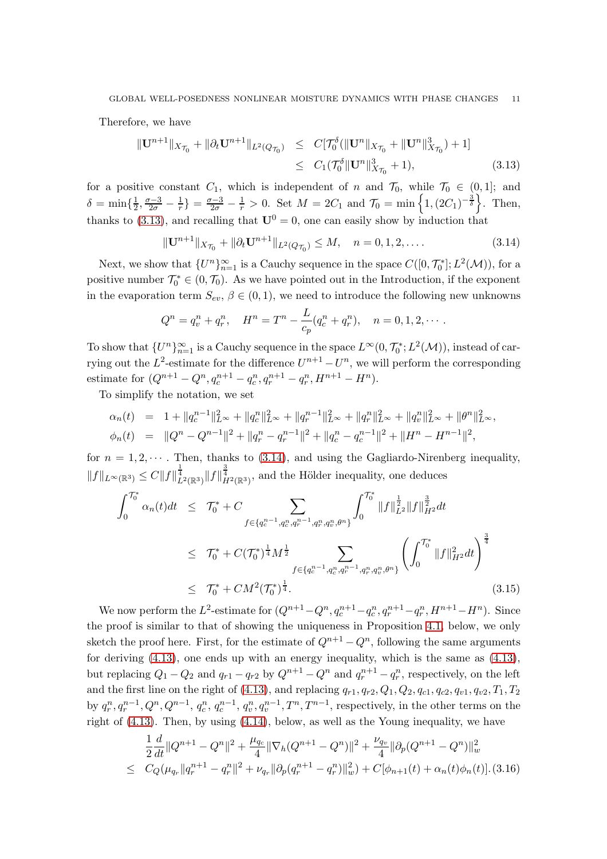Therefore, we have

<span id="page-10-0"></span>
$$
\begin{aligned} \|\mathbf{U}^{n+1}\|_{X_{\mathcal{T}_0}} + \|\partial_t \mathbf{U}^{n+1}\|_{L^2(Q_{\mathcal{T}_0})} &\leq C[\mathcal{T}_0^\delta(\|\mathbf{U}^n\|_{X_{\mathcal{T}_0}} + \|\mathbf{U}^n\|_{X_{\mathcal{T}_0}}^3) + 1] \\ &\leq C_1(\mathcal{T}_0^\delta \|\mathbf{U}^n\|_{X_{\mathcal{T}_0}}^3 + 1), \end{aligned} \tag{3.13}
$$

for a positive constant  $C_1$ , which is independent of n and  $\mathcal{T}_0$ , while  $\mathcal{T}_0 \in (0,1]$ ; and  $\delta = \min\{\frac{1}{2}$  $\frac{1}{2}, \frac{\sigma-3}{2\sigma} - \frac{1}{r}$  =  $\frac{\sigma-3}{2\sigma} - \frac{1}{r} > 0$ . Set  $M = 2C_1$  and  $\mathcal{T}_0 = \min\left\{1, (2C_1)^{-\frac{3}{\delta}}\right\}$ . Then, thanks to [\(3.13\)](#page-10-0), and recalling that  $\mathbf{U}^0 = 0$ , one can easily show by induction that

<span id="page-10-1"></span>
$$
\|\mathbf{U}^{n+1}\|_{X_{\mathcal{T}_0}} + \|\partial_t \mathbf{U}^{n+1}\|_{L^2(Q_{\mathcal{T}_0})} \le M, \quad n = 0, 1, 2, \dots
$$
\n(3.14)

Next, we show that  $\{U^n\}_{n=1}^{\infty}$  is a Cauchy sequence in the space  $C([0, \mathcal{T}_0^*]; L^2(\mathcal{M}))$ , for a positive number  $\mathcal{T}_0^* \in (0, \mathcal{T}_0)$ . As we have pointed out in the Introduction, if the exponent in the evaporation term  $S_{ev}$ ,  $\beta \in (0,1)$ , we need to introduce the following new unknowns

$$
Q^{n} = q_{v}^{n} + q_{r}^{n}, \quad H^{n} = T^{n} - \frac{L}{c_{p}}(q_{c}^{n} + q_{r}^{n}), \quad n = 0, 1, 2, \cdots.
$$

To show that  $\{U^n\}_{n=1}^{\infty}$  is a Cauchy sequence in the space  $L^{\infty}(0, \mathcal{T}_0^*; L^2(\mathcal{M}))$ , instead of carrying out the  $L^2$ -estimate for the difference  $U^{n+1} - U^n$ , we will perform the corresponding estimate for  $(Q^{n+1} - Q^n, q_c^{n+1} - q_c^n, q_r^{n+1} - q_r^n, H^{n+1} - H^n)$ .

To simplify the notation, we set

$$
\alpha_n(t) = 1 + ||q_c^{n-1}||_{L^{\infty}}^2 + ||q_c^n||_{L^{\infty}}^2 + ||q_r^{n-1}||_{L^{\infty}}^2 + ||q_r^n||_{L^{\infty}}^2 + ||q_v^n||_{L^{\infty}}^2 + ||q_v^n||_{L^{\infty}}^2 + ||\theta^n||_{L^{\infty}}^2,
$$
  

$$
\phi_n(t) = ||Q^n - Q^{n-1}||^2 + ||q_r^n - q_r^{n-1}||^2 + ||q_c^n - q_c^{n-1}||^2 + ||H^n - H^{n-1}||^2,
$$

for  $n = 1, 2, \dots$ . Then, thanks to [\(3.14\)](#page-10-1), and using the Gagliardo-Nirenberg inequality,  $||f||_{L^{\infty}(\mathbb{R}^3)} \leq C||f||_{L^{2}(\mathbb{R}^3)}^{\frac{3}{4}}||f||_{H^{2}(\mathbb{R}^3)}^{\frac{3}{4}},$  and the Hölder inequality, one deduces

<span id="page-10-3"></span>
$$
\int_{0}^{\mathcal{T}_{0}^{*}} \alpha_{n}(t)dt \leq \mathcal{T}_{0}^{*} + C \sum_{f \in \{q_{c}^{n-1}, q_{c}^{n}, q_{r}^{n-1}, q_{r}^{n}, q_{v}^{n}, \theta^{n}\}} \int_{0}^{\mathcal{T}_{0}^{*}} \|f\|_{L^{2}}^{\frac{1}{2}} \|f\|_{H^{2}}^{\frac{3}{2}} dt
$$
\n
$$
\leq \mathcal{T}_{0}^{*} + C(\mathcal{T}_{0}^{*})^{\frac{1}{4}} M^{\frac{1}{2}} \sum_{f \in \{q_{c}^{n-1}, q_{c}^{n}, q_{r}^{n-1}, q_{r}^{n}, q_{v}^{n}, \theta^{n}\}} \left(\int_{0}^{\mathcal{T}_{0}^{*}} \|f\|_{H^{2}}^{2} dt\right)^{\frac{3}{4}}
$$
\n
$$
\leq \mathcal{T}_{0}^{*} + CM^{2}(\mathcal{T}_{0}^{*})^{\frac{1}{4}}.
$$
\n(3.15)

We now perform the  $L^2$ -estimate for  $(Q^{n+1}-Q^n, q_c^{n+1}-q_c^n, q_r^{n+1}-q_r^n, H^{n+1}-H^n)$ . Since the proof is similar to that of showing the uniqueness in Proposition [4.1,](#page-20-1) below, we only sketch the proof here. First, for the estimate of  $Q^{n+1} - Q^n$ , following the same arguments for deriving [\(4.13\)](#page-22-0), one ends up with an energy inequality, which is the same as [\(4.13\)](#page-22-0), but replacing  $Q_1 - Q_2$  and  $q_{r1} - q_{r2}$  by  $Q^{n+1} - Q^n$  and  $q_r^{n+1} - q_r^n$ , respectively, on the left and the first line on the right of [\(4.13\)](#page-22-0), and replacing  $q_{r1}, q_{r2}, Q_1, Q_2, q_{c1}, q_{c2}, q_{v1}, q_{v2}, T_1, T_2$ by  $q_r^n, q_r^{n-1}, Q^n, Q^{n-1}, q_c^n, q_c^{n-1}, q_v^n, q_v^{n-1}, T^n, T^{n-1}$ , respectively, in the other terms on the right of  $(4.13)$ . Then, by using  $(4.14)$ , below, as well as the Young inequality, we have

<span id="page-10-2"></span>
$$
\frac{1}{2}\frac{d}{dt}\|Q^{n+1} - Q^n\|^2 + \frac{\mu_{q_c}}{4}\|\nabla_h(Q^{n+1} - Q^n)\|^2 + \frac{\nu_{q_v}}{4}\|\partial_p(Q^{n+1} - Q^n)\|_w^2
$$
\n
$$
\leq C_Q(\mu_{q_r}\|q_r^{n+1} - q_r^n\|^2 + \nu_{q_r}\|\partial_p(q_r^{n+1} - q_r^n)\|_w^2) + C[\phi_{n+1}(t) + \alpha_n(t)\phi_n(t)].
$$
\n(3.16)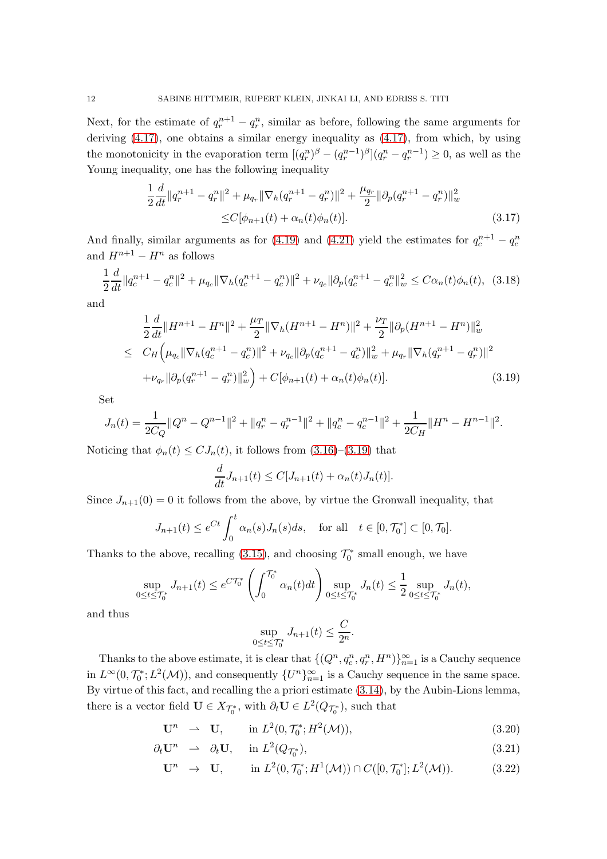Next, for the estimate of  $q_r^{n+1} - q_r^n$ , similar as before, following the same arguments for deriving [\(4.17\)](#page-23-0), one obtains a similar energy inequality as [\(4.17\)](#page-23-0), from which, by using the monotonicity in the evaporation term  $[(q_r^n)^{\beta} - (q_r^{n-1})^{\beta}](q_r^n - q_r^{n-1}) \geq 0$ , as well as the Young inequality, one has the following inequality

$$
\frac{1}{2}\frac{d}{dt}\|q_r^{n+1} - q_r^n\|^2 + \mu_{q_r}\|\nabla_h(q_r^{n+1} - q_r^n)\|^2 + \frac{\mu_{q_r}}{2}\|\partial_p(q_r^{n+1} - q_r^n)\|^2_w
$$
  
\n
$$
\leq C[\phi_{n+1}(t) + \alpha_n(t)\phi_n(t)].
$$
\n(3.17)

And finally, similar arguments as for [\(4.19\)](#page-23-1) and [\(4.21\)](#page-24-0) yield the estimates for  $q_c^{n+1} - q_c^n$ and  $H^{n+1} - H^n$  as follows

$$
\frac{1}{2}\frac{d}{dt}\|q_c^{n+1} - q_c^n\|^2 + \mu_{q_c}\|\nabla_h(q_c^{n+1} - q_c^n)\|^2 + \nu_{q_c}\|\partial_p(q_c^{n+1} - q_c^n\|_w^2 \le C\alpha_n(t)\phi_n(t), \tag{3.18}
$$

and

<span id="page-11-0"></span>
$$
\frac{1}{2}\frac{d}{dt}\|H^{n+1} - H^n\|^2 + \frac{\mu_T}{2}\|\nabla_h(H^{n+1} - H^n)\|^2 + \frac{\nu_T}{2}\|\partial_p(H^{n+1} - H^n)\|^2_{w}
$$
\n
$$
\leq C_H\left(\mu_{q_c}\|\nabla_h(q_c^{n+1} - q_c^n)\|^2 + \nu_{q_c}\|\partial_p(q_c^{n+1} - q_c^n)\|^2_{w} + \mu_{q_r}\|\nabla_h(q_r^{n+1} - q_r^n)\|^2
$$
\n
$$
+ \nu_{q_r}\|\partial_p(q_r^{n+1} - q_r^n)\|^2_{w}\right) + C[\phi_{n+1}(t) + \alpha_n(t)\phi_n(t)]. \tag{3.19}
$$

Set

$$
J_n(t) = \frac{1}{2C_Q} ||Q^n - Q^{n-1}||^2 + ||q_r^n - q_r^{n-1}||^2 + ||q_c^n - q_c^{n-1}||^2 + \frac{1}{2C_H} ||H^n - H^{n-1}||^2.
$$

Noticing that  $\phi_n(t) \leq C J_n(t)$ , it follows from  $(3.16)-(3.19)$  $(3.16)-(3.19)$  that

$$
\frac{d}{dt}J_{n+1}(t) \leq C[J_{n+1}(t) + \alpha_n(t)J_n(t)].
$$

Since  $J_{n+1}(0) = 0$  it follows from the above, by virtue the Gronwall inequality, that

$$
J_{n+1}(t) \le e^{Ct} \int_0^t \alpha_n(s) J_n(s) ds, \quad \text{for all} \quad t \in [0, \mathcal{T}_0^*] \subset [0, \mathcal{T}_0].
$$

Thanks to the above, recalling [\(3.15\)](#page-10-3), and choosing  $\mathcal{T}_0^*$  small enough, we have

$$
\sup_{0 \le t \le \mathcal{T}_0^*} J_{n+1}(t) \le e^{C\mathcal{T}_0^*} \left( \int_0^{\mathcal{T}_0^*} \alpha_n(t) dt \right) \sup_{0 \le t \le \mathcal{T}_0^*} J_n(t) \le \frac{1}{2} \sup_{0 \le t \le \mathcal{T}_0^*} J_n(t),
$$

and thus

$$
\sup_{0\leq t\leq \mathcal{T}_0^*} J_{n+1}(t) \leq \frac{C}{2^n}.
$$

Thanks to the above estimate, it is clear that  $\{(Q^n, q_c^n, q_r^n, H^n)\}_{n=1}^{\infty}$  is a Cauchy sequence in  $L^{\infty}(0, \mathcal{T}_0^*; L^2(\mathcal{M}))$ , and consequently  $\{U^n\}_{n=1}^{\infty}$  is a Cauchy sequence in the same space. By virtue of this fact, and recalling the a priori estimate [\(3.14\)](#page-10-1), by the Aubin-Lions lemma, there is a vector field  $\mathbf{U} \in X_{\mathcal{T}_0^*}$ , with  $\partial_t \mathbf{U} \in L^2(Q_{\mathcal{T}_0^*})$ , such that

$$
\mathbf{U}^n \quad \rightharpoonup \quad \mathbf{U}, \qquad \text{in } L^2(0, \mathcal{T}_0^*; H^2(\mathcal{M})), \tag{3.20}
$$

$$
\partial_t \mathbf{U}^n \quad \to \quad \partial_t \mathbf{U}, \quad \text{in } L^2(Q_{\mathcal{T}_0^*}), \tag{3.21}
$$

$$
\mathbf{U}^n \to \mathbf{U}, \quad \text{in } L^2(0, \mathcal{T}_0^*; H^1(\mathcal{M})) \cap C([0, \mathcal{T}_0^*]; L^2(\mathcal{M})). \tag{3.22}
$$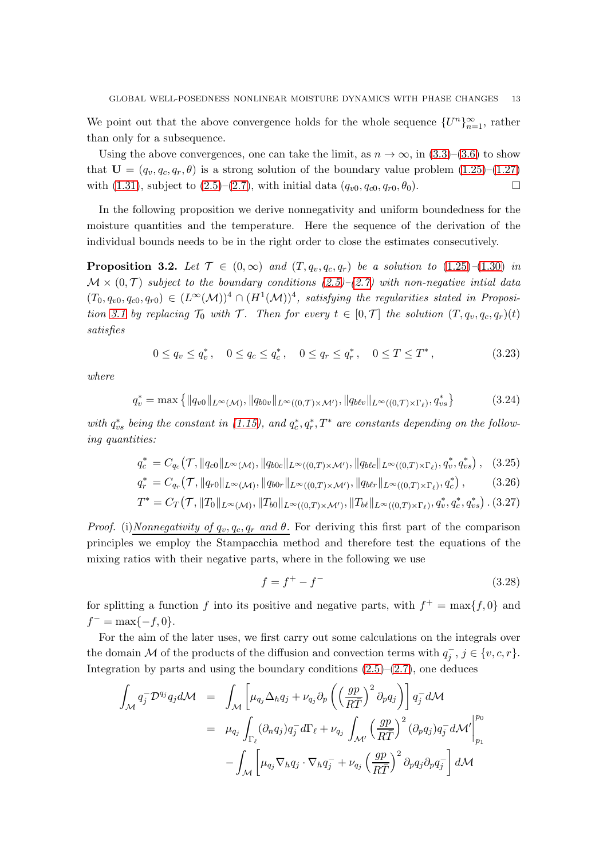We point out that the above convergence holds for the whole sequence  ${U^n}_{n=1}^{\infty}$ , rather than only for a subsequence.

Using the above convergences, one can take the limit, as  $n \to \infty$ , in  $(3.3)$ – $(3.6)$  to show that  $U = (q_v, q_c, q_r, \theta)$  is a strong solution of the boundary value problem  $(1.25)$ – $(1.27)$ with [\(1.31\)](#page-6-4), subject to [\(2.5\)](#page-7-1)–[\(2.7\)](#page-7-1), with initial data  $(q_{v0}, q_{c0}, q_{r0}, \theta_0)$ .

In the following proposition we derive nonnegativity and uniform boundedness for the moisture quantities and the temperature. Here the sequence of the derivation of the individual bounds needs to be in the right order to close the estimates consecutively.

<span id="page-12-1"></span>**Proposition 3.2.** Let  $\mathcal{T} \in (0,\infty)$  and  $(T, q_v, q_c, q_r)$  be a solution to  $(1.25)-(1.30)$  $(1.25)-(1.30)$  $(1.25)-(1.30)$  in  $\mathcal{M} \times (0,\mathcal{T})$  subject to the boundary conditions [\(2.5\)](#page-7-1)–[\(2.7\)](#page-7-1) with non-negative intial data  $(T_0, q_{v0}, q_{c0}, q_{r0}) \in (L^{\infty}(\mathcal{M}))^4 \cap (H^1(\mathcal{M}))^4$ , satisfying the regularities stated in Proposi-tion [3.1](#page-8-2) by replacing  $\mathcal{T}_0$  with  $\mathcal{T}$ . Then for every  $t \in [0, \mathcal{T}]$  the solution  $(T, q_v, q_c, q_r)(t)$ satisfies

$$
0 \le q_v \le q_v^*, \quad 0 \le q_c \le q_c^*, \quad 0 \le q_r \le q_r^*, \quad 0 \le T \le T^*, \tag{3.23}
$$

where

<span id="page-12-0"></span>
$$
q_v^* = \max\left\{ \|q_{v0}\|_{L^{\infty}(\mathcal{M})}, \|q_{b0v}\|_{L^{\infty}((0,\mathcal{T}) \times \mathcal{M}')} , \|q_{b\ell v}\|_{L^{\infty}((0,\mathcal{T}) \times \Gamma_{\ell})}, q_{vs}^* \right\}
$$
(3.24)

with  $q_{vs}^*$  being the constant in [\(1.15\)](#page-4-0), and  $q_c^*, q_r^*, T^*$  are constants depending on the following quantities:

$$
q_c^* = C_{q_c}(\mathcal{T}, \|q_{c0}\|_{L^{\infty}(\mathcal{M})}, \|q_{b0c}\|_{L^{\infty}((0,T)\times\mathcal{M}'), \|q_{b\ell c}\|_{L^{\infty}((0,T)\times\Gamma_{\ell})}, q_v^*, q_{vs}^*\}, \quad (3.25)
$$

$$
q_r^* = C_{q_r}(\mathcal{T}, \|q_{r0}\|_{L^{\infty}(\mathcal{M})}, \|q_{b0r}\|_{L^{\infty}((0,T)\times\mathcal{M}')} , \|q_{b\ell r}\|_{L^{\infty}((0,T)\times\Gamma_{\ell})}, q_c^*) ,
$$
\n(3.26)

$$
T^* = C_T(\mathcal{T}, \|T_0\|_{L^{\infty}(\mathcal{M})}, \|T_{b0}\|_{L^{\infty}((0,T)\times\mathcal{M}')} , \|T_{b\ell}\|_{L^{\infty}((0,T)\times\Gamma_{\ell})}, q_v^*, q_c^*, q_{vs}^* ) .
$$
 (3.27)  
*Proof.* (i) *Nonnegativity of*  $q_v, q_c, q_r$  *and*  $\theta$ . For deriving this first part of the comparison

principles we employ the Stampacchia method and therefore test the equations of the mixing ratios with their negative parts, where in the following we use

$$
f = f^{+} - f^{-} \tag{3.28}
$$

for splitting a function f into its positive and negative parts, with  $f^+ = \max\{f, 0\}$  and  $f^{-} = \max\{-f, 0\}.$ 

For the aim of the later uses, we first carry out some calculations on the integrals over the domain M of the products of the diffusion and convection terms with  $q_j^-$ ,  $j \in \{v, c, r\}$ . Integration by parts and using the boundary conditions  $(2.5)$ – $(2.7)$ , one deduces

$$
\int_{\mathcal{M}} q_j^- \mathcal{D}^{q_j} q_j d\mathcal{M} = \int_{\mathcal{M}} \left[ \mu_{q_j} \Delta_h q_j + \nu_{q_j} \partial_p \left( \left( \frac{gp}{R\bar{T}} \right)^2 \partial_p q_j \right) \right] q_j^- d\mathcal{M}
$$
\n
$$
= \mu_{q_j} \int_{\Gamma_\ell} (\partial_n q_j) q_j^- d\Gamma_\ell + \nu_{q_j} \int_{\mathcal{M}'} \left( \frac{gp}{R\bar{T}} \right)^2 (\partial_p q_j) q_j^- d\mathcal{M}' \Big|_{p_1}^{p_0}
$$
\n
$$
- \int_{\mathcal{M}} \left[ \mu_{q_j} \nabla_h q_j \cdot \nabla_h q_j^- + \nu_{q_j} \left( \frac{gp}{R\bar{T}} \right)^2 \partial_p q_j \partial_p q_j^- \right] d\mathcal{M}
$$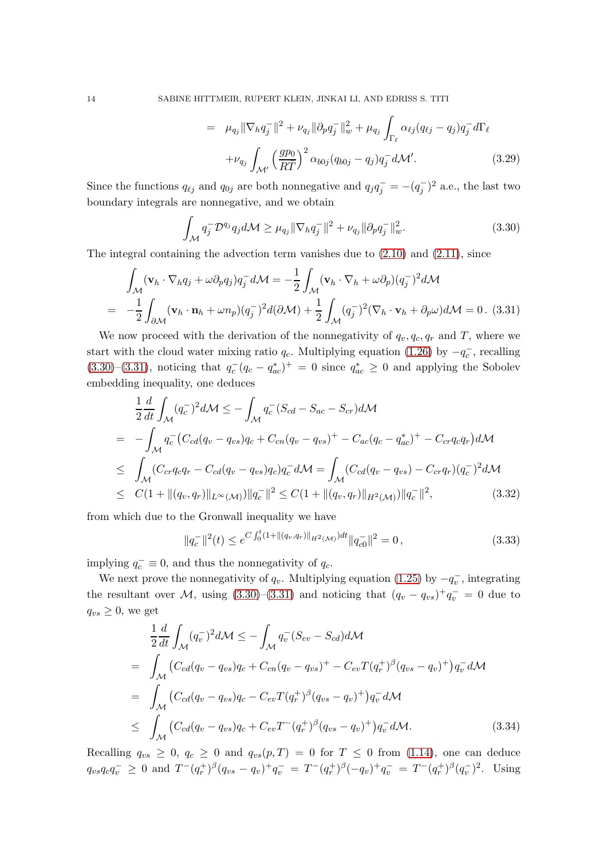$$
= \mu_{q_j} \|\nabla_h q_j^-\|^2 + \nu_{q_j} \|\partial_p q_j^-\|^2_w + \mu_{q_j} \int_{\Gamma_\ell} \alpha_{\ell j} (q_{\ell j} - q_j) q_j^- d\Gamma_\ell + \nu_{q_j} \int_{\mathcal{M}'} \left(\frac{gp_0}{R\bar{T}}\right)^2 \alpha_{b0j} (q_{b0j} - q_j) q_j^- d\mathcal{M}'.
$$
 (3.29)

Since the functions  $q_{\ell j}$  and  $q_{0j}$  are both nonnegative and  $q_j q_j^- = -(q_j^-)^2$  a.e., the last two boundary integrals are nonnegative, and we obtain

<span id="page-13-0"></span>
$$
\int_{\mathcal{M}} q_j^- \mathcal{D}^{q_j} q_j d\mathcal{M} \ge \mu_{q_j} \|\nabla_h q_j^-\|^2 + \nu_{q_j} \|\partial_p q_j^-\|_w^2.
$$
 (3.30)

The integral containing the advection term vanishes due to  $(2.10)$  and  $(2.11)$ , since

<span id="page-13-1"></span>
$$
\int_{\mathcal{M}} (\mathbf{v}_h \cdot \nabla_h q_j + \omega \partial_p q_j) q_j^- d\mathcal{M} = -\frac{1}{2} \int_{\mathcal{M}} (\mathbf{v}_h \cdot \nabla_h + \omega \partial_p) (q_j^-)^2 d\mathcal{M}
$$
  
= 
$$
-\frac{1}{2} \int_{\partial \mathcal{M}} (\mathbf{v}_h \cdot \mathbf{n}_h + \omega n_p) (q_j^-)^2 d(\partial \mathcal{M}) + \frac{1}{2} \int_{\mathcal{M}} (q_j^-)^2 (\nabla_h \cdot \mathbf{v}_h + \partial_p \omega) d\mathcal{M} = 0.
$$
 (3.31)

We now proceed with the derivation of the nonnegativity of  $q_v, q_c, q_r$  and T, where we start with the cloud water mixing ratio  $q_c$ . Multiplying equation [\(1.26\)](#page-6-2) by  $-q_c^-$ , recalling  $(3.30)$ – $(3.31)$ , noticing that  $q_c^-(q_c - q_{ac}^*)^+ = 0$  since  $q_{ac}^* \ge 0$  and applying the Sobolev embedding inequality, one deduces

$$
\frac{1}{2} \frac{d}{dt} \int_{\mathcal{M}} (q_c^{-})^2 d\mathcal{M} \le - \int_{\mathcal{M}} q_c^{-} (S_{cd} - S_{ac} - S_{cr}) d\mathcal{M}
$$
\n
$$
= - \int_{\mathcal{M}} q_c^{-} (C_{cd}(q_v - q_{vs}) q_c + C_{cn}(q_v - q_{vs})^{+} - C_{ac}(q_c - q_{ac}^{*})^{+} - C_{cr}q_c q_r) d\mathcal{M}
$$
\n
$$
\le \int_{\mathcal{M}} (C_{cr} q_c q_r - C_{cd}(q_v - q_{vs}) q_c) q_c^{-} d\mathcal{M} = \int_{\mathcal{M}} (C_{cd}(q_v - q_{vs}) - C_{cr} q_r) (q_c^{-})^2 d\mathcal{M}
$$
\n
$$
\le C(1 + ||(q_v, q_r)||_{L^{\infty}(\mathcal{M})}) ||q_c^{-}||^{2} \le C(1 + ||(q_v, q_r)||_{H^2(\mathcal{M})}) ||q_c^{-}||^{2}, \qquad (3.32)
$$

from which due to the Gronwall inequality we have

$$
||q_c^-||^2(t) \le e^{C \int_0^t (1+||(q_v, q_r)||_{H^2(\mathcal{M})})dt} ||q_c^-||^2 = 0,
$$
\n(3.33)

implying  $q_c^- \equiv 0$ , and thus the nonnegativity of  $q_c$ .

We next prove the nonnegativity of  $q_v$ . Multiplying equation [\(1.25\)](#page-6-2) by  $-q_v^-$ , integrating the resultant over M, using  $(3.30)$ – $(3.31)$  and noticing that  $(q_v - q_{vs})^+ q_v^- = 0$  due to  $q_{vs} \geq 0$ , we get

$$
\frac{1}{2}\frac{d}{dt}\int_{\mathcal{M}}(q_v^{-})^2 d\mathcal{M} \leq -\int_{\mathcal{M}}q_v^{-}(S_{ev}-S_{cd})d\mathcal{M}
$$
\n
$$
=\int_{\mathcal{M}}\left(C_{cd}(q_v-q_{vs})q_c+C_{cn}(q_v-q_{vs})^{+}-C_{ev}T(q_r^{+})^{\beta}(q_{vs}-q_v)^{+}\right)q_v^{-}d\mathcal{M}
$$
\n
$$
=\int_{\mathcal{M}}\left(C_{cd}(q_v-q_{vs})q_c-C_{ev}T(q_r^{+})^{\beta}(q_{vs}-q_v)^{+}\right)q_v^{-}d\mathcal{M}
$$
\n
$$
\leq \int_{\mathcal{M}}\left(C_{cd}(q_v-q_{vs})q_c+C_{ev}T^{-}(q_r^{+})^{\beta}(q_{vs}-q_v)^{+}\right)q_v^{-}d\mathcal{M}.
$$
\n(3.34)

Recalling  $q_{vs} \geq 0$ ,  $q_c \geq 0$  and  $q_{vs}(p,T) = 0$  for  $T \leq 0$  from [\(1.14\)](#page-4-1), one can deduce  $q_{vs}q_cq_v^{-} \ge 0$  and  $T^{-}(q_r^{+})^{\beta}(q_{vs}-q_v)^+q_v^{-} = T^{-}(q_r^{+})^{\beta}(-q_v)^+q_v^{-} = T^{-}(q_r^{+})^{\beta}(q_v^{-})^2$ . Using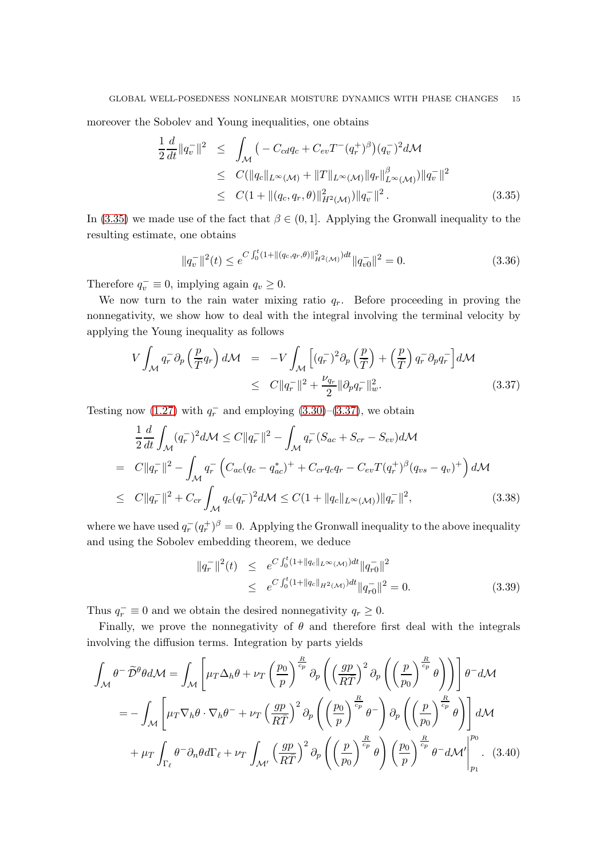moreover the Sobolev and Young inequalities, one obtains

<span id="page-14-0"></span>
$$
\frac{1}{2} \frac{d}{dt} \|q_v^-\|^2 \leq \int_{\mathcal{M}} \left( -C_{cd} q_c + C_{ev} T^-(q_r^+)^{\beta} \right) (q_v^-)^2 d\mathcal{M} \leq C (\|q_c\|_{L^{\infty}(\mathcal{M})} + \|T\|_{L^{\infty}(\mathcal{M})} \|q_r\|_{L^{\infty}(\mathcal{M})}^{\beta}) \|q_v^-\|^2 \leq C (1 + \| (q_c, q_r, \theta) \|_{H^2(\mathcal{M})}^2) \|q_v^-\|^2.
$$
\n(3.35)

In [\(3.35\)](#page-14-0) we made use of the fact that  $\beta \in (0,1]$ . Applying the Gronwall inequality to the resulting estimate, one obtains

$$
||q_v^-||^2(t) \le e^{C \int_0^t (1+||(q_c,q_r,\theta)||_{H^2(\mathcal{M})}^2)dt} ||q_v^-||^2 = 0.
$$
\n(3.36)

Therefore  $q_v^- \equiv 0$ , implying again  $q_v \ge 0$ .

We now turn to the rain water mixing ratio  $q_r$ . Before proceeding in proving the nonnegativity, we show how to deal with the integral involving the terminal velocity by applying the Young inequality as follows

<span id="page-14-1"></span>
$$
V \int_{\mathcal{M}} q_r^- \partial_p \left( \frac{p}{\overline{T}} q_r \right) d\mathcal{M} = -V \int_{\mathcal{M}} \left[ (q_r^-)^2 \partial_p \left( \frac{p}{\overline{T}} \right) + \left( \frac{p}{\overline{T}} \right) q_r^- \partial_p q_r^- \right] d\mathcal{M}
$$
  

$$
\leq C \| q_r^- \|^2 + \frac{\nu_{q_r}}{2} \| \partial_p q_r^- \|^2_w. \tag{3.37}
$$

Testing now [\(1.27\)](#page-6-2) with  $q_r^-$  and employing [\(3.30\)](#page-13-0)–[\(3.37\)](#page-14-1), we obtain

$$
\frac{1}{2}\frac{d}{dt}\int_{\mathcal{M}} (q_r^{-})^2 d\mathcal{M} \le C \|q_r^{-}\|^2 - \int_{\mathcal{M}} q_r^{-} (S_{ac} + S_{cr} - S_{ev}) d\mathcal{M}
$$
\n
$$
= C \|q_r^{-}\|^2 - \int_{\mathcal{M}} q_r^{-} \left( C_{ac}(q_c - q_{ac}^{*})^{+} + C_{cr} q_c q_r - C_{ev} T (q_r^{+})^{\beta} (q_{vs} - q_v)^{+} \right) d\mathcal{M}
$$
\n
$$
\le C \|q_r^{-}\|^2 + C_{cr} \int_{\mathcal{M}} q_c(q_r^{-})^2 d\mathcal{M} \le C (1 + \|q_c\|_{L^{\infty}(\mathcal{M})}) \|q_r^{-}\|^2, \tag{3.38}
$$

where we have used  $q_r^-(q_r^+)^{\beta} = 0$ . Applying the Gronwall inequality to the above inequality and using the Sobolev embedding theorem, we deduce

$$
||q_r^-||^2(t) \le e^{C \int_0^t (1+||q_c||_{L^{\infty}(\mathcal{M})})dt} ||q_{r0}^-||^2
$$
  
 
$$
\le e^{C \int_0^t (1+||q_c||_{H^2(\mathcal{M})})dt} ||q_{r0}^-||^2 = 0.
$$
 (3.39)

Thus  $q_r^- \equiv 0$  and we obtain the desired nonnegativity  $q_r \ge 0$ .

Finally, we prove the nonnegativity of  $\theta$  and therefore first deal with the integrals involving the diffusion terms. Integration by parts yields

$$
\int_{\mathcal{M}} \theta^{-} \widetilde{\mathcal{D}}^{\theta} \theta d\mathcal{M} = \int_{\mathcal{M}} \left[ \mu_{T} \Delta_{h} \theta + \nu_{T} \left( \frac{p_{0}}{p} \right)^{\frac{R}{cp}} \partial_{p} \left( \left( \frac{gp}{R\overline{T}} \right)^{2} \partial_{p} \left( \left( \frac{p}{p_{0}} \right)^{\frac{R}{cp}} \theta \right) \right) \right] \theta^{-} d\mathcal{M}
$$
\n
$$
= - \int_{\mathcal{M}} \left[ \mu_{T} \nabla_{h} \theta \cdot \nabla_{h} \theta^{-} + \nu_{T} \left( \frac{gp}{R\overline{T}} \right)^{2} \partial_{p} \left( \left( \frac{p_{0}}{p} \right)^{\frac{R}{cp}} \theta^{-} \right) \partial_{p} \left( \left( \frac{p}{p_{0}} \right)^{\frac{R}{cp}} \theta \right) \right] d\mathcal{M}
$$
\n
$$
+ \mu_{T} \int_{\Gamma_{\ell}} \theta^{-} \partial_{n} \theta d\Gamma_{\ell} + \nu_{T} \int_{\mathcal{M}'} \left( \frac{gp}{R\overline{T}} \right)^{2} \partial_{p} \left( \left( \frac{p}{p_{0}} \right)^{\frac{R}{cp}} \theta \right) \left( \frac{p_{0}}{p} \right)^{\frac{R}{cp}} \theta^{-} d\mathcal{M}' \Big|_{p_{1}}^{p_{0}}. (3.40)
$$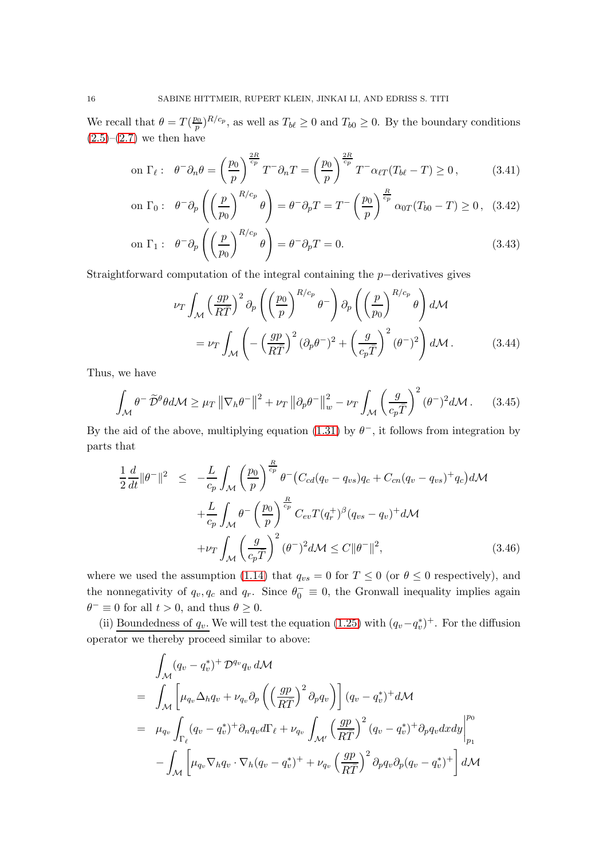We recall that  $\theta = T(\frac{p_0}{p})$  $\frac{p_0}{p}$ ,  $R/c_p$ , as well as  $T_{b\ell} \geq 0$  and  $T_{b0} \geq 0$ . By the boundary conditions  $(2.5)-(2.7)$  $(2.5)-(2.7)$  $(2.5)-(2.7)$  we then have

on 
$$
\Gamma_{\ell}
$$
:  $\theta^{-} \partial_{n} \theta = \left(\frac{p_{0}}{p}\right)^{\frac{2R}{c_{p}}} T^{-} \partial_{n} T = \left(\frac{p_{0}}{p}\right)^{\frac{2R}{c_{p}}} T^{-} \alpha_{\ell T} (T_{b\ell} - T) \ge 0,$  (3.41)

on 
$$
\Gamma_0
$$
:  $\theta^- \partial_p \left( \left( \frac{p}{p_0} \right)^{R/c_p} \theta \right) = \theta^- \partial_p T = T^- \left( \frac{p_0}{p} \right)^{\frac{R}{c_p}} \alpha_{0T} (T_{b0} - T) \ge 0$ , (3.42)

on 
$$
\Gamma_1
$$
:  $\theta^- \partial_p \left( \left( \frac{p}{p_0} \right)^{R/c_p} \theta \right) = \theta^- \partial_p T = 0.$  (3.43)

Straightforward computation of the integral containing the p−derivatives gives

$$
\nu_T \int_{\mathcal{M}} \left(\frac{gp}{R\bar{T}}\right)^2 \partial_p \left(\left(\frac{p_0}{p}\right)^{R/c_p} \theta^{-}\right) \partial_p \left(\left(\frac{p}{p_0}\right)^{R/c_p} \theta\right) d\mathcal{M}
$$

$$
= \nu_T \int_{\mathcal{M}} \left(-\left(\frac{gp}{R\bar{T}}\right)^2 (\partial_p \theta^{-})^2 + \left(\frac{g}{c_p \bar{T}}\right)^2 (\theta^{-})^2\right) d\mathcal{M}. \tag{3.44}
$$

Thus, we have

$$
\int_{\mathcal{M}} \theta^{-} \widetilde{\mathcal{D}}^{\theta} \theta d\mathcal{M} \geq \mu_{T} \left\| \nabla_{h} \theta^{-} \right\|^{2} + \nu_{T} \left\| \partial_{p} \theta^{-} \right\|_{w}^{2} - \nu_{T} \int_{\mathcal{M}} \left( \frac{g}{c_{p} \overline{T}} \right)^{2} (\theta^{-})^{2} d\mathcal{M}. \tag{3.45}
$$

By the aid of the above, multiplying equation [\(1.31\)](#page-6-4) by  $\theta^-$ , it follows from integration by parts that

$$
\frac{1}{2}\frac{d}{dt}\|\theta^{-}\|^2 \leq -\frac{L}{c_p} \int_{\mathcal{M}} \left(\frac{p_0}{p}\right)^{\frac{R}{c_p}} \theta^{-} \left(C_{cd}(q_v - q_{vs})q_c + C_{cn}(q_v - q_{vs})^{+}q_c\right) d\mathcal{M}
$$

$$
+\frac{L}{c_p} \int_{\mathcal{M}} \theta^{-} \left(\frac{p_0}{p}\right)^{\frac{R}{c_p}} C_{ev} T(q_r^{+})^{\beta} (q_{vs} - q_v)^{+} d\mathcal{M}
$$

$$
+\nu_T \int_{\mathcal{M}} \left(\frac{g}{c_p \overline{T}}\right)^2 (\theta^{-})^2 d\mathcal{M} \leq C \|\theta^{-}\|^2, \tag{3.46}
$$

where we used the assumption [\(1.14\)](#page-4-1) that  $q_{vs} = 0$  for  $T \le 0$  (or  $\theta \le 0$  respectively), and the nonnegativity of  $q_v, q_c$  and  $q_r$ . Since  $\theta_0^- \equiv 0$ , the Gronwall inequality implies again  $\theta^- \equiv 0$  for all  $t > 0$ , and thus  $\theta \ge 0$ .

(ii) Boundedness of  $q_v$ . We will test the equation [\(1.25\)](#page-6-2) with  $(q_v - q_v^*)^+$ . For the diffusion operator we thereby proceed similar to above:

$$
\int_{\mathcal{M}} (q_v - q_v^*)^+ \mathcal{D}^{q_v} q_v d\mathcal{M}
$$
\n
$$
= \int_{\mathcal{M}} \left[ \mu_{q_v} \Delta_h q_v + \nu_{q_v} \partial_p \left( \left( \frac{gp}{R\bar{T}} \right)^2 \partial_p q_v \right) \right] (q_v - q_v^*)^+ d\mathcal{M}
$$
\n
$$
= \mu_{q_v} \int_{\Gamma_\ell} (q_v - q_v^*)^+ \partial_n q_v d\Gamma_\ell + \nu_{q_v} \int_{\mathcal{M}'} \left( \frac{gp}{R\bar{T}} \right)^2 (q_v - q_v^*)^+ \partial_p q_v dxdy \Big|_{p_1}^{p_0}
$$
\n
$$
- \int_{\mathcal{M}} \left[ \mu_{q_v} \nabla_h q_v \cdot \nabla_h (q_v - q_v^*)^+ + \nu_{q_v} \left( \frac{gp}{R\bar{T}} \right)^2 \partial_p q_v \partial_p (q_v - q_v^*)^+ \right] d\mathcal{M}
$$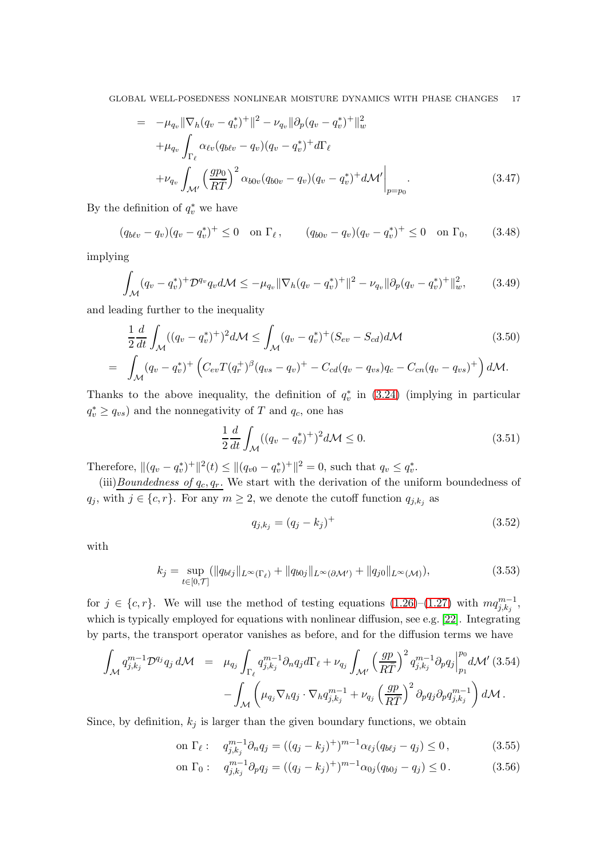$$
= -\mu_{q_v} \|\nabla_h (q_v - q_v^*)^+\|^2 - \nu_{q_v} \|\partial_p (q_v - q_v^*)^+\|^2_w + \mu_{q_v} \int_{\Gamma_\ell} \alpha_{\ell v} (q_{b\ell v} - q_v)(q_v - q_v^*)^+ d\Gamma_\ell + \nu_{q_v} \int_{\mathcal{M}'} \left(\frac{gp_0}{R\overline{T}}\right)^2 \alpha_{b0v} (q_{b0v} - q_v)(q_v - q_v^*)^+ d\mathcal{M}' \Big|_{p=p_0}.
$$
(3.47)

By the definition of  $q_v^*$  we have

$$
(q_{b\ell v} - q_v)(q_v - q_v^*)^+ \le 0 \quad \text{on } \Gamma_\ell \,, \qquad (q_{b0v} - q_v)(q_v - q_v^*)^+ \le 0 \quad \text{on } \Gamma_0, \tag{3.48}
$$

implying

$$
\int_{\mathcal{M}} (q_v - q_v^*)^+ \mathcal{D}^{q_v} q_v d\mathcal{M} \le -\mu_{q_v} \|\nabla_h (q_v - q_v^*)^+\|^2 - \nu_{q_v} \|\partial_p (q_v - q_v^*)^+\|_w^2,
$$
 (3.49)

and leading further to the inequality

$$
\frac{1}{2}\frac{d}{dt}\int_{\mathcal{M}}((q_v-q_v^*)^+)^2d\mathcal{M} \le \int_{\mathcal{M}}(q_v-q_v^*)^+(S_{ev}-S_{cd})d\mathcal{M}
$$
\n
$$
= \int_{\mathcal{M}}(q_v-q_v^*)^+\left(C_{ev}T(q_r^+)^{\beta}(q_{vs}-q_v)^+ - C_{cd}(q_v-q_{vs})q_c - C_{cn}(q_v-q_{vs})^+\right)d\mathcal{M}.
$$
\n(3.50)

Thanks to the above inequality, the definition of  $q_v^*$  in [\(3.24\)](#page-12-0) (implying in particular  $q_v^* \ge q_{vs}$ ) and the nonnegativity of T and  $q_c$ , one has

$$
\frac{1}{2}\frac{d}{dt}\int_{\mathcal{M}}((q_v - q_v^*)^+)^2 d\mathcal{M} \le 0.
$$
\n(3.51)

Therefore,  $||(q_v - q_v^*)^+||^2(t) \le ||(q_{v0} - q_v^*)^+||^2 = 0$ , such that  $q_v \le q_v^*$ .

(iii) $Boundedness of q_c, q_r$ . We start with the derivation of the uniform boundedness of  $q_j$ , with  $j \in \{c, r\}$ . For any  $m \ge 2$ , we denote the cutoff function  $q_{j,k_j}$  as

$$
q_{j,k_j} = (q_j - k_j)^{+}
$$
\n(3.52)

with

$$
k_j = \sup_{t \in [0,T]} (\|q_{b\ell j}\|_{L^{\infty}(\Gamma_{\ell})} + \|q_{b0j}\|_{L^{\infty}(\partial \mathcal{M}')} + \|q_{j0}\|_{L^{\infty}(\mathcal{M})}),
$$
(3.53)

for  $j \in \{c, r\}$ . We will use the method of testing equations  $(1.26)$ – $(1.27)$  with  $mq_{j,k_j}^{m-1}$ , which is typically employed for equations with nonlinear diffusion, see e.g. [\[22\]](#page-40-19). Integrating by parts, the transport operator vanishes as before, and for the diffusion terms we have

$$
\int_{\mathcal{M}} q_{j,k_j}^{m-1} \mathcal{D}^{q_j} q_j d\mathcal{M} = \mu_{q_j} \int_{\Gamma_{\ell}} q_{j,k_j}^{m-1} \partial_n q_j d\Gamma_{\ell} + \nu_{q_j} \int_{\mathcal{M}'} \left(\frac{gp}{R\overline{T}}\right)^2 q_{j,k_j}^{m-1} \partial_p q_j \Big|_{p_1}^{p_0} d\mathcal{M}' \ (3.54)
$$

$$
- \int_{\mathcal{M}} \left(\mu_{q_j} \nabla_h q_j \cdot \nabla_h q_{j,k_j}^{m-1} + \nu_{q_j} \left(\frac{gp}{R\overline{T}}\right)^2 \partial_p q_j \partial_p q_{j,k_j}^{m-1}\right) d\mathcal{M}.
$$

Since, by definition,  $k_j$  is larger than the given boundary functions, we obtain

on 
$$
\Gamma_{\ell}
$$
:  $q_{j,k_j}^{m-1} \partial_n q_j = ((q_j - k_j)^+)^{m-1} \alpha_{\ell j} (q_{b\ell j} - q_j) \le 0,$  (3.55)

on 
$$
\Gamma_0
$$
:  $q_{j,k_j}^{m-1} \partial_p q_j = ((q_j - k_j)^+)^{m-1} \alpha_{0j} (q_{b0j} - q_j) \le 0.$  (3.56)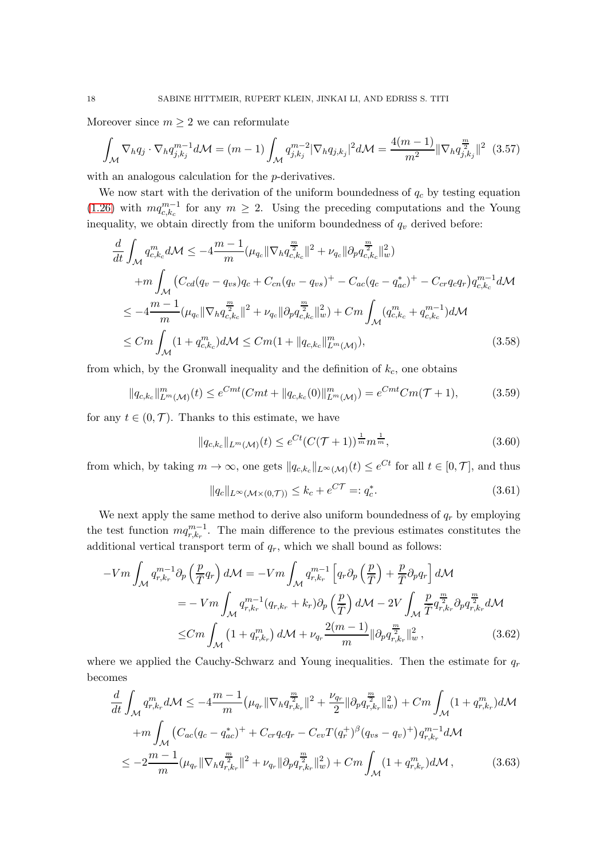Moreover since  $m \geq 2$  we can reformulate

$$
\int_{\mathcal{M}} \nabla_h q_j \cdot \nabla_h q_{j,k_j}^{m-1} d\mathcal{M} = (m-1) \int_{\mathcal{M}} q_{j,k_j}^{m-2} |\nabla_h q_{j,k_j}|^2 d\mathcal{M} = \frac{4(m-1)}{m^2} ||\nabla_h q_{j,k_j}^{m}||^2
$$
 (3.57)

with an analogous calculation for the *p*-derivatives.

We now start with the derivation of the uniform boundedness of  $q_c$  by testing equation [\(1.26\)](#page-6-2) with  $mq_{c,k_c}^{m-1}$  for any  $m \geq 2$ . Using the preceding computations and the Young inequality, we obtain directly from the uniform boundedness of  $q_v$  derived before:

$$
\frac{d}{dt} \int_{\mathcal{M}} q_{c,k_c}^m d\mathcal{M} \le -4 \frac{m-1}{m} (\mu_{q_c} \|\nabla_h q_{c,k_c}^{\frac{m}{2}}\|^2 + \nu_{q_c} \|\partial_p q_{c,k_c}^{\frac{m}{2}}\|_{w}^2) \n+ m \int_{\mathcal{M}} \left( C_{cd}(q_v - q_{vs})q_c + C_{cn}(q_v - q_{vs})^+ - C_{ac}(q_c - q_{ac}^*)^+ - C_{cr}q_cq_r \right) q_{c,k_c}^{m-1} d\mathcal{M} \n\le -4 \frac{m-1}{m} (\mu_{q_c} \|\nabla_h q_{c,k_c}^{\frac{m}{2}}\|^2 + \nu_{q_c} \|\partial_p q_{c,k_c}^{\frac{m}{2}}\|_{w}^2) + Cm \int_{\mathcal{M}} (q_{c,k_c}^m + q_{c,k_c}^{m-1}) d\mathcal{M} \n\le Cm \int_{\mathcal{M}} (1 + q_{c,k_c}^m) d\mathcal{M} \le Cm (1 + \|q_{c,k_c}\|_{L^m(\mathcal{M})}^m),
$$
\n(3.58)

from which, by the Gronwall inequality and the definition of  $k_c$ , one obtains

$$
||q_{c,k_c}||_{L^m(\mathcal{M})}^m(t) \le e^{Cmt}(Cmt + ||q_{c,k_c}(0)||_{L^m(\mathcal{M})}^m) = e^{Cmt}Cm(\mathcal{T}+1),
$$
\n(3.59)

for any  $t \in (0, \mathcal{T})$ . Thanks to this estimate, we have

$$
||q_{c,k_c}||_{L^m(\mathcal{M})}(t) \le e^{Ct}(C(\mathcal{T}+1))^{\frac{1}{m}} m^{\frac{1}{m}},
$$
\n(3.60)

from which, by taking  $m \to \infty$ , one gets  $||q_{c,k_c}||_{L^{\infty}(\mathcal{M})}(t) \leq e^{Ct}$  for all  $t \in [0, \mathcal{T}]$ , and thus

$$
||q_c||_{L^{\infty}(\mathcal{M}\times(0,\mathcal{T}))} \le k_c + e^{C\mathcal{T}} =: q_c^*.
$$
\n(3.61)

We next apply the same method to derive also uniform boundedness of  $q_r$  by employing the test function  $mq_{r,k_r}^{m-1}$ . The main difference to the previous estimates constitutes the additional vertical transport term of  $q_r$ , which we shall bound as follows:

$$
-Vm \int_{\mathcal{M}} q_{r,k_r}^{m-1} \partial_p \left(\frac{p}{\overline{T}} q_r\right) d\mathcal{M} = -Vm \int_{\mathcal{M}} q_{r,k_r}^{m-1} \left[q_r \partial_p \left(\frac{p}{\overline{T}}\right) + \frac{p}{\overline{T}} \partial_p q_r\right] d\mathcal{M}
$$
  

$$
= -Vm \int_{\mathcal{M}} q_{r,k_r}^{m-1} (q_{r,k_r} + k_r) \partial_p \left(\frac{p}{\overline{T}}\right) d\mathcal{M} - 2V \int_{\mathcal{M}} \frac{p}{\overline{T}} q_{r,k_r}^{\frac{m}{2}} \partial_p q_{r,k_r}^{\frac{m}{2}} d\mathcal{M}
$$
  

$$
\leq Cm \int_{\mathcal{M}} \left(1 + q_{r,k_r}^m\right) d\mathcal{M} + \nu_{q_r} \frac{2(m-1)}{m} \|\partial_p q_{r,k_r}^{\frac{m}{2}}\|_{w}^2 ,
$$
 (3.62)

where we applied the Cauchy-Schwarz and Young inequalities. Then the estimate for  $q_r$ becomes

$$
\frac{d}{dt} \int_{\mathcal{M}} q_{r,kr}^{m} d\mathcal{M} \leq -4 \frac{m-1}{m} \left( \mu_{q_r} \|\nabla_h q_{r,kr}^{\frac{m}{2}}\|^2 + \frac{\nu_{q_r}}{2} \|\partial_p q_{r,kr}^{\frac{m}{2}}\|_{w}^2 \right) + Cm \int_{\mathcal{M}} (1 + q_{r,kr}^{m}) d\mathcal{M}
$$
\n
$$
+ m \int_{\mathcal{M}} \left( C_{ac} (q_c - q_{ac}^{*})^{+} + C_{cr} q_c q_r - C_{ev} T(q_r^{+})^{\beta} (q_{vs} - q_v)^{+} \right) q_{r,kr}^{m-1} d\mathcal{M}
$$
\n
$$
\leq -2 \frac{m-1}{m} (\mu_{q_r} \|\nabla_h q_{r,kr}^{\frac{m}{2}}\|^2 + \nu_{q_r} \|\partial_p q_{r,kr}^{\frac{m}{2}}\|_{w}^2) + Cm \int_{\mathcal{M}} (1 + q_{r,kr}^{m}) d\mathcal{M}, \tag{3.63}
$$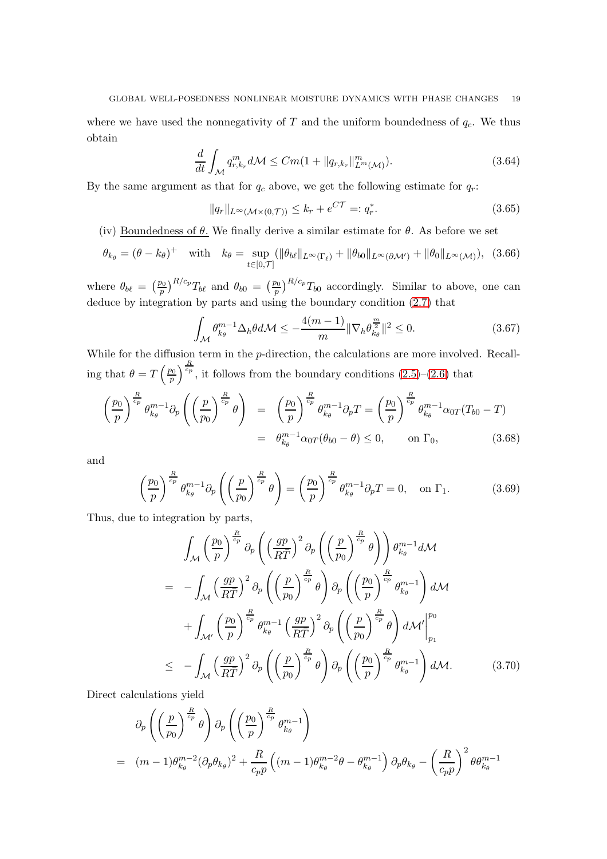where we have used the nonnegativity of  $T$  and the uniform boundedness of  $q_c$ . We thus obtain

$$
\frac{d}{dt} \int_{\mathcal{M}} q_{r,k_r}^m d\mathcal{M} \leq Cm(1 + \|q_{r,k_r}\|_{L^m(\mathcal{M})}^m). \tag{3.64}
$$

By the same argument as that for  $q_c$  above, we get the following estimate for  $q_r$ :

$$
||q_r||_{L^{\infty}(\mathcal{M}\times(0,\mathcal{T}))} \leq k_r + e^{C\mathcal{T}} =: q_r^*.
$$
\n(3.65)

(iv) Boundedness of  $\theta$ . We finally derive a similar estimate for  $\theta$ . As before we set

$$
\theta_{k_{\theta}} = (\theta - k_{\theta})^{+} \quad \text{with} \quad k_{\theta} = \sup_{t \in [0, \mathcal{T}]} (\|\theta_{b\ell}\|_{L^{\infty}(\Gamma_{\ell})} + \|\theta_{b0}\|_{L^{\infty}(\partial \mathcal{M}')} + \|\theta_{0}\|_{L^{\infty}(\mathcal{M})}), \tag{3.66}
$$

where  $\theta_{b\ell} = \left(\frac{p_0}{p}\right)$  $\left(\frac{p_0}{p}\right)^{R/c_p} T_{b\ell}$  and  $\theta_{b0} = \left(\frac{p_0}{p}\right)$  $\frac{p_0}{p}$   $\int_0^{R/c_p} T_{b0}$  accordingly. Similar to above, one can deduce by integration by parts and using the boundary condition [\(2.7\)](#page-7-1) that

<span id="page-18-0"></span>
$$
\int_{\mathcal{M}} \theta_{k_{\theta}}^{m-1} \Delta_h \theta d\mathcal{M} \le -\frac{4(m-1)}{m} \|\nabla_h \theta_{k_{\theta}}^{\frac{m}{2}}\|^2 \le 0. \tag{3.67}
$$

While for the diffusion term in the *p*-direction, the calculations are more involved. Recalling that  $\theta = T\left(\frac{p_0}{p}\right)$ p  $\int_{0}^{\frac{R}{c_p}}$ , it follows from the boundary conditions  $(2.5)-(2.6)$  $(2.5)-(2.6)$  that

$$
\left(\frac{p_0}{p}\right)^{\frac{R}{c_p}} \theta_{k_\theta}^{m-1} \partial_p \left(\left(\frac{p}{p_0}\right)^{\frac{R}{c_p}} \theta\right) = \left(\frac{p_0}{p}\right)^{\frac{R}{c_p}} \theta_{k_\theta}^{m-1} \partial_p T = \left(\frac{p_0}{p}\right)^{\frac{R}{c_p}} \theta_{k_\theta}^{m-1} \alpha_{0T} (T_{b0} - T)
$$

$$
= \theta_{k_\theta}^{m-1} \alpha_{0T} (\theta_{b0} - \theta) \le 0, \qquad \text{on } \Gamma_0,
$$
(3.68)

and

$$
\left(\frac{p_0}{p}\right)^{\frac{R}{c_p}} \theta_{k_\theta}^{m-1} \partial_p \left(\left(\frac{p}{p_0}\right)^{\frac{R}{c_p}} \theta\right) = \left(\frac{p_0}{p}\right)^{\frac{R}{c_p}} \theta_{k_\theta}^{m-1} \partial_p T = 0, \text{ on } \Gamma_1.
$$
 (3.69)

Thus, due to integration by parts,

$$
\int_{\mathcal{M}} \left(\frac{p_0}{p}\right)^{\frac{R}{c_p}} \partial_p \left(\left(\frac{gp}{R\overline{T}}\right)^2 \partial_p \left(\left(\frac{p}{p_0}\right)^{\frac{R}{c_p}} \theta\right)\right) \theta_{k_{\theta}}^{m-1} d\mathcal{M}
$$
\n
$$
= - \int_{\mathcal{M}} \left(\frac{gp}{R\overline{T}}\right)^2 \partial_p \left(\left(\frac{p}{p_0}\right)^{\frac{R}{c_p}} \theta\right) \partial_p \left(\left(\frac{p_0}{p}\right)^{\frac{R}{c_p}} \theta_{k_{\theta}}^{m-1}\right) d\mathcal{M}
$$
\n
$$
+ \int_{\mathcal{M}'} \left(\frac{p_0}{p}\right)^{\frac{R}{c_p}} \theta_{k_{\theta}}^{m-1} \left(\frac{gp}{R\overline{T}}\right)^2 \partial_p \left(\left(\frac{p}{p_0}\right)^{\frac{R}{c_p}} \theta\right) d\mathcal{M}' \Big|_{p_1}^{p_0}
$$
\n
$$
\leq - \int_{\mathcal{M}} \left(\frac{gp}{R\overline{T}}\right)^2 \partial_p \left(\left(\frac{p}{p_0}\right)^{\frac{R}{c_p}} \theta\right) \partial_p \left(\left(\frac{p_0}{p}\right)^{\frac{R}{c_p}} \theta_{k_{\theta}}^{m-1}\right) d\mathcal{M}.
$$
\n(3.70)

Direct calculations yield

$$
\partial_p \left( \left( \frac{p}{p_0} \right)^{\frac{R}{c_p}} \theta \right) \partial_p \left( \left( \frac{p_0}{p} \right)^{\frac{R}{c_p}} \theta_{k_\theta}^{m-1} \right)
$$
  
=  $(m-1)\theta_{k_\theta}^{m-2} (\partial_p \theta_{k_\theta})^2 + \frac{R}{c_p p} \left( (m-1)\theta_{k_\theta}^{m-2} \theta - \theta_{k_\theta}^{m-1} \right) \partial_p \theta_{k_\theta} - \left( \frac{R}{c_p p} \right)^2 \theta_{k_\theta}^{m-1}$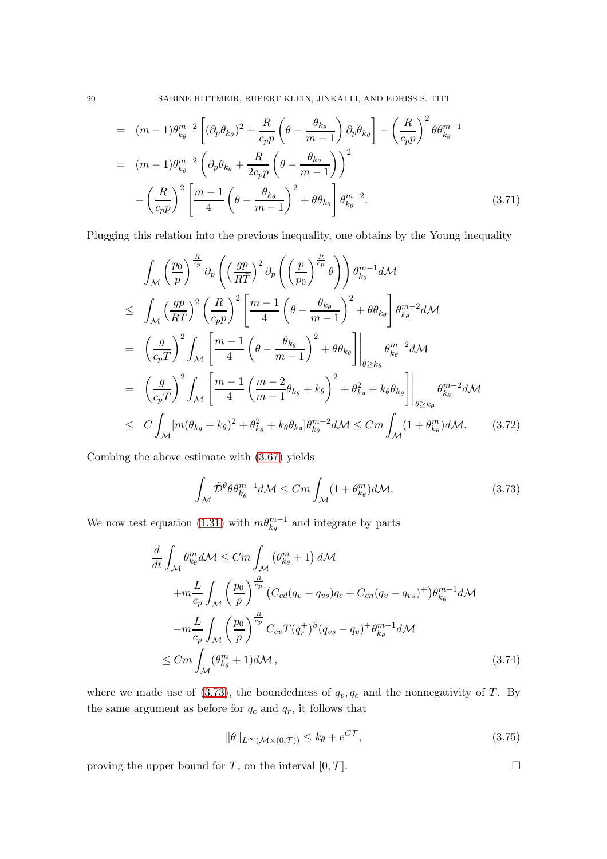20 SABINE HITTMEIR, RUPERT KLEIN, JINKAI LI, AND EDRISS S. TITI

$$
= (m-1)\theta_{k_{\theta}}^{m-2} \left[ (\partial_p \theta_{k_{\theta}})^2 + \frac{R}{c_p p} \left( \theta - \frac{\theta_{k_{\theta}}}{m-1} \right) \partial_p \theta_{k_{\theta}} \right] - \left( \frac{R}{c_p p} \right)^2 \theta \theta_{k_{\theta}}^{m-1}
$$
  

$$
= (m-1)\theta_{k_{\theta}}^{m-2} \left( \partial_p \theta_{k_{\theta}} + \frac{R}{2c_p p} \left( \theta - \frac{\theta_{k_{\theta}}}{m-1} \right) \right)^2
$$

$$
- \left( \frac{R}{c_p p} \right)^2 \left[ \frac{m-1}{4} \left( \theta - \frac{\theta_{k_{\theta}}}{m-1} \right)^2 + \theta \theta_{k_{\theta}} \right] \theta_{k_{\theta}}^{m-2}.
$$
(3.71)

Plugging this relation into the previous inequality, one obtains by the Young inequality

$$
\int_{\mathcal{M}} \left(\frac{p_0}{p}\right)^{\frac{R}{cp}} \partial_p \left(\left(\frac{gp}{R\bar{T}}\right)^2 \partial_p \left(\left(\frac{p}{p_0}\right)^{\frac{R}{cp}} \theta\right)\right) \theta_{k_{\theta}}^{m-1} d\mathcal{M}
$$
\n
$$
\leq \int_{\mathcal{M}} \left(\frac{gp}{R\bar{T}}\right)^2 \left(\frac{R}{c_p p}\right)^2 \left[\frac{m-1}{4} \left(\theta - \frac{\theta_{k_{\theta}}}{m-1}\right)^2 + \theta \theta_{k_{\theta}}\right] \theta_{k_{\theta}}^{m-2} d\mathcal{M}
$$
\n
$$
= \left(\frac{g}{c_p \bar{T}}\right)^2 \int_{\mathcal{M}} \left[\frac{m-1}{4} \left(\theta - \frac{\theta_{k_{\theta}}}{m-1}\right)^2 + \theta \theta_{k_{\theta}}\right] \Big|_{\theta \geq k_{\theta}} \theta_{k_{\theta}}^{m-2} d\mathcal{M}
$$
\n
$$
= \left(\frac{g}{c_p \bar{T}}\right)^2 \int_{\mathcal{M}} \left[\frac{m-1}{4} \left(\frac{m-2}{m-1} \theta_{k_{\theta}} + k_{\theta}\right)^2 + \theta_{k_{\theta}}^2 + k_{\theta} \theta_{k_{\theta}}\right] \Big|_{\theta \geq k_{\theta}}
$$
\n
$$
\leq C \int_{\mathcal{M}} [m(\theta_{k_{\theta}} + k_{\theta})^2 + \theta_{k_{\theta}}^2 + k_{\theta} \theta_{k_{\theta}}] \theta_{k_{\theta}}^{m-2} d\mathcal{M} \leq C m \int_{\mathcal{M}} (1 + \theta_{k_{\theta}}^m) d\mathcal{M}.
$$
\n(3.72)

Combing the above estimate with [\(3.67\)](#page-18-0) yields

<span id="page-19-0"></span>
$$
\int_{\mathcal{M}} \tilde{\mathcal{D}}^{\theta} \theta \theta_{k_{\theta}}^{m-1} d\mathcal{M} \leq Cm \int_{\mathcal{M}} (1 + \theta_{k_{\theta}}^{m}) d\mathcal{M}. \tag{3.73}
$$

We now test equation [\(1.31\)](#page-6-4) with  $m\theta_{k_{\theta}}^{m-1}$  and integrate by parts

$$
\frac{d}{dt} \int_{\mathcal{M}} \theta_{k_{\theta}}^{m} d\mathcal{M} \leq Cm \int_{\mathcal{M}} (\theta_{k_{\theta}}^{m} + 1) d\mathcal{M}
$$
\n
$$
+ m \frac{L}{c_{p}} \int_{\mathcal{M}} \left(\frac{p_{0}}{p}\right)^{\frac{R}{c_{p}}} \left(C_{cd}(q_{v} - q_{vs})q_{c} + C_{cn}(q_{v} - q_{vs})^{+}\right) \theta_{k_{\theta}}^{m-1} d\mathcal{M}
$$
\n
$$
- m \frac{L}{c_{p}} \int_{\mathcal{M}} \left(\frac{p_{0}}{p}\right)^{\frac{R}{c_{p}}} C_{ev} T(q_{r}^{+})^{\beta} (q_{vs} - q_{v})^{+} \theta_{k_{\theta}}^{m-1} d\mathcal{M}
$$
\n
$$
\leq Cm \int_{\mathcal{M}} (\theta_{k_{\theta}}^{m} + 1) d\mathcal{M}, \qquad (3.74)
$$

where we made use of [\(3.73\)](#page-19-0), the boundedness of  $q_v, q_c$  and the nonnegativity of T. By the same argument as before for  $q_c$  and  $q_r$ , it follows that

$$
\|\theta\|_{L^{\infty}(\mathcal{M}\times(0,\mathcal{T}))} \le k_{\theta} + e^{C\mathcal{T}},\tag{3.75}
$$

proving the upper bound for T, on the interval  $[0, \mathcal{T}]$ .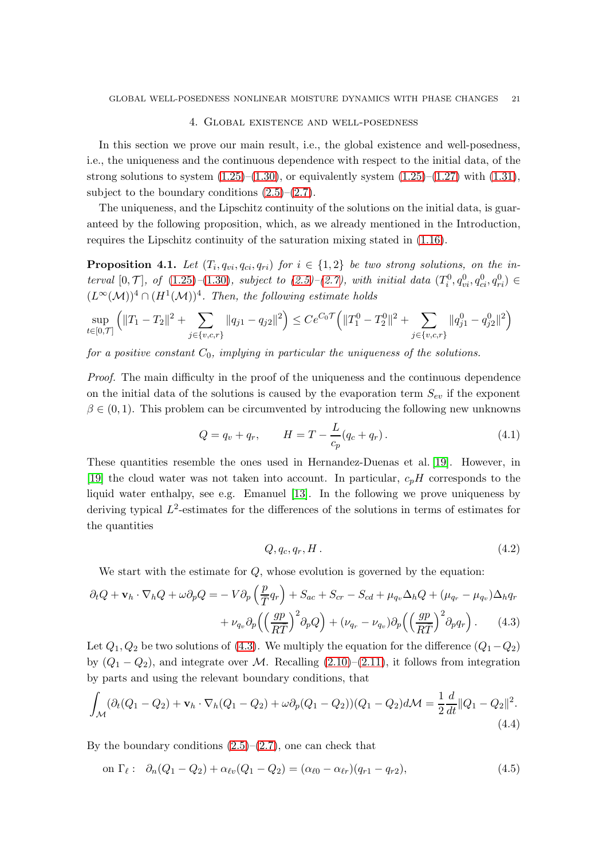### 4. Global existence and well-posedness

<span id="page-20-0"></span>In this section we prove our main result, i.e., the global existence and well-posedness, i.e., the uniqueness and the continuous dependence with respect to the initial data, of the strong solutions to system  $(1.25)$ – $(1.30)$ , or equivalently system  $(1.25)$ – $(1.27)$  with  $(1.31)$ , subject to the boundary conditions  $(2.5)$ – $(2.7)$ .

The uniqueness, and the Lipschitz continuity of the solutions on the initial data, is guaranteed by the following proposition, which, as we already mentioned in the Introduction, requires the Lipschitz continuity of the saturation mixing stated in [\(1.16\)](#page-4-2).

<span id="page-20-1"></span>**Proposition 4.1.** Let  $(T_i, q_{vi}, q_{ci}, q_{ri})$  for  $i \in \{1,2\}$  be two strong solutions, on the interval  $[0, \mathcal{T}]$ , of  $(1.25)-(1.30)$  $(1.25)-(1.30)$  $(1.25)-(1.30)$ , subject to  $(2.5)-(2.7)$  $(2.5)-(2.7)$ , with initial data  $(T_i^0, q_{vi}^0, q_{ci}^0, q_{ri}^0) \in$  $(L^{\infty}(\mathcal{M}))^4 \cap (H^1(\mathcal{M}))^4$ . Then, the following estimate holds

$$
\sup_{t \in [0,T]} \left( \|T_1 - T_2\|^2 + \sum_{j \in \{v,c,r\}} \|q_{j1} - q_{j2}\|^2 \right) \le C e^{C_0 \mathcal{T}} \left( \|T_1^0 - T_2^0\|^2 + \sum_{j \in \{v,c,r\}} \|q_{j1}^0 - q_{j2}^0\|^2 \right)
$$

for a positive constant  $C_0$ , implying in particular the uniqueness of the solutions.

Proof. The main difficulty in the proof of the uniqueness and the continuous dependence on the initial data of the solutions is caused by the evaporation term  $S_{ev}$  if the exponent  $\beta \in (0, 1)$ . This problem can be circumvented by introducing the following new unknowns

$$
Q = q_v + q_r, \qquad H = T - \frac{L}{c_p}(q_c + q_r). \tag{4.1}
$$

These quantities resemble the ones used in Hernandez-Duenas et al. [\[19\]](#page-40-21). However, in [\[19\]](#page-40-21) the cloud water was not taken into account. In particular,  $c_pH$  corresponds to the liquid water enthalpy, see e.g. Emanuel [\[13\]](#page-40-18). In the following we prove uniqueness by deriving typical  $L^2$ -estimates for the differences of the solutions in terms of estimates for the quantities

<span id="page-20-4"></span><span id="page-20-2"></span>
$$
Q, q_c, q_r, H. \tag{4.2}
$$

We start with the estimate for  $Q$ , whose evolution is governed by the equation:

$$
\partial_t Q + \mathbf{v}_h \cdot \nabla_h Q + \omega \partial_p Q = -V \partial_p \left(\frac{p}{\overline{T}} q_r\right) + S_{ac} + S_{cr} - S_{cd} + \mu_{q_v} \Delta_h Q + (\mu_{q_r} - \mu_{q_v}) \Delta_h q_r + \nu_{q_v} \partial_p \left(\left(\frac{gp}{R\overline{T}}\right)^2 \partial_p Q\right) + (\nu_{q_r} - \nu_{q_v}) \partial_p \left(\left(\frac{gp}{R\overline{T}}\right)^2 \partial_p q_r\right).
$$
(4.3)

Let  $Q_1, Q_2$  be two solutions of [\(4.3\)](#page-20-2). We multiply the equation for the difference  $(Q_1-Q_2)$ by  $(Q_1 - Q_2)$ , and integrate over M. Recalling  $(2.10)$ – $(2.11)$ , it follows from integration by parts and using the relevant boundary conditions, that

$$
\int_{\mathcal{M}} (\partial_t (Q_1 - Q_2) + \mathbf{v}_h \cdot \nabla_h (Q_1 - Q_2) + \omega \partial_p (Q_1 - Q_2)) (Q_1 - Q_2) d\mathcal{M} = \frac{1}{2} \frac{d}{dt} ||Q_1 - Q_2||^2.
$$
\n(4.4)

By the boundary conditions  $(2.5)$ – $(2.7)$ , one can check that

<span id="page-20-3"></span>on 
$$
\Gamma_{\ell}
$$
:  $\partial_n(Q_1 - Q_2) + \alpha_{\ell v}(Q_1 - Q_2) = (\alpha_{\ell 0} - \alpha_{\ell r})(q_{r1} - q_{r2}),$  (4.5)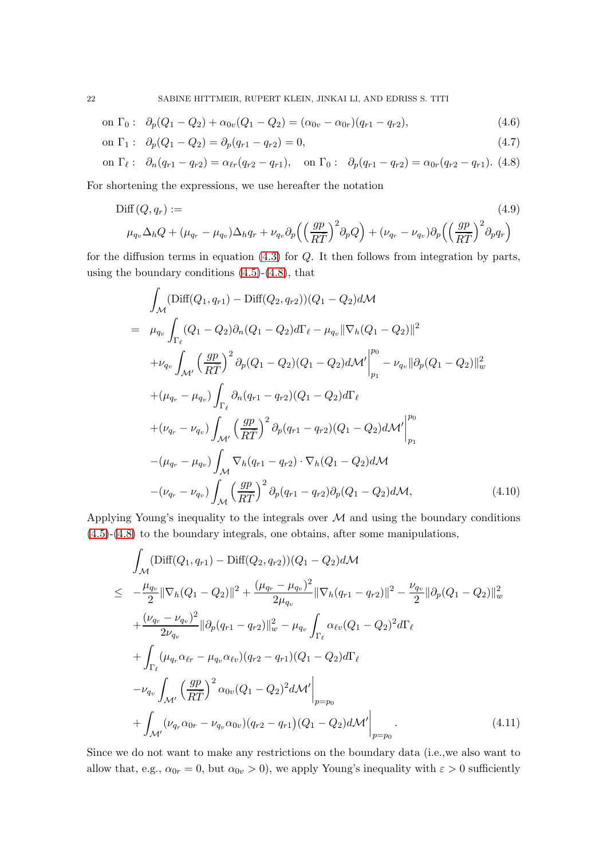on 
$$
\Gamma_0
$$
:  $\partial_p(Q_1 - Q_2) + \alpha_{0v}(Q_1 - Q_2) = (\alpha_{0v} - \alpha_{0r})(q_{r1} - q_{r2}),$  (4.6)

on 
$$
\Gamma_1
$$
:  $\partial_p(Q_1 - Q_2) = \partial_p(q_{r1} - q_{r2}) = 0,$  (4.7)

on 
$$
\Gamma_{\ell}
$$
:  $\partial_n(q_{r1} - q_{r2}) = \alpha_{\ell r}(q_{r2} - q_{r1}),$  on  $\Gamma_0$ :  $\partial_p(q_{r1} - q_{r2}) = \alpha_{0r}(q_{r2} - q_{r1}).$  (4.8)

For shortening the expressions, we use hereafter the notation

$$
\text{Diff}(Q, q_r) := \tag{4.9}
$$
\n
$$
\mu_{q_v} \Delta_h Q + (\mu_{q_r} - \mu_{q_v}) \Delta_h q_r + \nu_{q_v} \partial_p \left( \left( \frac{gp}{R\bar{T}} \right)^2 \partial_p Q \right) + (\nu_{q_r} - \nu_{q_v}) \partial_p \left( \left( \frac{gp}{R\bar{T}} \right)^2 \partial_p q_r \right)
$$

for the diffusion terms in equation  $(4.3)$  for  $Q$ . It then follows from integration by parts, using the boundary conditions  $(4.5)-(4.8)$  $(4.5)-(4.8)$ , that

$$
\int_{\mathcal{M}} (\text{Diff}(Q_1, q_{r1}) - \text{Diff}(Q_2, q_{r2})) (Q_1 - Q_2) d\mathcal{M}
$$
\n
$$
= \mu_{q_v} \int_{\Gamma_{\ell}} (Q_1 - Q_2) \partial_n (Q_1 - Q_2) d\Gamma_{\ell} - \mu_{q_v} || \nabla_h (Q_1 - Q_2) ||^2
$$
\n
$$
+ \nu_{q_v} \int_{\mathcal{M}'} \left(\frac{gp}{RT}\right)^2 \partial_p (Q_1 - Q_2) (Q_1 - Q_2) d\mathcal{M}' \Big|_{p_1}^{p_0} - \nu_{q_v} || \partial_p (Q_1 - Q_2) ||^2_w
$$
\n
$$
+ (\mu_{q_r} - \mu_{q_v}) \int_{\Gamma_{\ell}} \partial_n (q_{r1} - q_{r2}) (Q_1 - Q_2) d\Gamma_{\ell}
$$
\n
$$
+ (\nu_{q_r} - \nu_{q_v}) \int_{\mathcal{M}'} \left(\frac{gp}{RT}\right)^2 \partial_p (q_{r1} - q_{r2}) (Q_1 - Q_2) d\mathcal{M}' \Big|_{p_1}^{p_0}
$$
\n
$$
- (\mu_{q_r} - \mu_{q_v}) \int_{\mathcal{M}} \nabla_h (q_{r1} - q_{r2}) \cdot \nabla_h (Q_1 - Q_2) d\mathcal{M}
$$
\n
$$
- (\nu_{q_r} - \nu_{q_v}) \int_{\mathcal{M}} \left(\frac{gp}{RT}\right)^2 \partial_p (q_{r1} - q_{r2}) \partial_p (Q_1 - Q_2) d\mathcal{M}, \tag{4.10}
$$

Applying Young's inequality to the integrals over  $M$  and using the boundary conditions [\(4.5\)](#page-20-3)-[\(4.8\)](#page-20-3) to the boundary integrals, one obtains, after some manipulations,

$$
\int_{\mathcal{M}} (\text{Diff}(Q_1, q_{r1}) - \text{Diff}(Q_2, q_{r2})) (Q_1 - Q_2) d\mathcal{M}
$$
\n
$$
\leq -\frac{\mu_{q_v}}{2} \|\nabla_h (Q_1 - Q_2)\|^2 + \frac{(\mu_{q_r} - \mu_{q_v})^2}{2\mu_{q_v}} \|\nabla_h (q_{r1} - q_{r2})\|^2 - \frac{\nu_{q_v}}{2} \|\partial_p (Q_1 - Q_2)\|_w^2 + \frac{(\nu_{q_r} - \nu_{q_v})^2}{2\nu_{q_v}} \|\partial_p (q_{r1} - q_{r2})\|_w^2 - \mu_{q_v} \int_{\Gamma_\ell} \alpha_{\ell v} (Q_1 - Q_2)^2 d\Gamma_\ell + \int_{\Gamma_\ell} (\mu_{q_r} \alpha_{\ell r} - \mu_{q_v} \alpha_{\ell v}) (q_{r2} - q_{r1}) (Q_1 - Q_2) d\Gamma_\ell - \nu_{q_v} \int_{\mathcal{M}'} \left(\frac{gp}{R\bar{T}}\right)^2 \alpha_{0v} (Q_1 - Q_2)^2 d\mathcal{M}' \Big|_{p=p_0} + \int_{\mathcal{M}'} (\nu_{q_r} \alpha_{0r} - \nu_{q_v} \alpha_{0v}) (q_{r2} - q_{r1}) (Q_1 - Q_2) d\mathcal{M}' \Big|_{p=p_0}.
$$
\n(4.11)

Since we do not want to make any restrictions on the boundary data (i.e.,we also want to allow that, e.g.,  $\alpha_{0r} = 0$ , but  $\alpha_{0v} > 0$ ), we apply Young's inequality with  $\varepsilon > 0$  sufficiently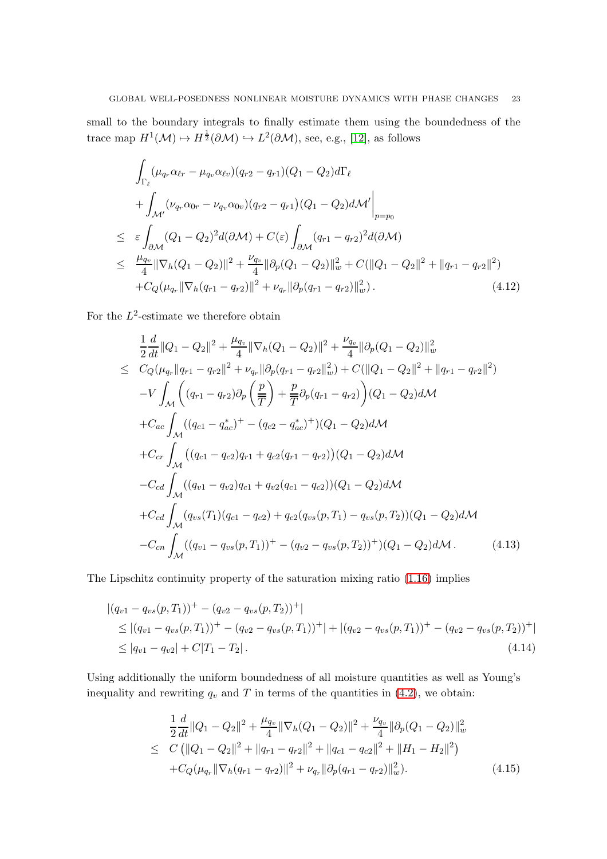small to the boundary integrals to finally estimate them using the boundedness of the trace map  $H^1(\mathcal{M}) \mapsto H^{\frac{1}{2}}(\partial \mathcal{M}) \hookrightarrow L^2(\partial \mathcal{M})$ , see, e.g., [\[12\]](#page-40-22), as follows

$$
\int_{\Gamma_{\ell}} (\mu_{q_r} \alpha_{\ell r} - \mu_{q_v} \alpha_{\ell v}) (q_{r2} - q_{r1}) (Q_1 - Q_2) d\Gamma_{\ell} \n+ \int_{\mathcal{M}'} (\nu_{q_r} \alpha_{0r} - \nu_{q_v} \alpha_{0v}) (q_{r2} - q_{r1}) (Q_1 - Q_2) d\mathcal{M}' \Big|_{p=p_0} \n\leq \varepsilon \int_{\partial \mathcal{M}} (Q_1 - Q_2)^2 d(\partial \mathcal{M}) + C(\varepsilon) \int_{\partial \mathcal{M}} (q_{r1} - q_{r2})^2 d(\partial \mathcal{M}) \n\leq \frac{\mu_{q_v}}{4} ||\nabla_h (Q_1 - Q_2)||^2 + \frac{\nu_{q_v}}{4} ||\partial_p (Q_1 - Q_2)||^2_w + C(||Q_1 - Q_2||^2 + ||q_{r1} - q_{r2}||^2) \n+ C_Q(\mu_{q_r} ||\nabla_h (q_{r1} - q_{r2})||^2 + \nu_{q_r} ||\partial_p (q_{r1} - q_{r2})||^2_w).
$$
\n(4.12)

For the  $L^2$ -estimate we therefore obtain

<span id="page-22-0"></span>
$$
\frac{1}{2}\frac{d}{dt}||Q_1 - Q_2||^2 + \frac{\mu_{q_v}}{4}||\nabla_h(Q_1 - Q_2)||^2 + \frac{\nu_{q_v}}{4}||\partial_p(Q_1 - Q_2)||_w^2
$$
\n
$$
\leq C_Q(\mu_{q_r}||q_{r1} - q_{r2}||^2 + \nu_{q_r}||\partial_p(q_{r1} - q_{r2}||_w^2) + C(||Q_1 - Q_2||^2 + ||q_{r1} - q_{r2}||^2)
$$
\n
$$
-V \int_{\mathcal{M}} \left( (q_{r1} - q_{r2})\partial_p \left(\frac{p}{T}\right) + \frac{p}{T}\partial_p(q_{r1} - q_{r2}) \right) (Q_1 - Q_2)d\mathcal{M}
$$
\n
$$
+ C_{ac} \int_{\mathcal{M}} ((q_{c1} - q_{ac}^*)^+ - (q_{c2} - q_{ac}^*)^+)(Q_1 - Q_2)d\mathcal{M}
$$
\n
$$
+ C_{cr} \int_{\mathcal{M}} ((q_{c1} - q_{c2})q_{r1} + q_{c2}(q_{r1} - q_{r2})) (Q_1 - Q_2)d\mathcal{M}
$$
\n
$$
- C_{cd} \int_{\mathcal{M}} ((q_{v1} - q_{v2})q_{c1} + q_{v2}(q_{c1} - q_{c2})) (Q_1 - Q_2)d\mathcal{M}
$$
\n
$$
+ C_{cd} \int_{\mathcal{M}} (q_{vs}(T_1)(q_{c1} - q_{c2}) + q_{c2}(q_{vs}(p, T_1) - q_{vs}(p, T_2))(Q_1 - Q_2)d\mathcal{M}
$$
\n
$$
- C_{cn} \int_{\mathcal{M}} ((q_{v1} - q_{vs}(p, T_1))^+ - (q_{v2} - q_{vs}(p, T_2))^+)(Q_1 - Q_2)d\mathcal{M}.
$$
\n(4.13)

The Lipschitz continuity property of the saturation mixing ratio [\(1.16\)](#page-4-2) implies

<span id="page-22-1"></span>
$$
\begin{aligned} |(q_{v1} - q_{vs}(p, T_1))^+ - (q_{v2} - q_{vs}(p, T_2))^+| \\ &\le |(q_{v1} - q_{vs}(p, T_1))^+ - (q_{v2} - q_{vs}(p, T_1))^+| + |(q_{v2} - q_{vs}(p, T_1))^+ - (q_{v2} - q_{vs}(p, T_2))^+| \\ &\le |q_{v1} - q_{v2}| + C|T_1 - T_2|. \end{aligned} \tag{4.14}
$$

Using additionally the uniform boundedness of all moisture quantities as well as Young's inequality and rewriting  $q_v$  and T in terms of the quantities in [\(4.2\)](#page-20-4), we obtain:

<span id="page-22-2"></span>
$$
\frac{1}{2}\frac{d}{dt}\|Q_1 - Q_2\|^2 + \frac{\mu_{q_v}}{4}\|\nabla_h(Q_1 - Q_2)\|^2 + \frac{\nu_{q_v}}{4}\|\partial_p(Q_1 - Q_2)\|_w^2
$$
\n
$$
\leq C\left(\|Q_1 - Q_2\|^2 + \|q_{r1} - q_{r2}\|^2 + \|q_{c1} - q_{c2}\|^2 + \|H_1 - H_2\|^2\right)
$$
\n
$$
+ C_Q(\mu_{q_r}\|\nabla_h(q_{r1} - q_{r2})\|^2 + \nu_{q_r}\|\partial_p(q_{r1} - q_{r2})\|_w^2). \tag{4.15}
$$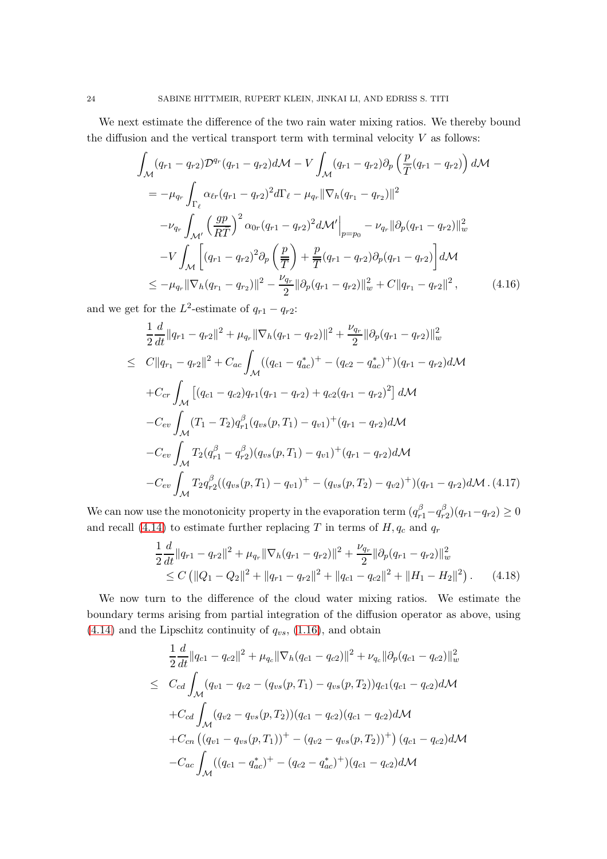We next estimate the difference of the two rain water mixing ratios. We thereby bound the diffusion and the vertical transport term with terminal velocity  $V$  as follows:

$$
\int_{\mathcal{M}} (q_{r1} - q_{r2}) \mathcal{D}^{q_r}(q_{r1} - q_{r2}) d\mathcal{M} - V \int_{\mathcal{M}} (q_{r1} - q_{r2}) \partial_p \left( \frac{p}{\bar{T}} (q_{r1} - q_{r2}) \right) d\mathcal{M}
$$
\n
$$
= -\mu_{q_r} \int_{\Gamma_\ell} \alpha_{\ell r} (q_{r1} - q_{r2})^2 d\Gamma_\ell - \mu_{q_r} ||\nabla_h (q_{r1} - q_{r2})||^2
$$
\n
$$
-\nu_{q_r} \int_{\mathcal{M}'} \left( \frac{gp}{RT} \right)^2 \alpha_{0r} (q_{r1} - q_{r2})^2 d\mathcal{M}' \Big|_{p=p_0} - \nu_{q_r} ||\partial_p (q_{r1} - q_{r2})||_w^2
$$
\n
$$
-V \int_{\mathcal{M}} \left[ (q_{r1} - q_{r2})^2 \partial_p \left( \frac{p}{\bar{T}} \right) + \frac{p}{\bar{T}} (q_{r1} - q_{r2}) \partial_p (q_{r1} - q_{r2}) \right] d\mathcal{M}
$$
\n
$$
\leq -\mu_{q_r} ||\nabla_h (q_{r1} - q_{r2})||^2 - \frac{\nu_{q_r}}{2} ||\partial_p (q_{r1} - q_{r2})||_w^2 + C ||q_{r1} - q_{r2}||^2, \qquad (4.16)
$$

and we get for the  $L^2$ -estimate of  $q_{r1} - q_{r2}$ :

<span id="page-23-0"></span>
$$
\frac{1}{2}\frac{d}{dt}\|q_{r1}-q_{r2}\|^2+\mu_{q_r}\|\nabla_h(q_{r1}-q_{r2})\|^2+\frac{\nu_{q_r}}{2}\|\partial_p(q_{r1}-q_{r2})\|_w^2
$$
\n
$$
\leq C\|q_{r_1}-q_{r2}\|^2+C_{ac}\int_{\mathcal{M}}((q_{c1}-q_{ac}^*)^+-(q_{c2}-q_{ac}^*)^+)(q_{r1}-q_{r2})d\mathcal{M}
$$
\n
$$
+C_{cr}\int_{\mathcal{M}}[(q_{c1}-q_{c2})q_{r1}(q_{r1}-q_{r2})+q_{c2}(q_{r1}-q_{r2})^2]d\mathcal{M}
$$
\n
$$
-C_{ev}\int_{\mathcal{M}}(T_1-T_2)q_{r1}^{\beta}(q_{vs}(p,T_1)-q_{v1})^+(q_{r1}-q_{r2})d\mathcal{M}
$$
\n
$$
-C_{ev}\int_{\mathcal{M}}T_2(q_{r1}^{\beta}-q_{r2}^{\beta})(q_{vs}(p,T_1)-q_{v1})^+(q_{r1}-q_{r2})d\mathcal{M}
$$
\n
$$
-C_{ev}\int_{\mathcal{M}}T_2q_{r2}^{\beta}((q_{vs}(p,T_1)-q_{v1})^+-(q_{vs}(p,T_2)-q_{v2})^+)(q_{r1}-q_{r2})d\mathcal{M}. (4.17)
$$

We can now use the monotonicity property in the evaporation term  $(q_{r1}^{\beta} - q_{r1}^{\beta})$  $_{r2}^{(p)}(q_{r1}-q_{r2})\geq 0$ and recall [\(4.14\)](#page-22-1) to estimate further replacing T in terms of  $H, q_c$  and  $q_r$ 

<span id="page-23-2"></span>
$$
\frac{1}{2}\frac{d}{dt}\|q_{r1} - q_{r2}\|^2 + \mu_{q_r}\|\nabla_h(q_{r1} - q_{r2})\|^2 + \frac{\nu_{q_r}}{2}\|\partial_p(q_{r1} - q_{r2})\|^2_w
$$
\n
$$
\leq C\left(\|Q_1 - Q_2\|^2 + \|q_{r1} - q_{r2}\|^2 + \|q_{c1} - q_{c2}\|^2 + \|H_1 - H_2\|^2\right). \tag{4.18}
$$

We now turn to the difference of the cloud water mixing ratios. We estimate the boundary terms arising from partial integration of the diffusion operator as above, using  $(4.14)$  and the Lipschitz continuity of  $q_{vs}$ ,  $(1.16)$ , and obtain

<span id="page-23-1"></span>
$$
\frac{1}{2}\frac{d}{dt}||q_{c1} - q_{c2}||^2 + \mu_{q_c}||\nabla_h(q_{c1} - q_{c2})||^2 + \nu_{q_c}||\partial_p(q_{c1} - q_{c2})||_w^2
$$
\n
$$
\leq C_{cd} \int_{\mathcal{M}} (q_{v1} - q_{v2} - (q_{vs}(p, T_1) - q_{vs}(p, T_2))q_{c1}(q_{c1} - q_{c2})d\mathcal{M}
$$
\n
$$
+ C_{cd} \int_{\mathcal{M}} (q_{v2} - q_{vs}(p, T_2))(q_{c1} - q_{c2})(q_{c1} - q_{c2})d\mathcal{M}
$$
\n
$$
+ C_{cn} ((q_{v1} - q_{vs}(p, T_1))^+ - (q_{v2} - q_{vs}(p, T_2))^+)(q_{c1} - q_{c2})d\mathcal{M}
$$
\n
$$
- C_{ac} \int_{\mathcal{M}} ((q_{c1} - q_{ac}^*)^+ - (q_{c2} - q_{ac}^*)^+)(q_{c1} - q_{c2})d\mathcal{M}
$$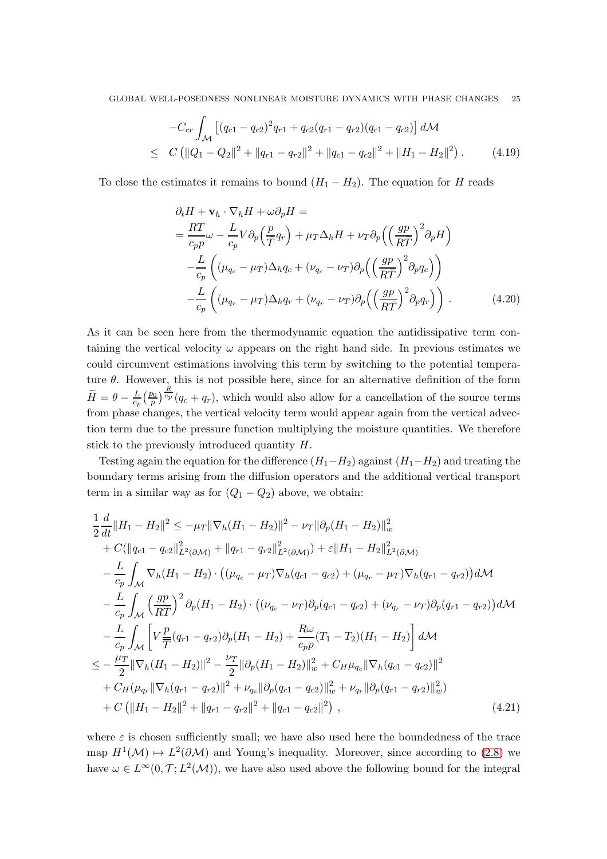$$
-C_{cr} \int_{\mathcal{M}} \left[ (q_{c1} - q_{c2})^2 q_{r1} + q_{c2} (q_{r1} - q_{r2}) (q_{c1} - q_{c2}) \right] d\mathcal{M}
$$
  
\n
$$
\leq C \left( ||Q_1 - Q_2||^2 + ||q_{r1} - q_{r2}||^2 + ||q_{c1} - q_{c2}||^2 + ||H_1 - H_2||^2 \right). \tag{4.19}
$$

To close the estimates it remains to bound  $(H_1 - H_2)$ . The equation for H reads

$$
\partial_t H + \mathbf{v}_h \cdot \nabla_h H + \omega \partial_p H =
$$
\n
$$
= \frac{RT}{c_p p} \omega - \frac{L}{c_p} V \partial_p \left( \frac{p}{\overline{T}} q_r \right) + \mu_T \Delta_h H + \nu_T \partial_p \left( \left( \frac{gp}{R\overline{T}} \right)^2 \partial_p H \right)
$$
\n
$$
- \frac{L}{c_p} \left( (\mu_{q_c} - \mu_T) \Delta_h q_c + (\nu_{q_c} - \nu_T) \partial_p \left( \left( \frac{gp}{R\overline{T}} \right)^2 \partial_p q_c \right) \right)
$$
\n
$$
- \frac{L}{c_p} \left( (\mu_{q_r} - \mu_T) \Delta_h q_r + (\nu_{q_r} - \nu_T) \partial_p \left( \left( \frac{gp}{R\overline{T}} \right)^2 \partial_p q_r \right) \right). \tag{4.20}
$$

As it can be seen here from the thermodynamic equation the antidissipative term containing the vertical velocity  $\omega$  appears on the right hand side. In previous estimates we could circumvent estimations involving this term by switching to the potential temperature  $\theta$ . However, this is not possible here, since for an alternative definition of the form  $\widetilde{H}=\theta-\frac{L}{c_{p}}\big(\frac{p_{0}}{p}$  $\frac{p_0}{p}$   $\frac{R}{c_p}$   $(q_c + q_r)$ , which would also allow for a cancellation of the source terms from phase changes, the vertical velocity term would appear again from the vertical advection term due to the pressure function multiplying the moisture quantities. We therefore stick to the previously introduced quantity  $H$ .

Testing again the equation for the difference  $(H_1-H_2)$  against  $(H_1-H_2)$  and treating the boundary terms arising from the diffusion operators and the additional vertical transport term in a similar way as for  $(Q_1 - Q_2)$  above, we obtain:

$$
\frac{1}{2}\frac{d}{dt}\|H_1 - H_2\|^2 \le -\mu_T \|\nabla_h (H_1 - H_2)\|^2 - \nu_T \|\partial_p (H_1 - H_2)\|^2_w \n+ C(\|q_{c1} - q_{c2}\|^2_{L^2(\partial \mathcal{M})} + \|q_{r1} - q_{r2}\|^2_{L^2(\partial \mathcal{M})}) + \varepsilon \|H_1 - H_2\|^2_{L^2(\partial \mathcal{M})} \n- \frac{L}{c_p} \int_{\mathcal{M}} \nabla_h (H_1 - H_2) \cdot ((\mu_{q_c} - \mu_T) \nabla_h (q_{c1} - q_{c2}) + (\mu_{q_r} - \mu_T) \nabla_h (q_{r1} - q_{r2})) d\mathcal{M} \n- \frac{L}{c_p} \int_{\mathcal{M}} \left(\frac{gp}{R\bar{T}}\right)^2 \partial_p (H_1 - H_2) \cdot ((\nu_{q_c} - \nu_T) \partial_p (q_{c1} - q_{c2}) + (\nu_{q_r} - \nu_T) \partial_p (q_{r1} - q_{r2})) d\mathcal{M} \n- \frac{L}{c_p} \int_{\mathcal{M}} \left[ V \frac{p}{\bar{T}} (q_{r1} - q_{r2}) \partial_p (H_1 - H_2) + \frac{R\omega}{c_p p} (T_1 - T_2) (H_1 - H_2) \right] d\mathcal{M} \n\le - \frac{\mu_T}{2} \|\nabla_h (H_1 - H_2)\|^2 - \frac{\nu_T}{2} \|\partial_p (H_1 - H_2)\|^2_w + C_H \mu_{q_c} \|\nabla_h (q_{c1} - q_{c2})\|^2 \n+ C_H (\mu_{q_r} \|\nabla_h (q_{r1} - q_{r2})\|^2 + \nu_{q_c} \|\partial_p (q_{c1} - q_{c2})\|^2_w + \nu_{q_r} \|\partial_p (q_{r1} - q_{r2})\|^2_w) \n+ C \left( \|H_1 - H_2\|^2 + \|q_{r1} - q_{r2}\|^2 + \|q_{c1} - q_{c2}\|^2 \right), \tag{4.21}
$$

<span id="page-24-0"></span>where  $\varepsilon$  is chosen sufficiently small; we have also used here the boundedness of the trace map  $H^1(\mathcal{M}) \mapsto L^2(\partial \mathcal{M})$  and Young's inequality. Moreover, since according to [\(2.8\)](#page-7-2) we have  $\omega \in L^{\infty}(0, \mathcal{T}; L^2(\mathcal{M}))$ , we have also used above the following bound for the integral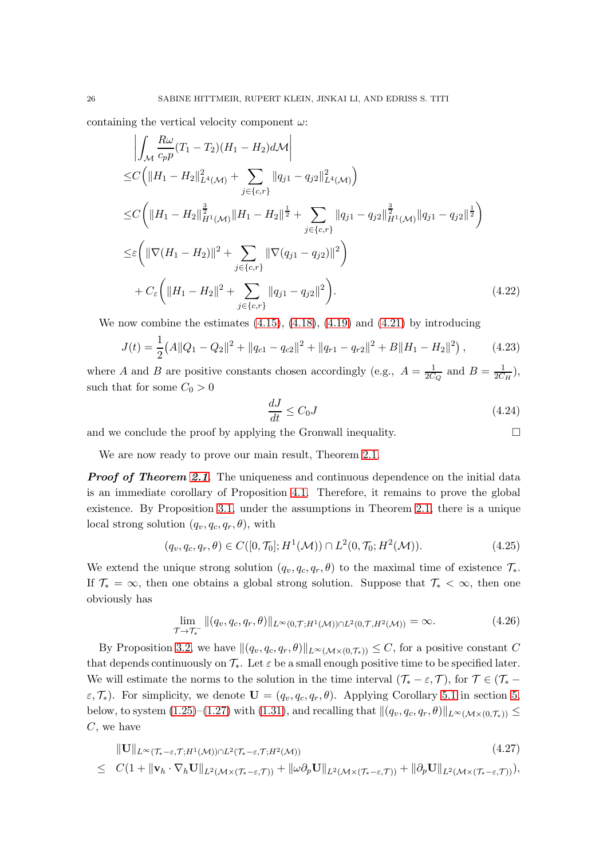containing the vertical velocity component  $\omega$ :

$$
\left| \int_{\mathcal{M}} \frac{R\omega}{c_p p} (T_1 - T_2)(H_1 - H_2) d\mathcal{M} \right|
$$
  
\n
$$
\leq C \left( \|H_1 - H_2\|_{L^4(\mathcal{M})}^2 + \sum_{j \in \{c, r\}} \|q_{j1} - q_{j2}\|_{L^4(\mathcal{M})}^2 \right)
$$
  
\n
$$
\leq C \left( \|H_1 - H_2\|_{H^1(\mathcal{M})}^{\frac{3}{2}} \|H_1 - H_2\|_{\frac{1}{2}}^{\frac{1}{2}} + \sum_{j \in \{c, r\}} \|q_{j1} - q_{j2}\|_{H^1(\mathcal{M})}^{\frac{3}{2}} \|q_{j1} - q_{j2}\|_{\frac{1}{2}}^{\frac{1}{2}} \right)
$$
  
\n
$$
\leq \varepsilon \left( \|\nabla (H_1 - H_2)\|^2 + \sum_{j \in \{c, r\}} \|\nabla (q_{j1} - q_{j2})\|^2 \right)
$$
  
\n
$$
+ C_{\varepsilon} \left( \|H_1 - H_2\|^2 + \sum_{j \in \{c, r\}} \|q_{j1} - q_{j2}\|^2 \right).
$$
\n(4.22)

We now combine the estimates  $(4.15)$ ,  $(4.18)$ ,  $(4.19)$  and  $(4.21)$  by introducing

$$
J(t) = \frac{1}{2} \left( A \| Q_1 - Q_2 \|^2 + \| q_{c1} - q_{c2} \|^2 + \| q_{r1} - q_{r2} \|^2 + B \| H_1 - H_2 \|^2 \right), \tag{4.23}
$$

where A and B are positive constants chosen accordingly (e.g.,  $A = \frac{1}{2C}$  $\frac{1}{2C_Q}$  and  $B = \frac{1}{2C_Q}$  $\frac{1}{2C_H}$ ), such that for some  $C_0 > 0$ 

$$
\frac{dJ}{dt} \le C_0 J \tag{4.24}
$$

and we conclude the proof by applying the Gronwall inequality.  $\Box$ 

We are now ready to prove our main result, Theorem [2.1.](#page-8-3)

**Proof of Theorem [2.1](#page-8-3).** The uniqueness and continuous dependence on the initial data is an immediate corollary of Proposition [4.1.](#page-20-1) Therefore, it remains to prove the global existence. By Proposition [3.1,](#page-8-2) under the assumptions in Theorem [2.1,](#page-8-3) there is a unique local strong solution  $(q_v, q_c, q_r, \theta)$ , with

$$
(q_v, q_c, q_r, \theta) \in C([0, \mathcal{T}_0]; H^1(\mathcal{M})) \cap L^2(0, \mathcal{T}_0; H^2(\mathcal{M})).
$$
\n(4.25)

We extend the unique strong solution  $(q_v, q_c, q_r, \theta)$  to the maximal time of existence  $\mathcal{T}_{*}$ . If  $\mathcal{T}_* = \infty$ , then one obtains a global strong solution. Suppose that  $\mathcal{T}_* < \infty$ , then one obviously has

<span id="page-25-1"></span>
$$
\lim_{\mathcal{T}\to\mathcal{T}_{*}}\|(q_v,q_c,q_r,\theta)\|_{L^{\infty}(0,\mathcal{T};H^1(\mathcal{M}))\cap L^2(0,\mathcal{T},H^2(\mathcal{M}))}=\infty.
$$
\n(4.26)

By Proposition [3.2,](#page-12-1) we have  $\|(q_v, q_c, q_r, \theta)\|_{L^\infty(\mathcal{M}\times(0,\mathcal{T}_*))} \leq C$ , for a positive constant C that depends continuously on  $\mathcal{T}_{*}$ . Let  $\varepsilon$  be a small enough positive time to be specified later. We will estimate the norms to the solution in the time interval  $(\mathcal{T}_{*} - \varepsilon, \mathcal{T})$ , for  $\mathcal{T} \in (\mathcal{T}_{*} - \mathcal{T})$  $\varepsilon, \mathcal{T}_{*}$ ). For simplicity, we denote  $\mathbf{U} = (q_v, q_c, q_r, \theta)$ . Applying Corollary [5.1](#page-39-2) in section [5,](#page-26-0) below, to system [\(1.25\)](#page-6-2)–[\(1.27\)](#page-6-2) with [\(1.31\)](#page-6-4), and recalling that  $\|(q_v, q_c, q_r, \theta)\|_{L^\infty(\mathcal{M}\times(0,\mathcal{T}_*))} \leq$  $C$ , we have

<span id="page-25-0"></span>
$$
\|\mathbf{U}\|_{L^{\infty}(\mathcal{T}_{*}-\varepsilon,\mathcal{T};H^{1}(\mathcal{M}))\cap L^{2}(\mathcal{T}_{*}-\varepsilon,\mathcal{T};H^{2}(\mathcal{M}))}
$$
\n
$$
\leq C(1+\|\mathbf{v}_{h}\cdot\nabla_{h}\mathbf{U}\|_{L^{2}(\mathcal{M}\times(\mathcal{T}_{*}-\varepsilon,\mathcal{T}))}+\|\omega\partial_{p}\mathbf{U}\|_{L^{2}(\mathcal{M}\times(\mathcal{T}_{*}-\varepsilon,\mathcal{T}))}+\|\partial_{p}\mathbf{U}\|_{L^{2}(\mathcal{M}\times(\mathcal{T}_{*}-\varepsilon,\mathcal{T}))}),
$$
\n(4.27)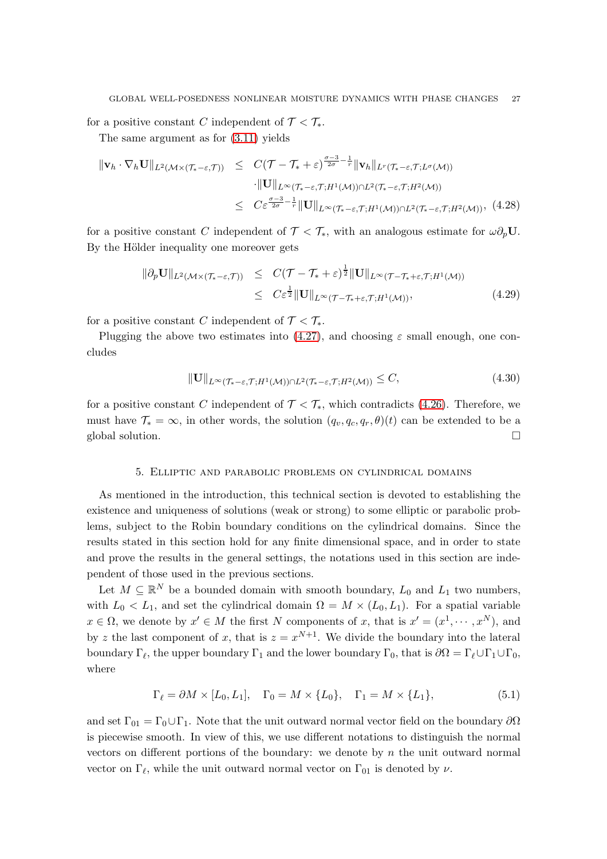for a positive constant C independent of  $\mathcal{T} < \mathcal{T}_{*}$ . The same argument as for [\(3.11\)](#page-9-1) yields

$$
\|\mathbf{v}_{h} \cdot \nabla_{h} \mathbf{U}\|_{L^{2}(\mathcal{M}\times(\mathcal{T}_{*}-\varepsilon,\mathcal{T}))} \leq C(\mathcal{T}-\mathcal{T}_{*}+\varepsilon)^{\frac{\sigma-3}{2\sigma}-\frac{1}{r}} \|\mathbf{v}_{h}\|_{L^{r}(\mathcal{T}_{*}-\varepsilon,\mathcal{T};L^{\sigma}(\mathcal{M}))}
$$
  
\n
$$
\cdot \|\mathbf{U}\|_{L^{\infty}(\mathcal{T}_{*}-\varepsilon,\mathcal{T};H^{1}(\mathcal{M}))\cap L^{2}(\mathcal{T}_{*}-\varepsilon,\mathcal{T};H^{2}(\mathcal{M}))}
$$
  
\n
$$
\leq C\varepsilon^{\frac{\sigma-3}{2\sigma}-\frac{1}{r}} \|\mathbf{U}\|_{L^{\infty}(\mathcal{T}_{*}-\varepsilon,\mathcal{T};H^{1}(\mathcal{M}))\cap L^{2}(\mathcal{T}_{*}-\varepsilon,\mathcal{T};H^{2}(\mathcal{M}))},
$$
(4.28)

for a positive constant C independent of  $\mathcal{T} < \mathcal{T}_{*}$ , with an analogous estimate for  $\omega \partial_p U$ . By the Hölder inequality one moreover gets

$$
\|\partial_p \mathbf{U}\|_{L^2(\mathcal{M}\times(\mathcal{T}_*-\varepsilon,\mathcal{T}))} \leq C(\mathcal{T}-\mathcal{T}_*+\varepsilon)^{\frac{1}{2}} \|\mathbf{U}\|_{L^\infty(\mathcal{T}-\mathcal{T}_*+\varepsilon,\mathcal{T};H^1(\mathcal{M}))}
$$
  
 
$$
\leq C\varepsilon^{\frac{1}{2}} \|\mathbf{U}\|_{L^\infty(\mathcal{T}-\mathcal{T}_*+\varepsilon,\mathcal{T};H^1(\mathcal{M}))},
$$
 (4.29)

for a positive constant C independent of  $\mathcal{T} < \mathcal{T}_{*}$ .

Plugging the above two estimates into [\(4.27\)](#page-25-0), and choosing  $\varepsilon$  small enough, one concludes

$$
\|\mathbf{U}\|_{L^{\infty}(\mathcal{T}_{*}-\varepsilon,\mathcal{T};H^{1}(\mathcal{M}))\cap L^{2}(\mathcal{T}_{*}-\varepsilon,\mathcal{T};H^{2}(\mathcal{M}))} \leq C,
$$
\n(4.30)

for a positive constant C independent of  $\mathcal{T} < \mathcal{T}_{*}$ , which contradicts [\(4.26\)](#page-25-1). Therefore, we must have  $\mathcal{T}_{*} = \infty$ , in other words, the solution  $(q_v, q_c, q_r, \theta)(t)$  can be extended to be a global solution.

#### 5. Elliptic and parabolic problems on cylindrical domains

<span id="page-26-0"></span>As mentioned in the introduction, this technical section is devoted to establishing the existence and uniqueness of solutions (weak or strong) to some elliptic or parabolic problems, subject to the Robin boundary conditions on the cylindrical domains. Since the results stated in this section hold for any finite dimensional space, and in order to state and prove the results in the general settings, the notations used in this section are independent of those used in the previous sections.

Let  $M \subseteq \mathbb{R}^N$  be a bounded domain with smooth boundary,  $L_0$  and  $L_1$  two numbers, with  $L_0 < L_1$ , and set the cylindrical domain  $\Omega = M \times (L_0, L_1)$ . For a spatial variable  $x \in \Omega$ , we denote by  $x' \in M$  the first N components of x, that is  $x' = (x^1, \dots, x^N)$ , and by z the last component of x, that is  $z = x^{N+1}$ . We divide the boundary into the lateral boundary  $\Gamma_{\ell}$ , the upper boundary  $\Gamma_1$  and the lower boundary  $\Gamma_0$ , that is  $\partial\Omega = \Gamma_{\ell} \cup \Gamma_1 \cup \Gamma_0$ , where

$$
\Gamma_{\ell} = \partial M \times [L_0, L_1], \quad \Gamma_0 = M \times \{L_0\}, \quad \Gamma_1 = M \times \{L_1\},\tag{5.1}
$$

and set  $\Gamma_{01} = \Gamma_0 \cup \Gamma_1$ . Note that the unit outward normal vector field on the boundary  $\partial \Omega$ is piecewise smooth. In view of this, we use different notations to distinguish the normal vectors on different portions of the boundary: we denote by  $n$  the unit outward normal vector on  $\Gamma_{\ell}$ , while the unit outward normal vector on  $\Gamma_{01}$  is denoted by  $\nu$ .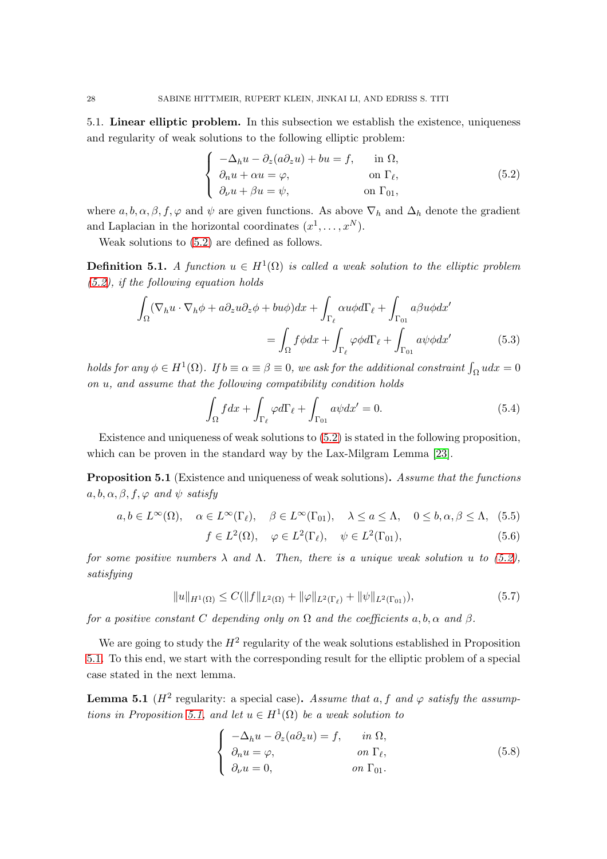5.1. Linear elliptic problem. In this subsection we establish the existence, uniqueness and regularity of weak solutions to the following elliptic problem:

<span id="page-27-0"></span>
$$
\begin{cases}\n-\Delta_h u - \partial_z (a \partial_z u) + bu = f, & \text{in } \Omega, \\
\partial_n u + \alpha u = \varphi, & \text{on } \Gamma_\ell, \\
\partial_\nu u + \beta u = \psi, & \text{on } \Gamma_{01},\n\end{cases}
$$
\n(5.2)

where  $a, b, \alpha, \beta, f, \varphi$  and  $\psi$  are given functions. As above  $\nabla_h$  and  $\Delta_h$  denote the gradient and Laplacian in the horizontal coordinates  $(x^1, \ldots, x^N)$ .

Weak solutions to [\(5.2\)](#page-27-0) are defined as follows.

**Definition 5.1.** A function  $u \in H^1(\Omega)$  is called a weak solution to the elliptic problem  $(5.2)$ , if the following equation holds

$$
\int_{\Omega} (\nabla_h u \cdot \nabla_h \phi + a \partial_z u \partial_z \phi + b u \phi) dx + \int_{\Gamma_{\ell}} \alpha u \phi d\Gamma_{\ell} + \int_{\Gamma_{01}} a \beta u \phi dx'
$$
\n
$$
= \int_{\Omega} f \phi dx + \int_{\Gamma_{\ell}} \varphi \phi d\Gamma_{\ell} + \int_{\Gamma_{01}} a \psi \phi dx' \tag{5.3}
$$

holds for any  $\phi \in H^1(\Omega)$ . If  $b \equiv \alpha \equiv \beta \equiv 0$ , we ask for the additional constraint  $\int_{\Omega} u dx = 0$ on u, and assume that the following compatibility condition holds

$$
\int_{\Omega} f dx + \int_{\Gamma_{\ell}} \varphi d\Gamma_{\ell} + \int_{\Gamma_{01}} a\psi dx' = 0.
$$
\n(5.4)

Existence and uniqueness of weak solutions to [\(5.2\)](#page-27-0) is stated in the following proposition, which can be proven in the standard way by the Lax-Milgram Lemma [\[23\]](#page-40-23).

<span id="page-27-1"></span>**Proposition 5.1** (Existence and uniqueness of weak solutions). Assume that the functions  $a, b, \alpha, \beta, f, \varphi$  and  $\psi$  satisfy

$$
a, b \in L^{\infty}(\Omega)
$$
,  $\alpha \in L^{\infty}(\Gamma_{\ell})$ ,  $\beta \in L^{\infty}(\Gamma_{01})$ ,  $\lambda \le a \le \Lambda$ ,  $0 \le b, \alpha, \beta \le \Lambda$ , (5.5)

$$
f \in L^{2}(\Omega), \quad \varphi \in L^{2}(\Gamma_{\ell}), \quad \psi \in L^{2}(\Gamma_{01}), \tag{5.6}
$$

for some positive numbers  $\lambda$  and  $\Lambda$ . Then, there is a unique weak solution u to [\(5.2\)](#page-27-0), satisfying

$$
||u||_{H^{1}(\Omega)} \leq C(||f||_{L^{2}(\Omega)} + ||\varphi||_{L^{2}(\Gamma_{\ell})} + ||\psi||_{L^{2}(\Gamma_{01})}),
$$
\n(5.7)

for a positive constant C depending only on  $\Omega$  and the coefficients a, b,  $\alpha$  and  $\beta$ .

We are going to study the  $H^2$  regularity of the weak solutions established in Proposition [5.1.](#page-27-1) To this end, we start with the corresponding result for the elliptic problem of a special case stated in the next lemma.

<span id="page-27-2"></span>**Lemma 5.1** ( $H^2$  regularity: a special case). Assume that a, f and  $\varphi$  satisfy the assump-tions in Proposition [5.1,](#page-27-1) and let  $u \in H^1(\Omega)$  be a weak solution to

$$
\begin{cases}\n-\Delta_h u - \partial_z (a \partial_z u) = f, & \text{in } \Omega, \\
\partial_n u = \varphi, & \text{on } \Gamma_\ell, \\
\partial_\nu u = 0, & \text{on } \Gamma_{01}.\n\end{cases}
$$
\n(5.8)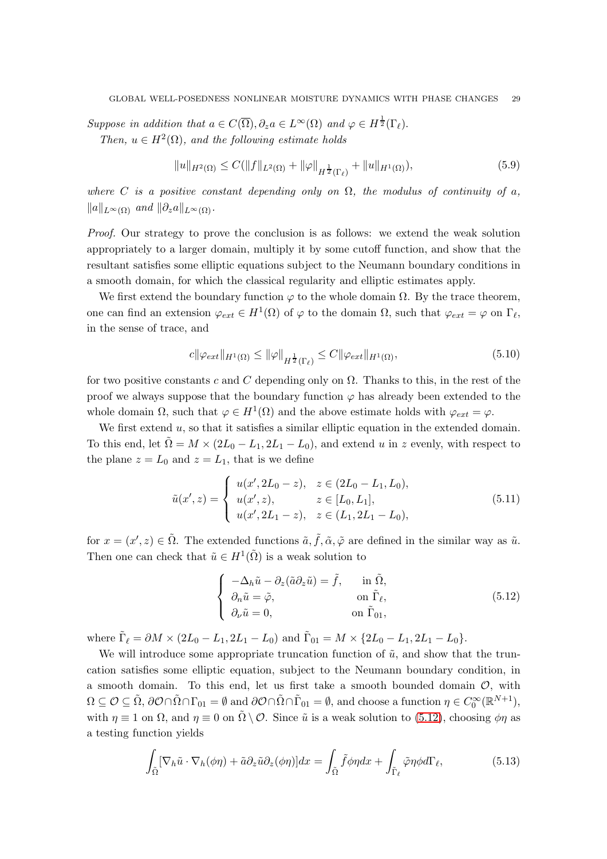Suppose in addition that  $a \in C(\overline{\Omega}), \partial_z a \in L^{\infty}(\Omega)$  and  $\varphi \in H^{\frac{1}{2}}(\Gamma_{\ell}).$ Then,  $u \in H^2(\Omega)$ , and the following estimate holds

$$
||u||_{H^{2}(\Omega)} \leq C(||f||_{L^{2}(\Omega)} + ||\varphi||_{H^{\frac{1}{2}}(\Gamma_{\ell})} + ||u||_{H^{1}(\Omega)}),
$$
\n(5.9)

where C is a positive constant depending only on  $\Omega$ , the modulus of continuity of a,  $||a||_{L^{\infty}(\Omega)}$  and  $||\partial_z a||_{L^{\infty}(\Omega)}$ .

Proof. Our strategy to prove the conclusion is as follows: we extend the weak solution appropriately to a larger domain, multiply it by some cutoff function, and show that the resultant satisfies some elliptic equations subject to the Neumann boundary conditions in a smooth domain, for which the classical regularity and elliptic estimates apply.

We first extend the boundary function  $\varphi$  to the whole domain  $\Omega$ . By the trace theorem, one can find an extension  $\varphi_{ext} \in H^1(\Omega)$  of  $\varphi$  to the domain  $\Omega$ , such that  $\varphi_{ext} = \varphi$  on  $\Gamma_{\ell}$ , in the sense of trace, and

$$
c\|\varphi_{ext}\|_{H^1(\Omega)} \le \|\varphi\|_{H^{\frac{1}{2}}(\Gamma_\ell)} \le C\|\varphi_{ext}\|_{H^1(\Omega)},\tag{5.10}
$$

for two positive constants c and C depending only on  $\Omega$ . Thanks to this, in the rest of the proof we always suppose that the boundary function  $\varphi$  has already been extended to the whole domain  $\Omega$ , such that  $\varphi \in H^1(\Omega)$  and the above estimate holds with  $\varphi_{ext} = \varphi$ .

We first extend  $u$ , so that it satisfies a similar elliptic equation in the extended domain. To this end, let  $\tilde{\Omega} = M \times (2L_0 - L_1, 2L_1 - L_0)$ , and extend u in z evenly, with respect to the plane  $z = L_0$  and  $z = L_1$ , that is we define

$$
\tilde{u}(x', z) = \begin{cases}\nu(x', 2L_0 - z), & z \in (2L_0 - L_1, L_0), \\
u(x', z), & z \in [L_0, L_1], \\
u(x', 2L_1 - z), & z \in (L_1, 2L_1 - L_0),\n\end{cases}
$$
\n(5.11)

for  $x = (x', z) \in \tilde{\Omega}$ . The extended functions  $\tilde{a}, \tilde{f}, \tilde{\alpha}, \tilde{\varphi}$  are defined in the similar way as  $\tilde{u}$ . Then one can check that  $\tilde{u} \in H^1(\tilde{\Omega})$  is a weak solution to

<span id="page-28-0"></span>
$$
\begin{cases}\n-\Delta_h \tilde{u} - \partial_z (\tilde{a} \partial_z \tilde{u}) = \tilde{f}, & \text{in } \tilde{\Omega}, \\
\partial_n \tilde{u} = \tilde{\varphi}, & \text{on } \tilde{\Gamma}_{\ell}, \\
\partial_\nu \tilde{u} = 0, & \text{on } \tilde{\Gamma}_{01},\n\end{cases}
$$
\n(5.12)

where  $\tilde{\Gamma}_{\ell} = \partial M \times (2L_0 - L_1, 2L_1 - L_0)$  and  $\tilde{\Gamma}_{01} = M \times \{2L_0 - L_1, 2L_1 - L_0\}.$ 

We will introduce some appropriate truncation function of  $\tilde{u}$ , and show that the truncation satisfies some elliptic equation, subject to the Neumann boundary condition, in a smooth domain. To this end, let us first take a smooth bounded domain  $\mathcal{O}$ , with  $\Omega \subseteq \mathcal{O} \subseteq \tilde{\Omega}$ ,  $\partial \mathcal{O} \cap \tilde{\Omega} \cap \Gamma_{01} = \emptyset$  and  $\partial \mathcal{O} \cap \tilde{\Omega} \cap \tilde{\Gamma}_{01} = \emptyset$ , and choose a function  $\eta \in C_0^{\infty}(\mathbb{R}^{N+1})$ , with  $\eta \equiv 1$  on  $\Omega$ , and  $\eta \equiv 0$  on  $\Omega \setminus \mathcal{O}$ . Since  $\tilde{u}$  is a weak solution to [\(5.12\)](#page-28-0), choosing  $\phi \eta$  as a testing function yields

<span id="page-28-1"></span>
$$
\int_{\tilde{\Omega}} [\nabla_h \tilde{u} \cdot \nabla_h (\phi \eta) + \tilde{a} \partial_z \tilde{u} \partial_z (\phi \eta)] dx = \int_{\tilde{\Omega}} \tilde{f} \phi \eta dx + \int_{\tilde{\Gamma}_{\ell}} \tilde{\varphi} \eta \phi d\Gamma_{\ell}, \tag{5.13}
$$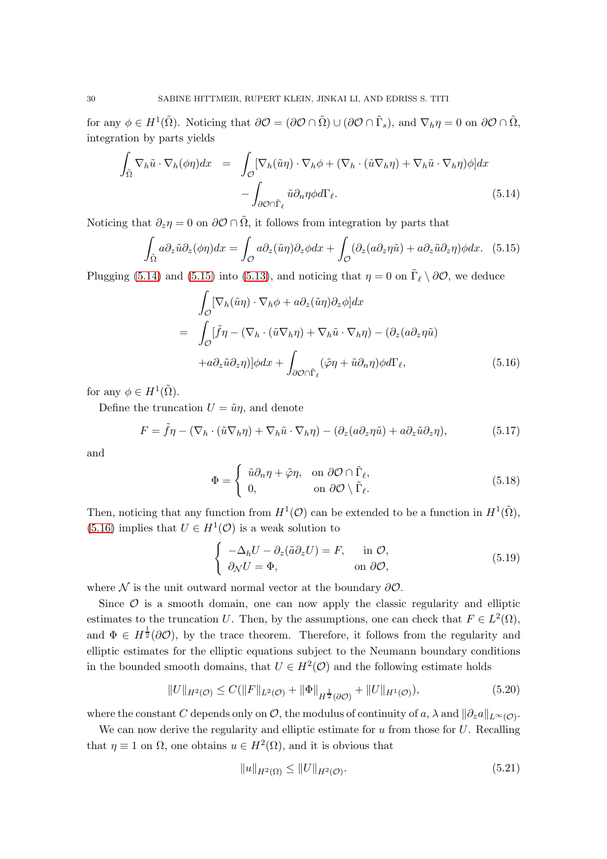for any  $\phi \in H^1(\tilde{\Omega})$ . Noticing that  $\partial \mathcal{O} = (\partial \mathcal{O} \cap \tilde{\Omega}) \cup (\partial \mathcal{O} \cap \tilde{\Gamma}_s)$ , and  $\nabla_h \eta = 0$  on  $\partial \mathcal{O} \cap \tilde{\Omega}$ , integration by parts yields

<span id="page-29-0"></span>
$$
\int_{\tilde{\Omega}} \nabla_h \tilde{u} \cdot \nabla_h (\phi \eta) dx = \int_{\mathcal{O}} [\nabla_h (\tilde{u} \eta) \cdot \nabla_h \phi + (\nabla_h \cdot (\tilde{u} \nabla_h \eta) + \nabla_h \tilde{u} \cdot \nabla_h \eta) \phi] dx \n- \int_{\partial \mathcal{O} \cap \tilde{\Gamma}_{\ell}} \tilde{u} \partial_n \eta \phi d\Gamma_{\ell}.
$$
\n(5.14)

Noticing that  $\partial_z \eta = 0$  on  $\partial \mathcal{O} \cap \tilde{\Omega}$ , it follows from integration by parts that

<span id="page-29-1"></span>
$$
\int_{\tilde{\Omega}} a \partial_z \tilde{u} \partial_z (\phi \eta) dx = \int_{\mathcal{O}} a \partial_z (\tilde{u} \eta) \partial_z \phi dx + \int_{\mathcal{O}} (\partial_z (a \partial_z \eta \tilde{u}) + a \partial_z \tilde{u} \partial_z \eta) \phi dx. \tag{5.15}
$$

Plugging [\(5.14\)](#page-29-0) and [\(5.15\)](#page-29-1) into [\(5.13\)](#page-28-1), and noticing that  $\eta = 0$  on  $\tilde{\Gamma}_{\ell} \setminus \partial \mathcal{O}$ , we deduce

<span id="page-29-2"></span>
$$
\int_{\mathcal{O}} \left[ \nabla_h (\tilde{u} \eta) \cdot \nabla_h \phi + a \partial_z (\tilde{u} \eta) \partial_z \phi \right] dx
$$
\n
$$
= \int_{\mathcal{O}} \left[ \tilde{f} \eta - (\nabla_h \cdot (\tilde{u} \nabla_h \eta) + \nabla_h \tilde{u} \cdot \nabla_h \eta) - (\partial_z (a \partial_z \eta \tilde{u}) \right]
$$
\n
$$
+ a \partial_z \tilde{u} \partial_z \eta \right] \phi dx + \int_{\partial \mathcal{O} \cap \tilde{\Gamma}_{\ell}} (\tilde{\varphi} \eta + \tilde{u} \partial_n \eta) \phi d\Gamma_{\ell}, \tag{5.16}
$$

for any  $\phi \in H^1(\tilde{\Omega})$ .

Define the truncation  $U = \tilde{u}\eta$ , and denote

$$
F = \tilde{f}\eta - (\nabla_h \cdot (\tilde{u}\nabla_h \eta) + \nabla_h \tilde{u} \cdot \nabla_h \eta) - (\partial_z(a\partial_z \eta \tilde{u}) + a\partial_z \tilde{u}\partial_z \eta),
$$
(5.17)

and

$$
\Phi = \begin{cases} \tilde{u}\partial_n \eta + \tilde{\varphi}\eta, & \text{on } \partial \mathcal{O} \cap \tilde{\Gamma}_{\ell}, \\ 0, & \text{on } \partial \mathcal{O} \setminus \tilde{\Gamma}_{\ell}. \end{cases}
$$
(5.18)

Then, noticing that any function from  $H^1(\mathcal{O})$  can be extended to be a function in  $H^1(\tilde{\Omega})$ , [\(5.16\)](#page-29-2) implies that  $U \in H^1(\mathcal{O})$  is a weak solution to

$$
\begin{cases}\n-\Delta_h U - \partial_z(\tilde{a}\partial_z U) = F, & \text{in } \mathcal{O}, \\
\partial_\mathcal{N} U = \Phi, & \text{on } \partial\mathcal{O},\n\end{cases}
$$
\n(5.19)

where  $\mathcal N$  is the unit outward normal vector at the boundary  $\partial \mathcal O$ .

Since  $\mathcal O$  is a smooth domain, one can now apply the classic regularity and elliptic estimates to the truncation U. Then, by the assumptions, one can check that  $F \in L^2(\Omega)$ , and  $\Phi \in H^{\frac{1}{2}}(\partial \mathcal{O})$ , by the trace theorem. Therefore, it follows from the regularity and elliptic estimates for the elliptic equations subject to the Neumann boundary conditions in the bounded smooth domains, that  $U \in H^2(\mathcal{O})$  and the following estimate holds

<span id="page-29-3"></span>
$$
||U||_{H^{2}(\mathcal{O})} \leq C(||F||_{L^{2}(\mathcal{O})} + ||\Phi||_{H^{\frac{1}{2}}(\partial \mathcal{O})} + ||U||_{H^{1}(\mathcal{O})}),
$$
\n(5.20)

where the constant  $C$  depends only on  $\mathcal{O}$ , the modulus of continuity of  $a$ ,  $\lambda$  and  $\|\partial_z a\|_{L^{\infty}(\mathcal{O})}$ .

We can now derive the regularity and elliptic estimate for  $u$  from those for  $U$ . Recalling that  $\eta \equiv 1$  on  $\Omega$ , one obtains  $u \in H^2(\Omega)$ , and it is obvious that

$$
||u||_{H^{2}(\Omega)} \leq ||U||_{H^{2}(\mathcal{O})}. \tag{5.21}
$$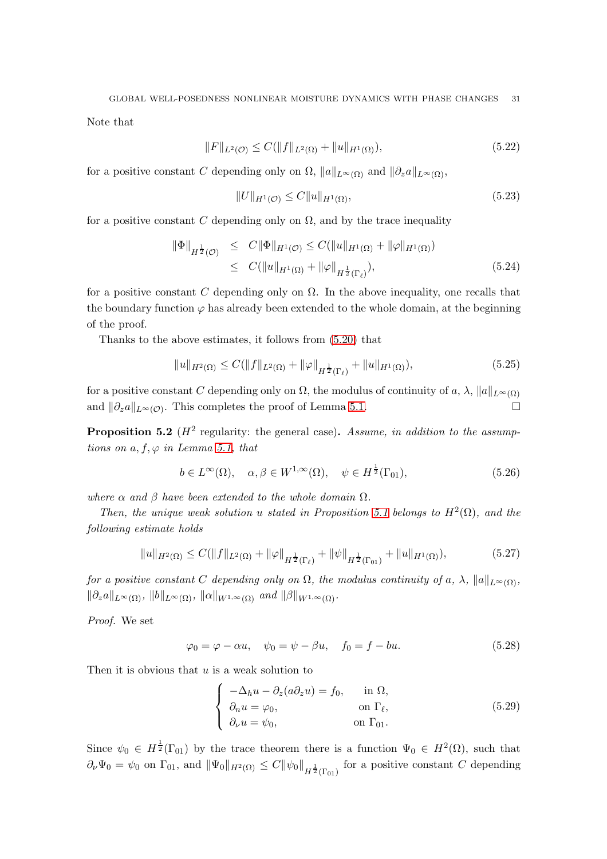Note that

$$
||F||_{L^{2}(\mathcal{O})} \leq C(||f||_{L^{2}(\Omega)} + ||u||_{H^{1}(\Omega)}),
$$
\n(5.22)

for a positive constant C depending only on  $\Omega$ ,  $||a||_{L^{\infty}(\Omega)}$  and  $||\partial_z a||_{L^{\infty}(\Omega)}$ ,

$$
||U||_{H^1(\mathcal{O})} \le C||u||_{H^1(\Omega)},\tag{5.23}
$$

for a positive constant C depending only on  $\Omega$ , and by the trace inequality

$$
\|\Phi\|_{H^{\frac{1}{2}}(\mathcal{O})} \leq C \|\Phi\|_{H^1(\mathcal{O})} \leq C (\|u\|_{H^1(\Omega)} + \|\varphi\|_{H^1(\Omega)})
$$
  
 
$$
\leq C (\|u\|_{H^1(\Omega)} + \|\varphi\|_{H^{\frac{1}{2}}(\Gamma_\ell)}), \tag{5.24}
$$

for a positive constant C depending only on  $\Omega$ . In the above inequality, one recalls that the boundary function  $\varphi$  has already been extended to the whole domain, at the beginning of the proof.

Thanks to the above estimates, it follows from [\(5.20\)](#page-29-3) that

$$
||u||_{H^{2}(\Omega)} \leq C(||f||_{L^{2}(\Omega)} + ||\varphi||_{H^{\frac{1}{2}}(\Gamma_{\ell})} + ||u||_{H^{1}(\Omega)}),
$$
\n(5.25)

for a positive constant C depending only on  $\Omega$ , the modulus of continuity of a,  $\lambda$ ,  $||a||_{L^{\infty}(\Omega)}$ and  $\|\partial_z a\|_{L^\infty(\mathcal{O})}$ . This completes the proof of Lemma [5.1.](#page-27-2)

<span id="page-30-0"></span>**Proposition 5.2** ( $H^2$  regularity: the general case). Assume, in addition to the assumptions on  $a, f, \varphi$  in Lemma [5.1,](#page-27-2) that

$$
b \in L^{\infty}(\Omega), \quad \alpha, \beta \in W^{1,\infty}(\Omega), \quad \psi \in H^{\frac{1}{2}}(\Gamma_{01}), \tag{5.26}
$$

where  $\alpha$  and  $\beta$  have been extended to the whole domain  $\Omega$ .

Then, the unique weak solution u stated in Proposition [5.1](#page-27-1) belongs to  $H^2(\Omega)$ , and the following estimate holds

$$
||u||_{H^{2}(\Omega)} \leq C(||f||_{L^{2}(\Omega)} + ||\varphi||_{H^{\frac{1}{2}}(\Gamma_{\ell})} + ||\psi||_{H^{\frac{1}{2}}(\Gamma_{01})} + ||u||_{H^{1}(\Omega)}),
$$
\n(5.27)

for a positive constant C depending only on  $\Omega$ , the modulus continuity of a,  $\lambda$ ,  $||a||_{L^{\infty}(\Omega)}$ ,  $\|\partial_z a\|_{L^{\infty}(\Omega)}, \|b\|_{L^{\infty}(\Omega)}, \|a\|_{W^{1,\infty}(\Omega)}$  and  $\|\beta\|_{W^{1,\infty}(\Omega)}$ .

Proof. We set

$$
\varphi_0 = \varphi - \alpha u, \quad \psi_0 = \psi - \beta u, \quad f_0 = f - bu. \tag{5.28}
$$

Then it is obvious that  $u$  is a weak solution to

$$
\begin{cases}\n-\Delta_h u - \partial_z(a\partial_z u) = f_0, & \text{in } \Omega, \\
\partial_n u = \varphi_0, & \text{on } \Gamma_\ell, \\
\partial_\nu u = \psi_0, & \text{on } \Gamma_{01}.\n\end{cases}
$$
\n(5.29)

Since  $\psi_0 \in H^{\frac{1}{2}}(\Gamma_{01})$  by the trace theorem there is a function  $\Psi_0 \in H^2(\Omega)$ , such that  $\partial_{\nu}\Psi_0 = \psi_0$  on  $\Gamma_{01}$ , and  $\|\Psi_0\|_{H^2(\Omega)} \leq C \|\psi_0\|_{H^{\frac{1}{2}}(\Gamma_{01})}$  for a positive constant C depending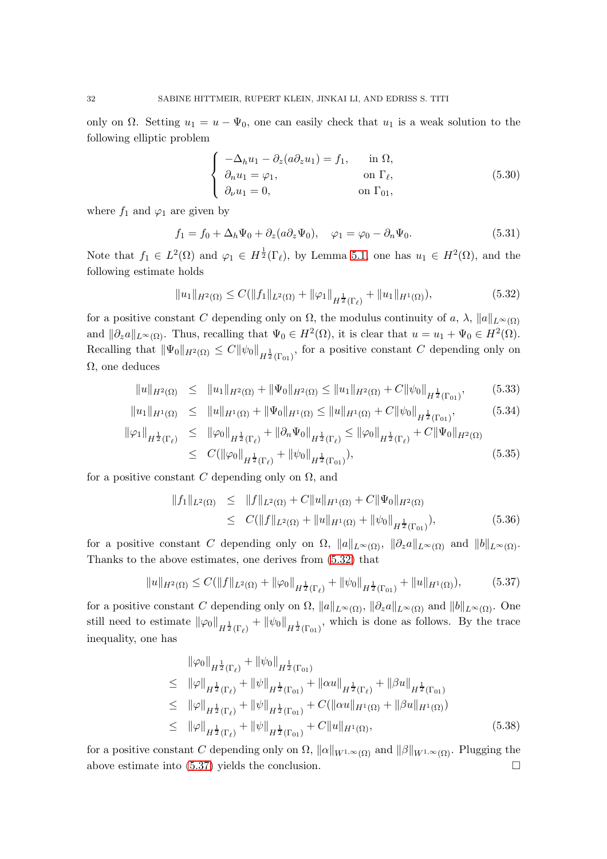only on  $\Omega$ . Setting  $u_1 = u - \Psi_0$ , one can easily check that  $u_1$  is a weak solution to the following elliptic problem

$$
\begin{cases}\n-\Delta_h u_1 - \partial_z(a\partial_z u_1) = f_1, & \text{in } \Omega, \\
\partial_n u_1 = \varphi_1, & \text{on } \Gamma_\ell, \\
\partial_\nu u_1 = 0, & \text{on } \Gamma_{01},\n\end{cases}
$$
\n(5.30)

where  $f_1$  and  $\varphi_1$  are given by

$$
f_1 = f_0 + \Delta_h \Psi_0 + \partial_z (a \partial_z \Psi_0), \quad \varphi_1 = \varphi_0 - \partial_n \Psi_0.
$$
 (5.31)

Note that  $f_1 \in L^2(\Omega)$  and  $\varphi_1 \in H^{\frac{1}{2}}(\Gamma_{\ell})$ , by Lemma [5.1,](#page-27-2) one has  $u_1 \in H^2(\Omega)$ , and the following estimate holds

<span id="page-31-0"></span>
$$
||u_1||_{H^2(\Omega)} \le C(||f_1||_{L^2(\Omega)} + ||\varphi_1||_{H^{\frac{1}{2}}(\Gamma_{\ell})} + ||u_1||_{H^1(\Omega)}),
$$
\n(5.32)

for a positive constant C depending only on  $\Omega$ , the modulus continuity of a,  $\lambda$ ,  $||a||_{L^{\infty}(\Omega)}$ and  $\|\partial_z a\|_{L^\infty(\Omega)}$ . Thus, recalling that  $\Psi_0 \in H^2(\Omega)$ , it is clear that  $u = u_1 + \Psi_0 \in H^2(\Omega)$ . Recalling that  $\|\Psi_0\|_{H^2(\Omega)} \leq C \|\psi_0\|_{H^{\frac{1}{2}}(\Gamma_{01})}$ , for a positive constant C depending only on  $\Omega$ , one deduces

$$
||u||_{H^{2}(\Omega)} \leq ||u_{1}||_{H^{2}(\Omega)} + ||\Psi_{0}||_{H^{2}(\Omega)} \leq ||u_{1}||_{H^{2}(\Omega)} + C ||\psi_{0}||_{H^{\frac{1}{2}}(\Gamma_{01})}, \qquad (5.33)
$$

$$
||u_1||_{H^1(\Omega)} \le ||u||_{H^1(\Omega)} + ||\Psi_0||_{H^1(\Omega)} \le ||u||_{H^1(\Omega)} + C ||\psi_0||_{H^{\frac{1}{2}}(\Gamma_{01})}, \tag{5.34}
$$

$$
\|\varphi_1\|_{H^{\frac{1}{2}}(\Gamma_{\ell})} \leq \|\varphi_0\|_{H^{\frac{1}{2}}(\Gamma_{\ell})} + \|\partial_n \Psi_0\|_{H^{\frac{1}{2}}(\Gamma_{\ell})} \leq \|\varphi_0\|_{H^{\frac{1}{2}}(\Gamma_{\ell})} + C \|\Psi_0\|_{H^2(\Omega)}
$$
  
 
$$
\leq C (\|\varphi_0\|_{H^{\frac{1}{2}}(\Gamma_{\ell})} + \|\psi_0\|_{H^{\frac{1}{2}}(\Gamma_{01})}), \tag{5.35}
$$

for a positive constant C depending only on  $\Omega$ , and

$$
||f_1||_{L^2(\Omega)} \le ||f||_{L^2(\Omega)} + C||u||_{H^1(\Omega)} + C||\Psi_0||_{H^2(\Omega)}
$$
  
\n
$$
\le C(||f||_{L^2(\Omega)} + ||u||_{H^1(\Omega)} + ||\psi_0||_{H^{\frac{1}{2}}(\Gamma_{01})}),
$$
\n(5.36)

for a positive constant C depending only on  $\Omega$ ,  $||a||_{L^{\infty}(\Omega)}$ ,  $||\partial_z a||_{L^{\infty}(\Omega)}$  and  $||b||_{L^{\infty}(\Omega)}$ . Thanks to the above estimates, one derives from [\(5.32\)](#page-31-0) that

<span id="page-31-1"></span>
$$
||u||_{H^{2}(\Omega)} \leq C(||f||_{L^{2}(\Omega)} + ||\varphi_{0}||_{H^{\frac{1}{2}}(\Gamma_{\ell})} + ||\psi_{0}||_{H^{\frac{1}{2}}(\Gamma_{01})} + ||u||_{H^{1}(\Omega)}),
$$
(5.37)

for a positive constant C depending only on  $\Omega$ ,  $||a||_{L^{\infty}(\Omega)}$ ,  $||\partial_z a||_{L^{\infty}(\Omega)}$  and  $||b||_{L^{\infty}(\Omega)}$ . One still need to estimate  $\|\varphi_0\|_{H^{\frac{1}{2}}(\Gamma_{\ell})} + \|\psi_0\|_{H^{\frac{1}{2}}(\Gamma_{01})}$ , which is done as follows. By the trace inequality, one has

$$
\|\varphi_{0}\|_{H^{\frac{1}{2}}(\Gamma_{\ell})} + \|\psi_{0}\|_{H^{\frac{1}{2}}(\Gamma_{01})}
$$
\n
$$
\leq \|\varphi\|_{H^{\frac{1}{2}}(\Gamma_{\ell})} + \|\psi\|_{H^{\frac{1}{2}}(\Gamma_{01})} + \|\alpha u\|_{H^{\frac{1}{2}}(\Gamma_{\ell})} + \|\beta u\|_{H^{\frac{1}{2}}(\Gamma_{01})}
$$
\n
$$
\leq \|\varphi\|_{H^{\frac{1}{2}}(\Gamma_{\ell})} + \|\psi\|_{H^{\frac{1}{2}}(\Gamma_{01})} + C(\|\alpha u\|_{H^{1}(\Omega)} + \|\beta u\|_{H^{1}(\Omega)})
$$
\n
$$
\leq \|\varphi\|_{H^{\frac{1}{2}}(\Gamma_{\ell})} + \|\psi\|_{H^{\frac{1}{2}}(\Gamma_{01})} + C\|u\|_{H^{1}(\Omega)}, \tag{5.38}
$$

for a positive constant C depending only on  $\Omega$ ,  $\|\alpha\|_{W^{1,\infty}(\Omega)}$  and  $\|\beta\|_{W^{1,\infty}(\Omega)}$ . Plugging the above estimate into  $(5.37)$  yields the conclusion.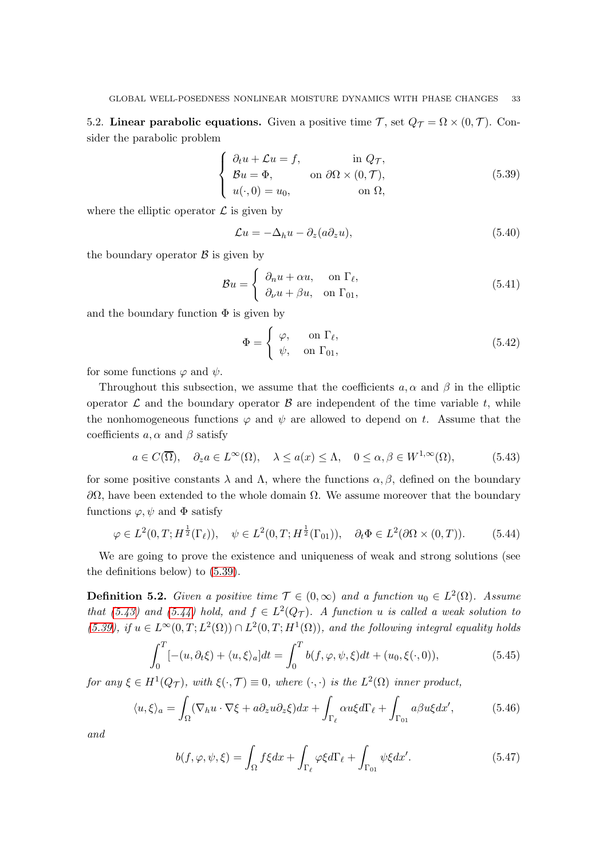5.2. Linear parabolic equations. Given a positive time  $\mathcal{T}$ , set  $Q_{\mathcal{T}} = \Omega \times (0, \mathcal{T})$ . Consider the parabolic problem

<span id="page-32-0"></span>
$$
\begin{cases}\n\partial_t u + \mathcal{L}u = f, & \text{in } Q_{\mathcal{T}}, \\
\mathcal{B}u = \Phi, & \text{on } \partial\Omega \times (0, \mathcal{T}), \\
u(\cdot, 0) = u_0, & \text{on } \Omega,\n\end{cases}
$$
\n(5.39)

where the elliptic operator  $\mathcal L$  is given by

$$
\mathcal{L}u = -\Delta_h u - \partial_z (a\partial_z u),\tag{5.40}
$$

the boundary operator  $\beta$  is given by

$$
\mathcal{B}u = \begin{cases} \partial_n u + \alpha u, & \text{on } \Gamma_\ell, \\ \partial_\nu u + \beta u, & \text{on } \Gamma_{01}, \end{cases}
$$
 (5.41)

and the boundary function  $\Phi$  is given by

$$
\Phi = \begin{cases} \varphi, & \text{on } \Gamma_{\ell}, \\ \psi, & \text{on } \Gamma_{01}, \end{cases}
$$
 (5.42)

for some functions  $\varphi$  and  $\psi$ .

Throughout this subsection, we assume that the coefficients  $a, \alpha$  and  $\beta$  in the elliptic operator  $\mathcal L$  and the boundary operator  $\mathcal B$  are independent of the time variable t, while the nonhomogeneous functions  $\varphi$  and  $\psi$  are allowed to depend on t. Assume that the coefficients  $a, \alpha$  and  $\beta$  satisfy

<span id="page-32-1"></span>
$$
a \in C(\overline{\Omega}), \quad \partial_z a \in L^{\infty}(\Omega), \quad \lambda \le a(x) \le \Lambda, \quad 0 \le \alpha, \beta \in W^{1,\infty}(\Omega),
$$
 (5.43)

for some positive constants  $\lambda$  and  $\Lambda$ , where the functions  $\alpha, \beta$ , defined on the boundary  $\partial\Omega$ , have been extended to the whole domain  $\Omega$ . We assume moreover that the boundary functions  $\varphi, \psi$  and  $\Phi$  satisfy

<span id="page-32-2"></span>
$$
\varphi \in L^{2}(0,T; H^{\frac{1}{2}}(\Gamma_{\ell})), \quad \psi \in L^{2}(0,T; H^{\frac{1}{2}}(\Gamma_{01})), \quad \partial_{t} \Phi \in L^{2}(\partial \Omega \times (0,T)).
$$
 (5.44)

We are going to prove the existence and uniqueness of weak and strong solutions (see the definitions below) to [\(5.39\)](#page-32-0).

**Definition 5.2.** Given a positive time  $\mathcal{T} \in (0, \infty)$  and a function  $u_0 \in L^2(\Omega)$ . Assume that [\(5.43\)](#page-32-1) and [\(5.44\)](#page-32-2) hold, and  $f \in L^2(Q_T)$ . A function u is called a weak solution to [\(5.39\)](#page-32-0), if  $u \in L^{\infty}(0,T; L^{2}(\Omega)) \cap L^{2}(0,T; H^{1}(\Omega))$ , and the following integral equality holds

$$
\int_0^T \left[ -(u, \partial_t \xi) + \langle u, \xi \rangle_a \right] dt = \int_0^T b(f, \varphi, \psi, \xi) dt + (u_0, \xi(\cdot, 0)), \tag{5.45}
$$

for any  $\xi \in H^1(Q_T)$ , with  $\xi(\cdot, \mathcal{T}) \equiv 0$ , where  $(\cdot, \cdot)$  is the  $L^2(\Omega)$  inner product,

$$
\langle u, \xi \rangle_a = \int_{\Omega} (\nabla_h u \cdot \nabla \xi + a \partial_z u \partial_z \xi) dx + \int_{\Gamma_\ell} \alpha u \xi d\Gamma_\ell + \int_{\Gamma_{01}} a \beta u \xi dx', \tag{5.46}
$$

and

$$
b(f, \varphi, \psi, \xi) = \int_{\Omega} f \xi dx + \int_{\Gamma_{\ell}} \varphi \xi d\Gamma_{\ell} + \int_{\Gamma_{01}} \psi \xi dx'.
$$
 (5.47)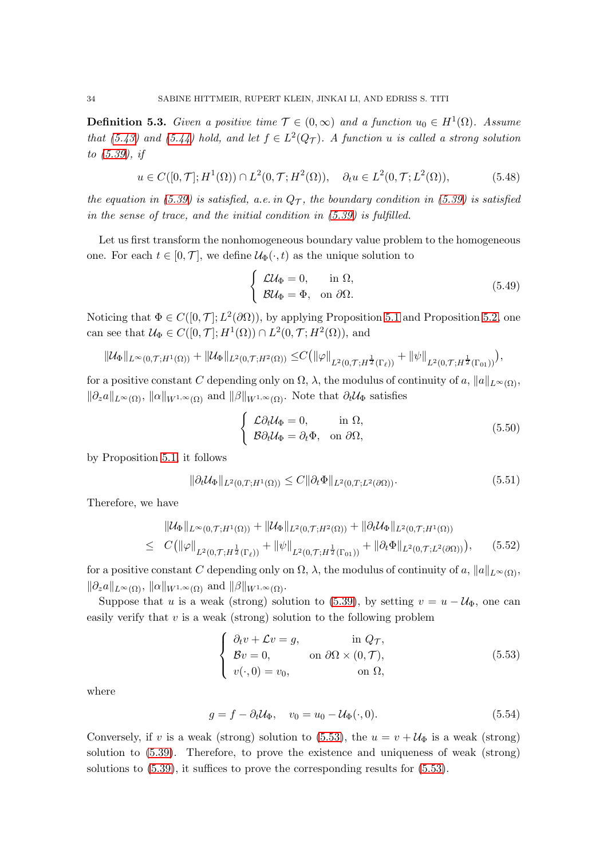**Definition 5.3.** Given a positive time  $\mathcal{T} \in (0, \infty)$  and a function  $u_0 \in H^1(\Omega)$ . Assume that [\(5.43\)](#page-32-1) and [\(5.44\)](#page-32-2) hold, and let  $f \in L^2(Q_T)$ . A function u is called a strong solution to [\(5.39\)](#page-32-0), if

$$
u \in C([0, \mathcal{T}]; H^1(\Omega)) \cap L^2(0, \mathcal{T}; H^2(\Omega)), \quad \partial_t u \in L^2(0, \mathcal{T}; L^2(\Omega)),
$$
 (5.48)

the equation in [\(5.39\)](#page-32-0) is satisfied, a.e. in  $Q_{\mathcal{T}}$ , the boundary condition in (5.39) is satisfied in the sense of trace, and the initial condition in [\(5.39\)](#page-32-0) is fulfilled.

Let us first transform the nonhomogeneous boundary value problem to the homogeneous one. For each  $t \in [0, \mathcal{T}]$ , we define  $\mathcal{U}_{\Phi}(\cdot, t)$  as the unique solution to

$$
\begin{cases}\n\mathcal{L} \mathcal{U}_{\Phi} = 0, & \text{in } \Omega, \\
\mathcal{B} \mathcal{U}_{\Phi} = \Phi, & \text{on } \partial \Omega.\n\end{cases}
$$
\n(5.49)

Noticing that  $\Phi \in C([0, \mathcal{T}]; L^2(\partial \Omega))$ , by applying Proposition [5.1](#page-27-1) and Proposition [5.2,](#page-30-0) one can see that  $\mathcal{U}_{\Phi} \in C([0,\mathcal{T}];H^1(\Omega)) \cap L^2(0,\mathcal{T};H^2(\Omega)),$  and

$$
\|\mathcal{U}_{\Phi}\|_{L^{\infty}(0,\mathcal{T};H^{1}(\Omega))}+\|\mathcal{U}_{\Phi}\|_{L^{2}(0,\mathcal{T};H^{2}(\Omega))}\leq C\big(\|\varphi\|_{L^{2}(0,\mathcal{T};H^{\frac{1}{2}}(\Gamma_{\ell}))}+\|\psi\|_{L^{2}(0,\mathcal{T};H^{\frac{1}{2}}(\Gamma_{01}))}\big),
$$

for a positive constant C depending only on  $\Omega$ ,  $\lambda$ , the modulus of continuity of a,  $||a||_{L^{\infty}(\Omega)}$ ,  $\|\partial_z a\|_{L^{\infty}(\Omega)}$ ,  $\|\alpha\|_{W^{1,\infty}(\Omega)}$  and  $\|\beta\|_{W^{1,\infty}(\Omega)}$ . Note that  $\partial_t\mathcal{U}_{\Phi}$  satisfies

$$
\begin{cases}\n\mathcal{L}\partial_t \mathcal{U}_{\Phi} = 0, & \text{in } \Omega, \\
\mathcal{B}\partial_t \mathcal{U}_{\Phi} = \partial_t \Phi, & \text{on } \partial\Omega,\n\end{cases}
$$
\n(5.50)

by Proposition [5.1,](#page-27-1) it follows

$$
\|\partial_t \mathcal{U}_{\Phi}\|_{L^2(0,T;H^1(\Omega))} \le C \|\partial_t \Phi\|_{L^2(0,T;L^2(\partial \Omega))}.
$$
\n(5.51)

Therefore, we have

<span id="page-33-1"></span>
$$
\|U_{\Phi}\|_{L^{\infty}(0,\mathcal{T};H^{1}(\Omega))} + \|\mathcal{U}_{\Phi}\|_{L^{2}(0,\mathcal{T};H^{2}(\Omega))} + \|\partial_{t}U_{\Phi}\|_{L^{2}(0,\mathcal{T};H^{1}(\Omega))}
$$
\n
$$
\leq C(\|\varphi\|_{L^{2}(0,\mathcal{T};H^{\frac{1}{2}}(\Gamma_{\ell}))} + \|\psi\|_{L^{2}(0,\mathcal{T};H^{\frac{1}{2}}(\Gamma_{01}))} + \|\partial_{t}\Phi\|_{L^{2}(0,\mathcal{T};L^{2}(\partial\Omega))}), \qquad (5.52)
$$

for a positive constant C depending only on  $\Omega$ ,  $\lambda$ , the modulus of continuity of a,  $||a||_{L^{\infty}(\Omega)}$ ,  $\|\partial_z a\|_{L^{\infty}(\Omega)}, \|\alpha\|_{W^{1,\infty}(\Omega)}$  and  $\|\beta\|_{W^{1,\infty}(\Omega)}$ .

Suppose that u is a weak (strong) solution to [\(5.39\)](#page-32-0), by setting  $v = u - \mathcal{U}_{\Phi}$ , one can easily verify that  $v$  is a weak (strong) solution to the following problem

<span id="page-33-0"></span>
$$
\begin{cases}\n\partial_t v + \mathcal{L}v = g, & \text{in } Q_{\mathcal{T}}, \\
\mathcal{B}v = 0, & \text{on } \partial\Omega \times (0, \mathcal{T}), \\
v(\cdot, 0) = v_0, & \text{on } \Omega,\n\end{cases}
$$
\n(5.53)

where

$$
g = f - \partial_t \mathcal{U}_{\Phi}, \quad v_0 = u_0 - \mathcal{U}_{\Phi}(\cdot, 0). \tag{5.54}
$$

Conversely, if v is a weak (strong) solution to [\(5.53\)](#page-33-0), the  $u = v + \mathcal{U}_{\Phi}$  is a weak (strong) solution to [\(5.39\)](#page-32-0). Therefore, to prove the existence and uniqueness of weak (strong) solutions to [\(5.39\)](#page-32-0), it suffices to prove the corresponding results for [\(5.53\)](#page-33-0).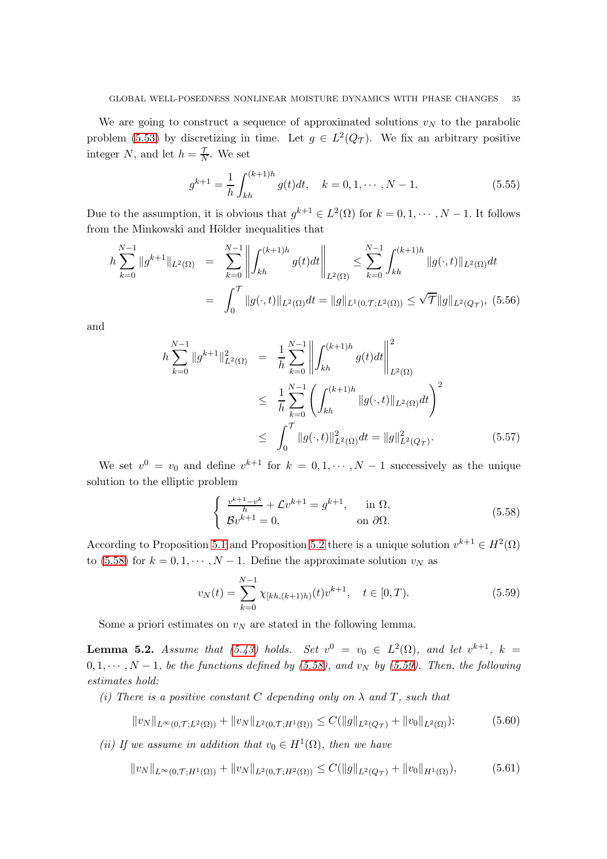We are going to construct a sequence of approximated solutions  $v<sub>N</sub>$  to the parabolic problem [\(5.53\)](#page-33-0) by discretizing in time. Let  $g \in L^2(Q_T)$ . We fix an arbitrary positive integer N, and let  $h = \frac{7}{\lambda}$  $\frac{7}{N}$ . We set

<span id="page-34-4"></span>
$$
g^{k+1} = \frac{1}{h} \int_{kh}^{(k+1)h} g(t)dt, \quad k = 0, 1, \cdots, N-1.
$$
 (5.55)

Due to the assumption, it is obvious that  $g^{k+1} \in L^2(\Omega)$  for  $k = 0, 1, \dots, N-1$ . It follows from the Minkowski and Hölder inequalities that

<span id="page-34-2"></span>
$$
h\sum_{k=0}^{N-1} \|g^{k+1}\|_{L^{2}(\Omega)} = \sum_{k=0}^{N-1} \left\| \int_{kh}^{(k+1)h} g(t)dt \right\|_{L^{2}(\Omega)} \le \sum_{k=0}^{N-1} \int_{kh}^{(k+1)h} \|g(\cdot,t)\|_{L^{2}(\Omega)}dt
$$
  

$$
= \int_{0}^{T} \|g(\cdot,t)\|_{L^{2}(\Omega)}dt = \|g\|_{L^{1}(0,T;L^{2}(\Omega))} \le \sqrt{T} \|g\|_{L^{2}(Q_{\mathcal{T}})}, \quad (5.56)
$$

and

<span id="page-34-3"></span>
$$
h\sum_{k=0}^{N-1} \|g^{k+1}\|_{L^{2}(\Omega)}^{2} = \frac{1}{h} \sum_{k=0}^{N-1} \left\| \int_{kh}^{(k+1)h} g(t)dt \right\|_{L^{2}(\Omega)}^{2}
$$
  

$$
\leq \frac{1}{h} \sum_{k=0}^{N-1} \left( \int_{kh}^{(k+1)h} \|g(\cdot,t)\|_{L^{2}(\Omega)}dt \right)^{2}
$$
  

$$
\leq \int_{0}^{T} \|g(\cdot,t)\|_{L^{2}(\Omega)}^{2} dt = \|g\|_{L^{2}(Q_{\mathcal{T}})}^{2}.
$$
 (5.57)

We set  $v^0 = v_0$  and define  $v^{k+1}$  for  $k = 0, 1, \dots, N-1$  successively as the unique solution to the elliptic problem

<span id="page-34-0"></span>
$$
\begin{cases} \frac{v^{k+1}-v^k}{h} + \mathcal{L}v^{k+1} = g^{k+1}, & \text{in } \Omega, \\ \mathcal{B}v^{k+1} = 0, & \text{on } \partial\Omega. \end{cases}
$$
\n(5.58)

According to Proposition [5.1](#page-27-1) and Proposition [5.2](#page-30-0) there is a unique solution  $v^{k+1} \in H^2(\Omega)$ to [\(5.58\)](#page-34-0) for  $k = 0, 1, \dots, N - 1$ . Define the approximate solution  $v_N$  as

<span id="page-34-1"></span>
$$
v_N(t) = \sum_{k=0}^{N-1} \chi_{[kh,(k+1)h)}(t) v^{k+1}, \quad t \in [0,T). \tag{5.59}
$$

Some a priori estimates on  $v_N$  are stated in the following lemma.

<span id="page-34-5"></span>**Lemma 5.2.** Assume that [\(5.43\)](#page-32-1) holds. Set  $v^0 = v_0 \in L^2(\Omega)$ , and let  $v^{k+1}$ ,  $k =$  $0, 1, \cdots, N-1$ , be the functions defined by [\(5.58\)](#page-34-0), and v<sub>N</sub> by [\(5.59\)](#page-34-1). Then, the following estimates hold:

(i) There is a positive constant C depending only on  $\lambda$  and T, such that

$$
||v_N||_{L^{\infty}(0,\mathcal{T};L^2(\Omega))} + ||v_N||_{L^2(0,\mathcal{T};H^1(\Omega))} \leq C(||g||_{L^2(Q_{\mathcal{T}})} + ||v_0||_{L^2(\Omega)}); \tag{5.60}
$$

(ii) If we assume in addition that  $v_0 \in H^1(\Omega)$ , then we have

$$
||v_N||_{L^{\infty}(0,\mathcal{T};H^1(\Omega))} + ||v_N||_{L^2(0,\mathcal{T};H^2(\Omega))} \leq C(||g||_{L^2(Q_{\mathcal{T}})} + ||v_0||_{H^1(\Omega)}),
$$
(5.61)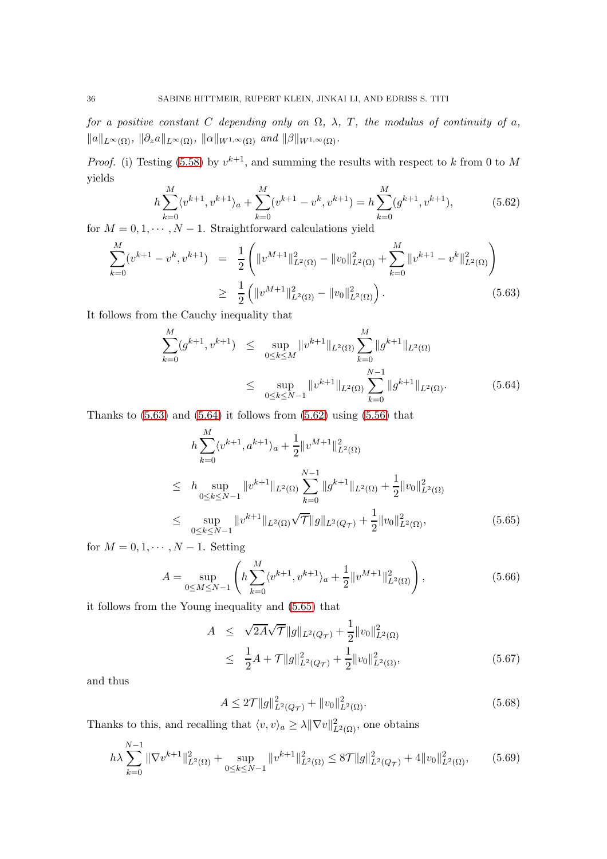for a positive constant C depending only on  $\Omega$ ,  $\lambda$ , T, the modulus of continuity of a,  $||a||_{L^{\infty}(\Omega)}, ||\partial_z a||_{L^{\infty}(\Omega)}, ||\alpha||_{W^{1,\infty}(\Omega)}$  and  $||\beta||_{W^{1,\infty}(\Omega)}$ .

*Proof.* (i) Testing [\(5.58\)](#page-34-0) by  $v^{k+1}$ , and summing the results with respect to k from 0 to M yields

<span id="page-35-2"></span>
$$
h\sum_{k=0}^{M} \langle v^{k+1}, v^{k+1} \rangle_a + \sum_{k=0}^{M} (v^{k+1} - v^k, v^{k+1}) = h\sum_{k=0}^{M} (g^{k+1}, v^{k+1}), \tag{5.62}
$$

for  $M = 0, 1, \cdots, N - 1$ . Straightforward calculations yield

<span id="page-35-0"></span>
$$
\sum_{k=0}^{M} (v^{k+1} - v^k, v^{k+1}) = \frac{1}{2} \left( \|v^{M+1}\|_{L^2(\Omega)}^2 - \|v_0\|_{L^2(\Omega)}^2 + \sum_{k=0}^{M} \|v^{k+1} - v^k\|_{L^2(\Omega)}^2 \right)
$$
  
\n
$$
\geq \frac{1}{2} \left( \|v^{M+1}\|_{L^2(\Omega)}^2 - \|v_0\|_{L^2(\Omega)}^2 \right). \tag{5.63}
$$

It follows from the Cauchy inequality that

<span id="page-35-1"></span>
$$
\sum_{k=0}^{M} (g^{k+1}, v^{k+1}) \le \sup_{0 \le k \le M} \|v^{k+1}\|_{L^{2}(\Omega)} \sum_{k=0}^{M} \|g^{k+1}\|_{L^{2}(\Omega)}
$$
\n
$$
\le \sup_{0 \le k \le N-1} \|v^{k+1}\|_{L^{2}(\Omega)} \sum_{k=0}^{N-1} \|g^{k+1}\|_{L^{2}(\Omega)}.
$$
\n(5.64)

Thanks to  $(5.63)$  and  $(5.64)$  it follows from  $(5.62)$  using  $(5.56)$  that

<span id="page-35-3"></span>
$$
h \sum_{k=0}^{M} \langle v^{k+1}, a^{k+1} \rangle_a + \frac{1}{2} ||v^{M+1}||_{L^2(\Omega)}^2
$$
  
\n
$$
\leq h \sup_{0 \leq k \leq N-1} ||v^{k+1}||_{L^2(\Omega)} \sum_{k=0}^{N-1} ||g^{k+1}||_{L^2(\Omega)} + \frac{1}{2} ||v_0||_{L^2(\Omega)}^2
$$
  
\n
$$
\leq \sup_{0 \leq k \leq N-1} ||v^{k+1}||_{L^2(\Omega)} \sqrt{\mathcal{T}} ||g||_{L^2(Q_{\mathcal{T}})} + \frac{1}{2} ||v_0||_{L^2(\Omega)}^2,
$$
 (5.65)

for  $M = 0, 1, \cdots, N-1$ . Setting

$$
A = \sup_{0 \le M \le N-1} \left( h \sum_{k=0}^{M} \langle v^{k+1}, v^{k+1} \rangle_a + \frac{1}{2} ||v^{M+1}||^2_{L^2(\Omega)} \right), \tag{5.66}
$$

it follows from the Young inequality and [\(5.65\)](#page-35-3) that

$$
A \leq \sqrt{2A}\sqrt{T}||g||_{L^{2}(Q_{\mathcal{T}})} + \frac{1}{2}||v_{0}||_{L^{2}(\Omega)}^{2}
$$
  

$$
\leq \frac{1}{2}A + \mathcal{T}||g||_{L^{2}(Q_{\mathcal{T}})}^{2} + \frac{1}{2}||v_{0}||_{L^{2}(\Omega)}^{2}, \qquad (5.67)
$$

and thus

$$
A \le 2\mathcal{T}||g||_{L^{2}(Q_{\mathcal{T}})}^{2} + ||v_{0}||_{L^{2}(\Omega)}^{2}.
$$
\n(5.68)

Thanks to this, and recalling that  $\langle v, v \rangle_a \geq \lambda \|\nabla v\|_{L^2(\Omega)}^2$ , one obtains

<span id="page-35-4"></span>
$$
h\lambda \sum_{k=0}^{N-1} \|\nabla v^{k+1}\|_{L^2(\Omega)}^2 + \sup_{0 \le k \le N-1} \|v^{k+1}\|_{L^2(\Omega)}^2 \le 8\mathcal{T} \|g\|_{L^2(Q_\mathcal{T})}^2 + 4\|v_0\|_{L^2(\Omega)}^2,\tag{5.69}
$$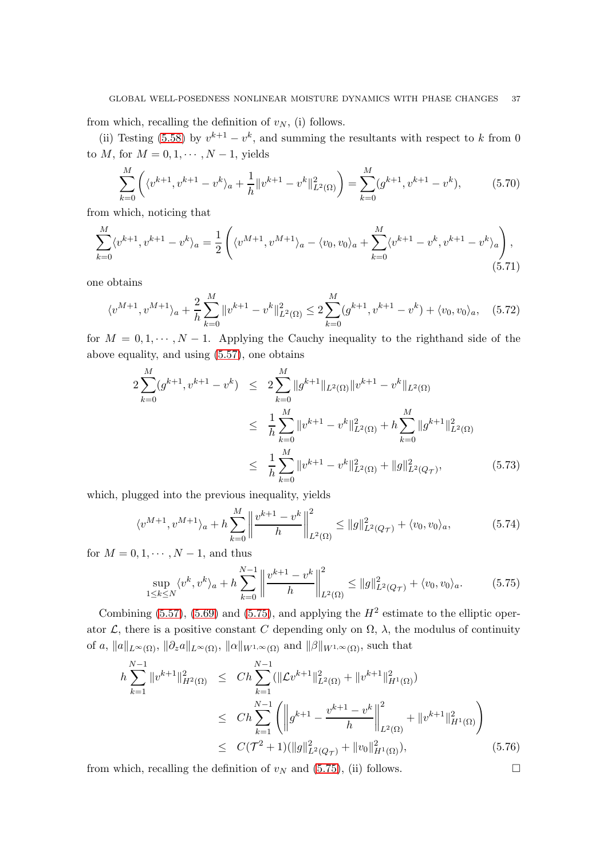from which, recalling the definition of  $v_N$ , (i) follows.

(ii) Testing [\(5.58\)](#page-34-0) by  $v^{k+1} - v^k$ , and summing the resultants with respect to k from 0 to  $M$ , for  $M = 0, 1, \cdots, N-1$ , yields

$$
\sum_{k=0}^{M} \left( \langle v^{k+1}, v^{k+1} - v^k \rangle_a + \frac{1}{h} ||v^{k+1} - v^k||^2_{L^2(\Omega)} \right) = \sum_{k=0}^{M} (g^{k+1}, v^{k+1} - v^k), \tag{5.70}
$$

from which, noticing that

$$
\sum_{k=0}^{M} \langle v^{k+1}, v^{k+1} - v^k \rangle_a = \frac{1}{2} \left( \langle v^{M+1}, v^{M+1} \rangle_a - \langle v_0, v_0 \rangle_a + \sum_{k=0}^{M} \langle v^{k+1} - v^k, v^{k+1} - v^k \rangle_a \right), \tag{5.71}
$$

one obtains

$$
\langle v^{M+1}, v^{M+1} \rangle_a + \frac{2}{h} \sum_{k=0}^M \|v^{k+1} - v^k\|_{L^2(\Omega)}^2 \le 2 \sum_{k=0}^M (g^{k+1}, v^{k+1} - v^k) + \langle v_0, v_0 \rangle_a, \quad (5.72)
$$

for  $M = 0, 1, \dots, N - 1$ . Applying the Cauchy inequality to the righthand side of the above equality, and using [\(5.57\)](#page-34-3), one obtains

$$
2\sum_{k=0}^{M} (g^{k+1}, v^{k+1} - v^k) \le 2\sum_{k=0}^{M} \|g^{k+1}\|_{L^2(\Omega)} \|v^{k+1} - v^k\|_{L^2(\Omega)}
$$
  

$$
\le \frac{1}{h} \sum_{k=0}^{M} \|v^{k+1} - v^k\|_{L^2(\Omega)}^2 + h \sum_{k=0}^{M} \|g^{k+1}\|_{L^2(\Omega)}^2
$$
  

$$
\le \frac{1}{h} \sum_{k=0}^{M} \|v^{k+1} - v^k\|_{L^2(\Omega)}^2 + \|g\|_{L^2(Q_T)}^2,
$$
 (5.73)

which, plugged into the previous inequality, yields

$$
\langle v^{M+1}, v^{M+1} \rangle_a + h \sum_{k=0}^{M} \left\| \frac{v^{k+1} - v^k}{h} \right\|_{L^2(\Omega)}^2 \le ||g||_{L^2(Q_T)}^2 + \langle v_0, v_0 \rangle_a, \tag{5.74}
$$

for  $M = 0, 1, \cdots, N-1$ , and thus

<span id="page-36-0"></span>
$$
\sup_{1 \le k \le N} \langle v^k, v^k \rangle_a + h \sum_{k=0}^{N-1} \left\| \frac{v^{k+1} - v^k}{h} \right\|_{L^2(\Omega)}^2 \le \|g\|_{L^2(Q_T)}^2 + \langle v_0, v_0 \rangle_a. \tag{5.75}
$$

Combining [\(5.57\)](#page-34-3), [\(5.69\)](#page-35-4) and [\(5.75\)](#page-36-0), and applying the  $H^2$  estimate to the elliptic operator  $\mathcal{L}$ , there is a positive constant C depending only on  $\Omega$ ,  $\lambda$ , the modulus of continuity of a,  $||a||_{L^{\infty}(\Omega)}$ ,  $||\partial_z a||_{L^{\infty}(\Omega)}$ ,  $||\alpha||_{W^{1,\infty}(\Omega)}$  and  $||\beta||_{W^{1,\infty}(\Omega)}$ , such that

$$
h\sum_{k=1}^{N-1} \|v^{k+1}\|_{H^2(\Omega)}^2 \le Ch \sum_{k=1}^{N-1} (\|\mathcal{L}v^{k+1}\|_{L^2(\Omega)}^2 + \|v^{k+1}\|_{H^1(\Omega)}^2)
$$
  

$$
\le Ch \sum_{k=1}^{N-1} \left( \left\|g^{k+1} - \frac{v^{k+1} - v^k}{h}\right\|_{L^2(\Omega)}^2 + \|v^{k+1}\|_{H^1(\Omega)}^2 \right)
$$
  

$$
\le C(\mathcal{T}^2 + 1)(\|g\|_{L^2(Q_{\mathcal{T}})}^2 + \|v_0\|_{H^1(\Omega)}^2), \tag{5.76}
$$

from which, recalling the definition of  $v_N$  and [\(5.75\)](#page-36-0), (ii) follows.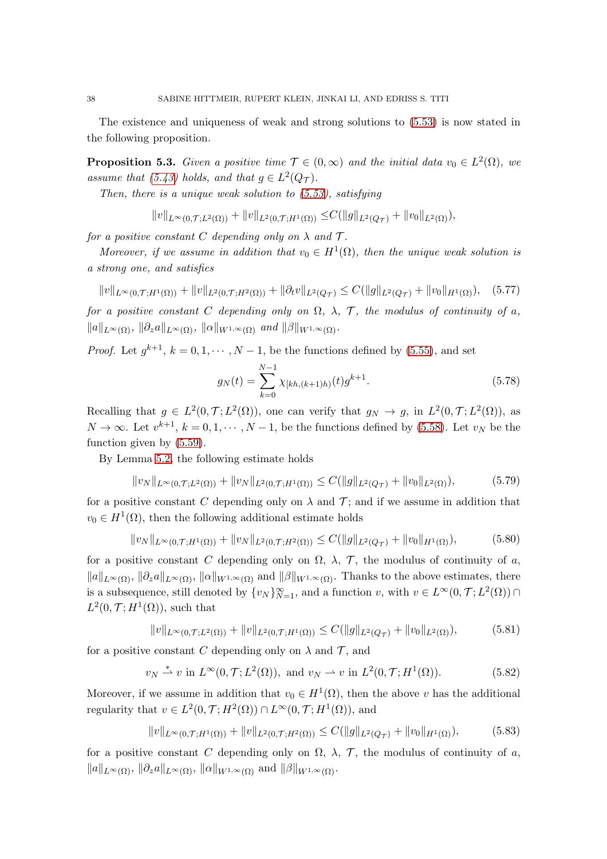The existence and uniqueness of weak and strong solutions to [\(5.53\)](#page-33-0) is now stated in the following proposition.

<span id="page-37-2"></span>**Proposition 5.3.** Given a positive time  $\mathcal{T} \in (0, \infty)$  and the initial data  $v_0 \in L^2(\Omega)$ , we assume that [\(5.43\)](#page-32-1) holds, and that  $g \in L^2(Q_{\mathcal{T}})$ .

Then, there is a unique weak solution to  $(5.53)$ , satisfying

$$
||v||_{L^{\infty}(0,\mathcal{T};L^{2}(\Omega))}+||v||_{L^{2}(0,\mathcal{T};H^{1}(\Omega))}\leq C(||g||_{L^{2}(Q_{\mathcal{T}})}+||v_{0}||_{L^{2}(\Omega)}),
$$

for a positive constant C depending only on  $\lambda$  and  $\mathcal{T}$ .

Moreover, if we assume in addition that  $v_0 \in H^1(\Omega)$ , then the unique weak solution is a strong one, and satisfies

$$
||v||_{L^{\infty}(0,\mathcal{T};H^{1}(\Omega))} + ||v||_{L^{2}(0,\mathcal{T};H^{2}(\Omega))} + ||\partial_{t}v||_{L^{2}(Q_{\mathcal{T}})} \leq C(||g||_{L^{2}(Q_{\mathcal{T}})} + ||v_{0}||_{H^{1}(\Omega)}), \quad (5.77)
$$

for a positive constant C depending only on  $\Omega$ ,  $\lambda$ ,  $\mathcal{T}$ , the modulus of continuity of a,  $||a||_{L^{\infty}(\Omega)}, ||\partial_z a||_{L^{\infty}(\Omega)}, ||\alpha||_{W^{1,\infty}(\Omega)}$  and  $||\beta||_{W^{1,\infty}(\Omega)}$ .

*Proof.* Let  $g^{k+1}$ ,  $k = 0, 1, \dots, N-1$ , be the functions defined by [\(5.55\)](#page-34-4), and set

$$
g_N(t) = \sum_{k=0}^{N-1} \chi_{[kh,(k+1)h)}(t) g^{k+1}.
$$
\n(5.78)

Recalling that  $g \in L^2(0,\mathcal{T};L^2(\Omega))$ , one can verify that  $g_N \to g$ , in  $L^2(0,\mathcal{T};L^2(\Omega))$ , as  $N \to \infty$ . Let  $v^{k+1}$ ,  $k = 0, 1, \dots, N-1$ , be the functions defined by [\(5.58\)](#page-34-0). Let  $v_N$  be the function given by [\(5.59\)](#page-34-1).

By Lemma [5.2,](#page-34-5) the following estimate holds

$$
||v_N||_{L^{\infty}(0,\mathcal{T};L^2(\Omega))} + ||v_N||_{L^2(0,\mathcal{T};H^1(\Omega))} \leq C(||g||_{L^2(Q_{\mathcal{T}})} + ||v_0||_{L^2(\Omega)}),
$$
\n(5.79)

for a positive constant C depending only on  $\lambda$  and T; and if we assume in addition that  $v_0 \in H^1(\Omega)$ , then the following additional estimate holds

$$
||v_N||_{L^{\infty}(0,\mathcal{T};H^1(\Omega))} + ||v_N||_{L^2(0,\mathcal{T};H^2(\Omega))} \leq C(||g||_{L^2(Q_{\mathcal{T}})} + ||v_0||_{H^1(\Omega)}),
$$
(5.80)

for a positive constant C depending only on  $\Omega$ ,  $\lambda$ ,  $\mathcal{T}$ , the modulus of continuity of a,  $||a||_{L^{\infty}(\Omega)}, ||\partial_z a||_{L^{\infty}(\Omega)}, ||\alpha||_{W^{1,\infty}(\Omega)}$  and  $||\beta||_{W^{1,\infty}(\Omega)}$ . Thanks to the above estimates, there is a subsequence, still denoted by  $\{v_N\}_{N=1}^{\infty}$ , and a function  $v$ , with  $v \in L^{\infty}(0, \mathcal{T}; L^2(\Omega)) \cap$  $L^2(0,\mathcal{T};H^1(\Omega))$ , such that

<span id="page-37-0"></span>
$$
||v||_{L^{\infty}(0,\mathcal{T};L^{2}(\Omega))} + ||v||_{L^{2}(0,\mathcal{T};H^{1}(\Omega))} \leq C(||g||_{L^{2}(Q_{\mathcal{T}})} + ||v_{0}||_{L^{2}(\Omega)}),
$$
\n(5.81)

for a positive constant C depending only on  $\lambda$  and  $\mathcal{T}$ , and

$$
v_N \stackrel{*}{\rightharpoonup} v \text{ in } L^{\infty}(0, \mathcal{T}; L^2(\Omega)), \text{ and } v_N \rightharpoonup v \text{ in } L^2(0, \mathcal{T}; H^1(\Omega)).
$$
 (5.82)

Moreover, if we assume in addition that  $v_0 \in H^1(\Omega)$ , then the above v has the additional regularity that  $v \in L^2(0, \mathcal{T}; H^2(\Omega)) \cap L^{\infty}(0, \mathcal{T}; H^1(\Omega))$ , and

<span id="page-37-1"></span>
$$
||v||_{L^{\infty}(0,\mathcal{T};H^{1}(\Omega))} + ||v||_{L^{2}(0,\mathcal{T};H^{2}(\Omega))} \leq C(||g||_{L^{2}(Q_{\mathcal{T}})} + ||v_{0}||_{H^{1}(\Omega)}),
$$
\n(5.83)

for a positive constant C depending only on  $\Omega$ ,  $\lambda$ ,  $\mathcal{T}$ , the modulus of continuity of a,  $\|a\|_{L^{\infty}(\Omega)}, \|\partial_z a\|_{L^{\infty}(\Omega)}, \|\alpha\|_{W^{1,\infty}(\Omega)}$  and  $\|\beta\|_{W^{1,\infty}(\Omega)}$ .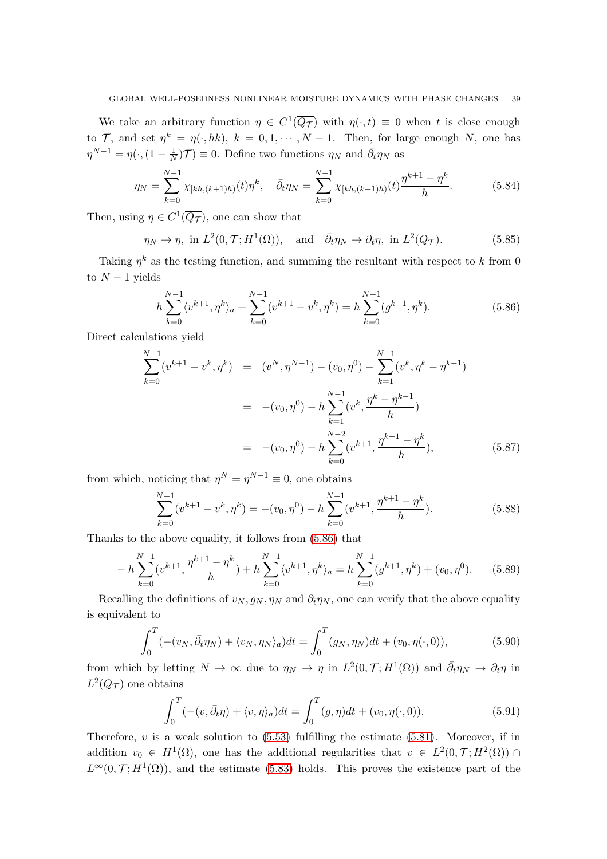We take an arbitrary function  $\eta \in C^1(\overline{Q_{\mathcal{T}}})$  with  $\eta(\cdot,t) \equiv 0$  when t is close enough to T, and set  $\eta^k = \eta(\cdot, hk)$ ,  $k = 0, 1, \dots, N - 1$ . Then, for large enough N, one has  $\eta^{N-1} = \eta(\cdot, (1 - \frac{1}{N}))$  $\frac{1}{N}$ ) $\mathcal{T}$ )  $\equiv$  0. Define two functions  $\eta_N$  and  $\bar{\partial}_t \eta_N$  as

$$
\eta_N = \sum_{k=0}^{N-1} \chi_{[kh,(k+1)h)}(t) \eta^k, \quad \bar{\partial}_t \eta_N = \sum_{k=0}^{N-1} \chi_{[kh,(k+1)h)}(t) \frac{\eta^{k+1} - \eta^k}{h}.
$$
 (5.84)

Then, using  $\eta \in C^1(\overline{Q_{\mathcal{T}}})$ , one can show that

$$
\eta_N \to \eta
$$
, in  $L^2(0, \mathcal{T}; H^1(\Omega))$ , and  $\bar{\partial}_t \eta_N \to \partial_t \eta$ , in  $L^2(Q_{\mathcal{T}})$ . (5.85)

Taking  $\eta^k$  as the testing function, and summing the resultant with respect to k from 0 to  $N-1$  yields

<span id="page-38-0"></span>
$$
h\sum_{k=0}^{N-1} \langle v^{k+1}, \eta^k \rangle_a + \sum_{k=0}^{N-1} (v^{k+1} - v^k, \eta^k) = h\sum_{k=0}^{N-1} (g^{k+1}, \eta^k). \tag{5.86}
$$

Direct calculations yield

$$
\sum_{k=0}^{N-1} (v^{k+1} - v^k, \eta^k) = (v^N, \eta^{N-1}) - (v_0, \eta^0) - \sum_{k=1}^{N-1} (v^k, \eta^k - \eta^{k-1})
$$
  

$$
= -(v_0, \eta^0) - h \sum_{k=1}^{N-1} (v^k, \frac{\eta^k - \eta^{k-1}}{h})
$$
  

$$
= -(v_0, \eta^0) - h \sum_{k=0}^{N-2} (v^{k+1}, \frac{\eta^{k+1} - \eta^k}{h}), \qquad (5.87)
$$

from which, noticing that  $\eta^N = \eta^{N-1} \equiv 0$ , one obtains

$$
\sum_{k=0}^{N-1} (v^{k+1} - v^k, \eta^k) = -(v_0, \eta^0) - h \sum_{k=0}^{N-1} (v^{k+1}, \frac{\eta^{k+1} - \eta^k}{h}).
$$
\n(5.88)

Thanks to the above equality, it follows from [\(5.86\)](#page-38-0) that

$$
- h \sum_{k=0}^{N-1} (v^{k+1}, \frac{\eta^{k+1} - \eta^k}{h}) + h \sum_{k=0}^{N-1} \langle v^{k+1}, \eta^k \rangle_a = h \sum_{k=0}^{N-1} (g^{k+1}, \eta^k) + (v_0, \eta^0). \tag{5.89}
$$

Recalling the definitions of  $v_N, g_N, \eta_N$  and  $\partial_{\bar{t}} \eta_N$ , one can verify that the above equality is equivalent to

$$
\int_0^T \left( - (v_N, \bar{\partial}_t \eta_N) + \langle v_N, \eta_N \rangle_a \right) dt = \int_0^T (g_N, \eta_N) dt + (v_0, \eta(\cdot, 0)),\tag{5.90}
$$

from which by letting  $N \to \infty$  due to  $\eta_N \to \eta$  in  $L^2(0,\mathcal{T}; H^1(\Omega))$  and  $\bar{\partial}_t \eta_N \to \partial_t \eta$  in  $L^2(Q_{\mathcal{T}})$  one obtains

$$
\int_0^T \left( -(v, \bar{\partial}_t \eta) + \langle v, \eta \rangle_a \right) dt = \int_0^T (g, \eta) dt + (v_0, \eta(\cdot, 0)). \tag{5.91}
$$

Therefore,  $v$  is a weak solution to  $(5.53)$  fulfilling the estimate  $(5.81)$ . Moreover, if in addition  $v_0 \in H^1(\Omega)$ , one has the additional regularities that  $v \in L^2(0,\mathcal{T};H^2(\Omega))$  $L^{\infty}(0,\mathcal{T};H^{1}(\Omega))$ , and the estimate [\(5.83\)](#page-37-1) holds. This proves the existence part of the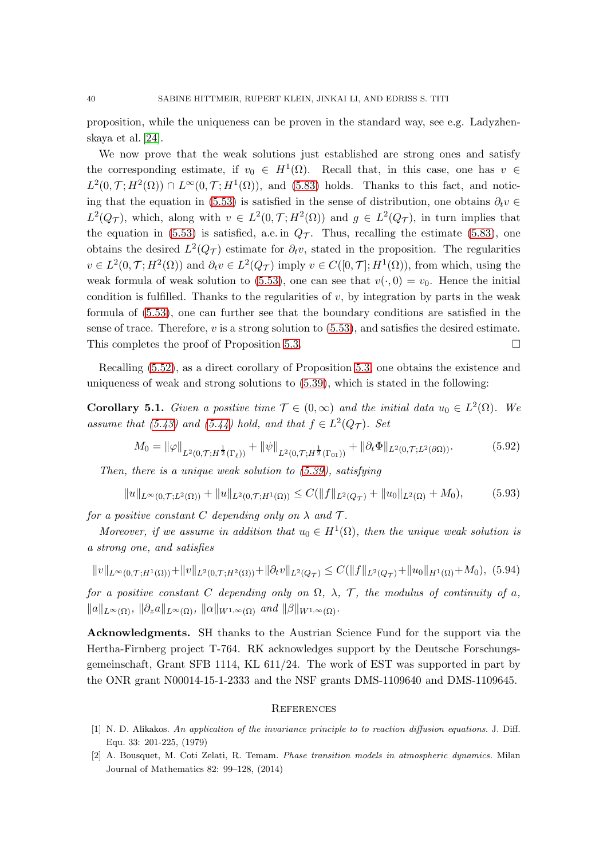proposition, while the uniqueness can be proven in the standard way, see e.g. Ladyzhenskaya et al. [\[24\]](#page-40-24).

We now prove that the weak solutions just established are strong ones and satisfy the corresponding estimate, if  $v_0 \in H^1(\Omega)$ . Recall that, in this case, one has  $v \in$  $L^2(0,\mathcal{T};H^2(\Omega)) \cap L^{\infty}(0,\mathcal{T};H^1(\Omega))$ , and [\(5.83\)](#page-37-1) holds. Thanks to this fact, and notic-ing that the equation in [\(5.53\)](#page-33-0) is satisfied in the sense of distribution, one obtains  $\partial_t v \in$  $L^2(Q_{\mathcal{T}})$ , which, along with  $v \in L^2(0,\mathcal{T}; H^2(\Omega))$  and  $g \in L^2(Q_{\mathcal{T}})$ , in turn implies that the equation in [\(5.53\)](#page-33-0) is satisfied, a.e. in  $Q_{\mathcal{T}}$ . Thus, recalling the estimate [\(5.83\)](#page-37-1), one obtains the desired  $L^2(Q_T)$  estimate for  $\partial_t v$ , stated in the proposition. The regularities  $v \in L^2(0,\mathcal{T}; H^2(\Omega))$  and  $\partial_t v \in L^2(Q_\mathcal{T})$  imply  $v \in C([0,\mathcal{T}]; H^1(\Omega))$ , from which, using the weak formula of weak solution to [\(5.53\)](#page-33-0), one can see that  $v(\cdot, 0) = v_0$ . Hence the initial condition is fulfilled. Thanks to the regularities of  $v$ , by integration by parts in the weak formula of [\(5.53\)](#page-33-0), one can further see that the boundary conditions are satisfied in the sense of trace. Therefore,  $v$  is a strong solution to  $(5.53)$ , and satisfies the desired estimate. This completes the proof of Proposition [5.3.](#page-37-2)

Recalling [\(5.52\)](#page-33-1), as a direct corollary of Proposition [5.3,](#page-37-2) one obtains the existence and uniqueness of weak and strong solutions to [\(5.39\)](#page-32-0), which is stated in the following:

<span id="page-39-2"></span>**Corollary 5.1.** Given a positive time  $\mathcal{T} \in (0, \infty)$  and the initial data  $u_0 \in L^2(\Omega)$ . We assume that [\(5.43\)](#page-32-1) and [\(5.44\)](#page-32-2) hold, and that  $f \in L^2(Q_T)$ . Set

$$
M_0 = \|\varphi\|_{L^2(0,\mathcal{T};H^{\frac{1}{2}}(\Gamma_\ell))} + \|\psi\|_{L^2(0,\mathcal{T};H^{\frac{1}{2}}(\Gamma_{01}))} + \|\partial_t \Phi\|_{L^2(0,\mathcal{T};L^2(\partial\Omega))}.
$$
(5.92)

Then, there is a unique weak solution to [\(5.39\)](#page-32-0), satisfying

$$
||u||_{L^{\infty}(0,\mathcal{T};L^{2}(\Omega))} + ||u||_{L^{2}(0,\mathcal{T};H^{1}(\Omega))} \leq C(||f||_{L^{2}(Q_{\mathcal{T}})} + ||u_{0}||_{L^{2}(\Omega)} + M_{0}), \tag{5.93}
$$

for a positive constant C depending only on  $\lambda$  and  $\mathcal{T}$ .

Moreover, if we assume in addition that  $u_0 \in H^1(\Omega)$ , then the unique weak solution is a strong one, and satisfies

 $||v||_{L^{\infty}(0,T;H^{1}(\Omega))}+||v||_{L^{2}(0,T;H^{2}(\Omega))}+||\partial_{t}v||_{L^{2}(Q_{\mathcal{T}})} \leq C(||f||_{L^{2}(Q_{\mathcal{T}})}+||u_{0}||_{H^{1}(\Omega)}+M_{0}),$  (5.94) for a positive constant C depending only on  $\Omega$ ,  $\lambda$ ,  $\mathcal{T}$ , the modulus of continuity of a,  $\|a\|_{L^{\infty}(\Omega)}, \|\partial_z a\|_{L^{\infty}(\Omega)}, \|\alpha\|_{W^{1,\infty}(\Omega)}$  and  $\|\beta\|_{W^{1,\infty}(\Omega)}$ .

Acknowledgments. SH thanks to the Austrian Science Fund for the support via the Hertha-Firnberg project T-764. RK acknowledges support by the Deutsche Forschungsgemeinschaft, Grant SFB 1114, KL 611/24. The work of EST was supported in part by the ONR grant N00014-15-1-2333 and the NSF grants DMS-1109640 and DMS-1109645.

#### **REFERENCES**

- <span id="page-39-0"></span>[1] N. D. Alikakos. An application of the invariance principle to to reaction diffusion equations. J. Diff. Equ. 33: 201-225, (1979)
- <span id="page-39-1"></span>[2] A. Bousquet, M. Coti Zelati, R. Temam. Phase transition models in atmospheric dynamics. Milan Journal of Mathematics 82: 99–128, (2014)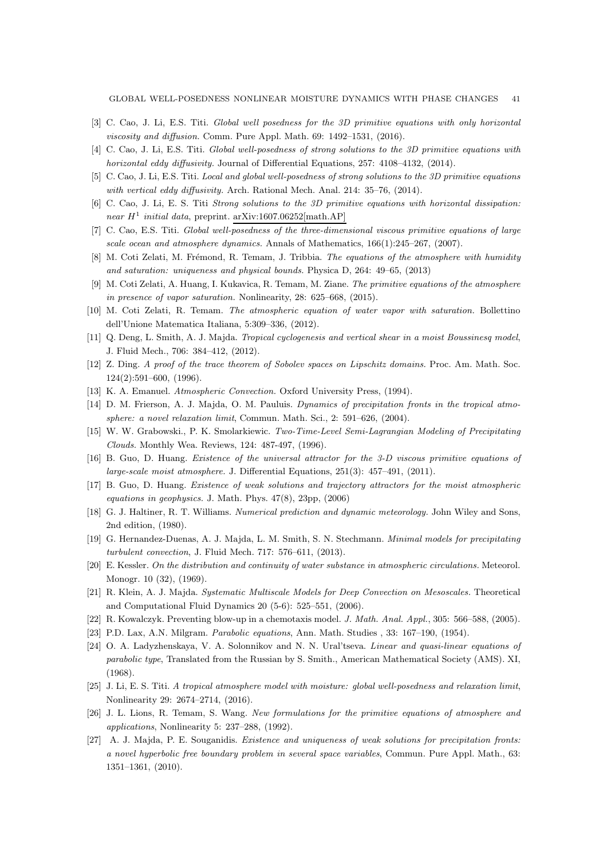- <span id="page-40-5"></span><span id="page-40-4"></span>[3] C. Cao, J. Li, E.S. Titi. Global well posedness for the 3D primitive equations with only horizontal viscosity and diffusion. Comm. Pure Appl. Math. 69: 1492–1531, (2016).
- <span id="page-40-6"></span>[4] C. Cao, J. Li, E.S. Titi. Global well-posedness of strong solutions to the 3D primitive equations with horizontal eddy diffusivity. Journal of Differential Equations, 257: 4108-4132, (2014).
- <span id="page-40-7"></span>[5] C. Cao, J. Li, E.S. Titi. Local and global well-posedness of strong solutions to the 3D primitive equations with vertical eddy diffusivity. Arch. Rational Mech. Anal. 214: 35–76, (2014).
- [6] C. Cao, J. Li, E. S. Titi Strong solutions to the 3D primitive equations with horizontal dissipation: near  $H^1$  initial data, preprint. arXiv:1607.06252[math.AP]
- <span id="page-40-8"></span><span id="page-40-3"></span>[7] C. Cao, E.S. Titi. Global well-posedness of the three-dimensional viscous primitive equations of large scale ocean and atmosphere dynamics. Annals of Mathematics,  $166(1):245-267$ , (2007).
- <span id="page-40-9"></span>[8] M. Coti Zelati, M. Frémond, R. Temam, J. Tribbia. The equations of the atmosphere with humidity and saturation: uniqueness and physical bounds. Physica D, 264: 49–65, (2013)
- <span id="page-40-10"></span>[9] M. Coti Zelati, A. Huang, I. Kukavica, R. Temam, M. Ziane. The primitive equations of the atmosphere in presence of vapor saturation. Nonlinearity, 28: 625–668, (2015).
- <span id="page-40-20"></span>[10] M. Coti Zelati, R. Temam. The atmospheric equation of water vapor with saturation. Bollettino dell'Unione Matematica Italiana, 5:309–336, (2012).
- <span id="page-40-22"></span>[11] Q. Deng, L. Smith, A. J. Majda. Tropical cyclogenesis and vertical shear in a moist Boussinesq model, J. Fluid Mech., 706: 384–412, (2012).
- <span id="page-40-18"></span>[12] Z. Ding. A proof of the trace theorem of Sobolev spaces on Lipschitz domains. Proc. Am. Math. Soc. 124(2):591–600, (1996).
- <span id="page-40-14"></span>[13] K. A. Emanuel. Atmospheric Convection. Oxford University Press, (1994).
- <span id="page-40-2"></span>[14] D. M. Frierson, A. J. Majda, O. M. Pauluis. Dynamics of precipitation fronts in the tropical atmosphere: a novel relaxation limit, Commun. Math. Sci., 2: 591–626, (2004).
- <span id="page-40-15"></span>[15] W. W. Grabowski., P. K. Smolarkiewic. Two-Time-Level Semi-Lagrangian Modeling of Precipitating Clouds. Monthly Wea. Reviews, 124: 487-497, (1996).
- <span id="page-40-16"></span>[16] B. Guo, D. Huang. Existence of the universal attractor for the 3-D viscous primitive equations of large-scale moist atmosphere. J. Differential Equations, 251(3): 457–491, (2011).
- <span id="page-40-13"></span>[17] B. Guo, D. Huang. Existence of weak solutions and trajectory attractors for the moist atmospheric equations in geophysics. J. Math. Phys.  $47(8)$ ,  $23pp$ ,  $(2006)$
- <span id="page-40-21"></span>[18] G. J. Haltiner, R. T. Williams. Numerical prediction and dynamic meteorology. John Wiley and Sons, 2nd edition, (1980).
- <span id="page-40-1"></span>[19] G. Hernandez-Duenas, A. J. Majda, L. M. Smith, S. N. Stechmann. Minimal models for precipitating turbulent convection, J. Fluid Mech. 717: 576–611, (2013).
- <span id="page-40-0"></span>[20] E. Kessler. On the distribution and continuity of water substance in atmospheric circulations. Meteorol. Monogr. 10 (32), (1969).
- <span id="page-40-19"></span>[21] R. Klein, A. J. Majda. Systematic Multiscale Models for Deep Convection on Mesoscales. Theoretical and Computational Fluid Dynamics 20 (5-6): 525–551, (2006).
- <span id="page-40-23"></span>[22] R. Kowalczyk. Preventing blow-up in a chemotaxis model. J. Math. Anal. Appl., 305: 566–588, (2005).
- <span id="page-40-24"></span>[23] P.D. Lax, A.N. Milgram. Parabolic equations, Ann. Math. Studies , 33: 167–190, (1954).
- [24] O. A. Ladyzhenskaya, V. A. Solonnikov and N. N. Ural'tseva. Linear and quasi-linear equations of parabolic type, Translated from the Russian by S. Smith., American Mathematical Society (AMS). XI, (1968).
- <span id="page-40-17"></span><span id="page-40-11"></span>[25] J. Li, E. S. Titi. A tropical atmosphere model with moisture: global well-posedness and relaxation limit, Nonlinearity 29: 2674–2714, (2016).
- [26] J. L. Lions, R. Temam, S. Wang. New formulations for the primitive equations of atmosphere and applications, Nonlinearity 5: 237–288, (1992).
- <span id="page-40-12"></span>[27] A. J. Majda, P. E. Souganidis. Existence and uniqueness of weak solutions for precipitation fronts: a novel hyperbolic free boundary problem in several space variables, Commun. Pure Appl. Math., 63: 1351–1361, (2010).